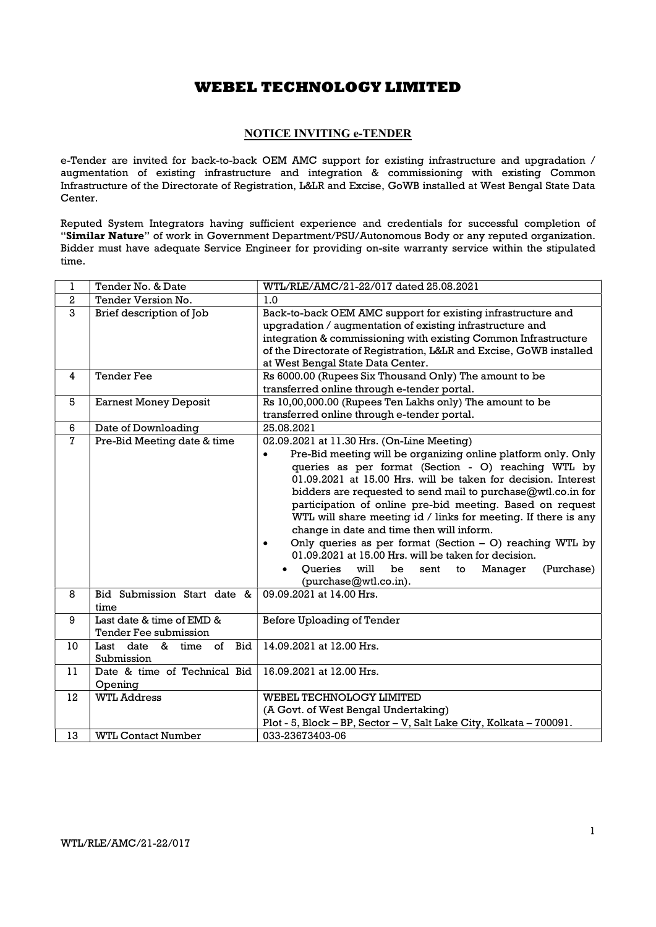## NOTICE INVITING e-TENDER

e-Tender are invited for back-to-back OEM AMC support for existing infrastructure and upgradation / augmentation of existing infrastructure and integration & commissioning with existing Common Infrastructure of the Directorate of Registration, L&LR and Excise, GoWB installed at West Bengal State Data Center.

Reputed System Integrators having sufficient experience and credentials for successful completion of "Similar Nature" of work in Government Department/PSU/Autonomous Body or any reputed organization. Bidder must have adequate Service Engineer for providing on-site warranty service within the stipulated time.

| $\mathbf{1}$   | Tender No. & Date                                  | WTL/RLE/AMC/21-22/017 dated 25.08.2021                                                                                                                                                                                                                                                                                                                                                                                                                                                                                                                                                                                                                                                                                   |
|----------------|----------------------------------------------------|--------------------------------------------------------------------------------------------------------------------------------------------------------------------------------------------------------------------------------------------------------------------------------------------------------------------------------------------------------------------------------------------------------------------------------------------------------------------------------------------------------------------------------------------------------------------------------------------------------------------------------------------------------------------------------------------------------------------------|
| $\overline{2}$ | Tender Version No.                                 | 1.0                                                                                                                                                                                                                                                                                                                                                                                                                                                                                                                                                                                                                                                                                                                      |
| $\overline{3}$ | Brief description of Job                           | Back-to-back OEM AMC support for existing infrastructure and<br>upgradation / augmentation of existing infrastructure and<br>integration & commissioning with existing Common Infrastructure<br>of the Directorate of Registration, L&LR and Excise, GoWB installed<br>at West Bengal State Data Center.                                                                                                                                                                                                                                                                                                                                                                                                                 |
| 4              | <b>Tender Fee</b>                                  | Rs 6000.00 (Rupees Six Thousand Only) The amount to be<br>transferred online through e-tender portal.                                                                                                                                                                                                                                                                                                                                                                                                                                                                                                                                                                                                                    |
| 5              | <b>Earnest Money Deposit</b>                       | Rs 10,00,000.00 (Rupees Ten Lakhs only) The amount to be<br>transferred online through e-tender portal.                                                                                                                                                                                                                                                                                                                                                                                                                                                                                                                                                                                                                  |
| 6              | Date of Downloading                                | 25.08.2021                                                                                                                                                                                                                                                                                                                                                                                                                                                                                                                                                                                                                                                                                                               |
| $\overline{7}$ | Pre-Bid Meeting date & time                        | 02.09.2021 at 11.30 Hrs. (On-Line Meeting)<br>Pre-Bid meeting will be organizing online platform only. Only<br>$\bullet$<br>queries as per format (Section - O) reaching WTL by<br>01.09.2021 at 15.00 Hrs. will be taken for decision. Interest<br>bidders are requested to send mail to purchase@wtl.co.in for<br>participation of online pre-bid meeting. Based on request<br>WTL will share meeting id / links for meeting. If there is any<br>change in date and time then will inform.<br>Only queries as per format (Section $-$ O) reaching WTL by<br>$\bullet$<br>01.09.2021 at 15.00 Hrs. will be taken for decision.<br>Queries<br>will<br>be<br>(Purchase)<br>sent<br>Manager<br>to<br>(purchase@wtl.co.in). |
| 8              | Bid Submission Start date &<br>time                | 09.09.2021 at 14.00 Hrs.                                                                                                                                                                                                                                                                                                                                                                                                                                                                                                                                                                                                                                                                                                 |
| 9              | Last date & time of EMD &<br>Tender Fee submission | Before Uploading of Tender                                                                                                                                                                                                                                                                                                                                                                                                                                                                                                                                                                                                                                                                                               |
| 10             | of<br>Bid<br>Last date &<br>time<br>Submission     | 14.09.2021 at 12.00 Hrs.                                                                                                                                                                                                                                                                                                                                                                                                                                                                                                                                                                                                                                                                                                 |
| 11             | Date & time of Technical Bid<br>Opening            | 16.09.2021 at 12.00 Hrs.                                                                                                                                                                                                                                                                                                                                                                                                                                                                                                                                                                                                                                                                                                 |
| 12             | <b>WTL Address</b>                                 | WEBEL TECHNOLOGY LIMITED<br>(A Govt. of West Bengal Undertaking)<br>Plot - 5, Block - BP, Sector - V, Salt Lake City, Kolkata - 700091.                                                                                                                                                                                                                                                                                                                                                                                                                                                                                                                                                                                  |
| 13             | <b>WTL Contact Number</b>                          | 033-23673403-06                                                                                                                                                                                                                                                                                                                                                                                                                                                                                                                                                                                                                                                                                                          |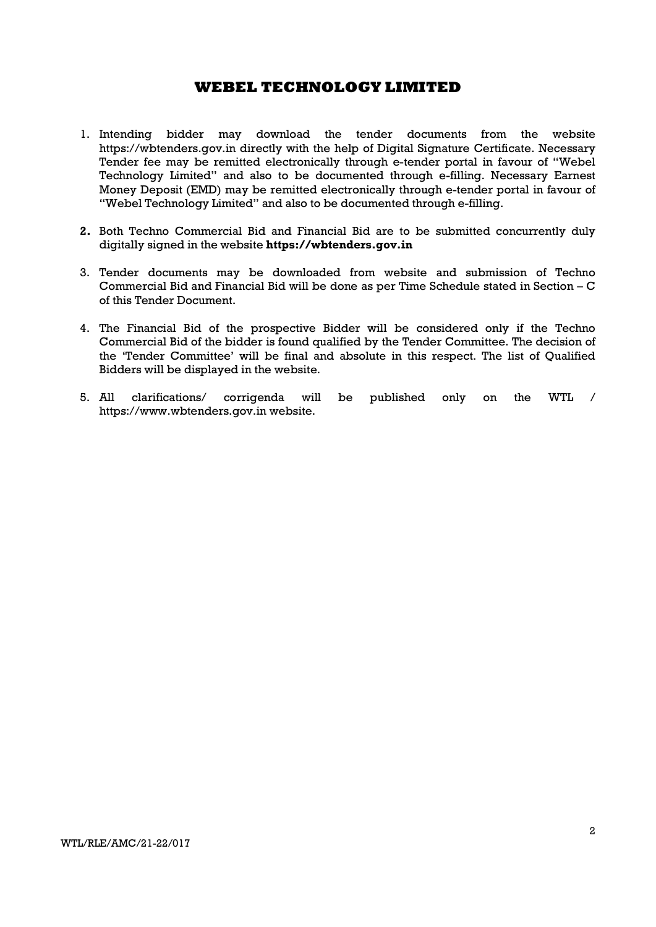- 1. Intending bidder may download the tender documents from the website https://wbtenders.gov.in directly with the help of Digital Signature Certificate. Necessary Tender fee may be remitted electronically through e-tender portal in favour of "Webel Technology Limited" and also to be documented through e-filling. Necessary Earnest Money Deposit (EMD) may be remitted electronically through e-tender portal in favour of "Webel Technology Limited" and also to be documented through e-filling.
- 2. Both Techno Commercial Bid and Financial Bid are to be submitted concurrently duly digitally signed in the website https://wbtenders.gov.in
- 3. Tender documents may be downloaded from website and submission of Techno Commercial Bid and Financial Bid will be done as per Time Schedule stated in Section – C of this Tender Document.
- 4. The Financial Bid of the prospective Bidder will be considered only if the Techno Commercial Bid of the bidder is found qualified by the Tender Committee. The decision of the 'Tender Committee' will be final and absolute in this respect. The list of Qualified Bidders will be displayed in the website.
- 5. All clarifications/ corrigenda will be published only on the WTL / https://www.wbtenders.gov.in website.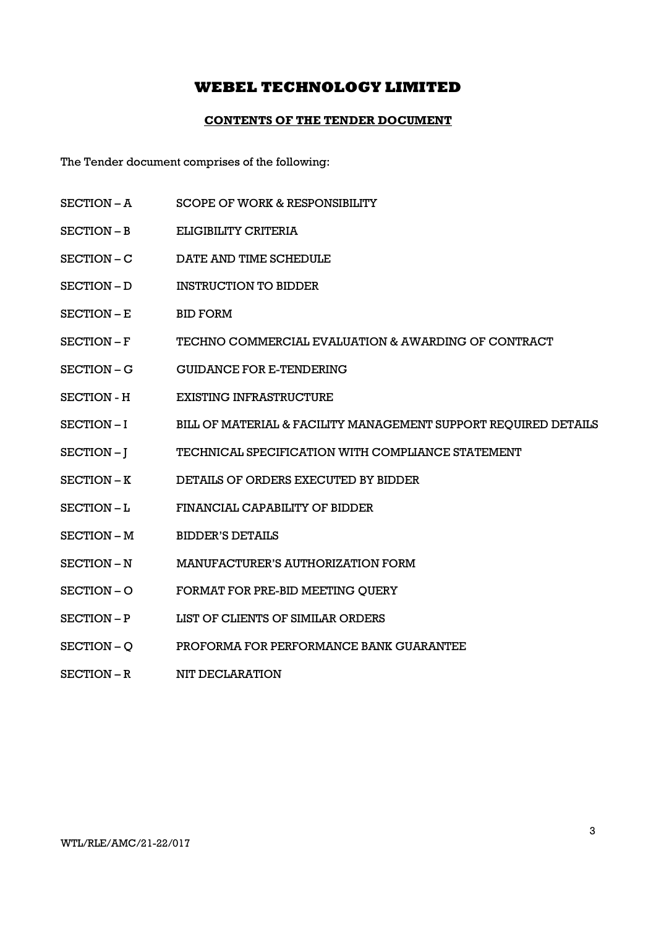## CONTENTS OF THE TENDER DOCUMENT

The Tender document comprises of the following:

- SECTION A SCOPE OF WORK & RESPONSIBILITY
- SECTION B ELIGIBILITY CRITERIA
- SECTION C DATE AND TIME SCHEDULE
- SECTION D INSTRUCTION TO BIDDER
- SECTION E BID FORM
- SECTION F TECHNO COMMERCIAL EVALUATION & AWARDING OF CONTRACT
- SECTION G GUIDANCE FOR E-TENDERING
- SECTION H EXISTING INFRASTRUCTURE
- SECTION I BILL OF MATERIAL & FACILITY MANAGEMENT SUPPORT REQUIRED DETAILS
- SECTION J TECHNICAL SPECIFICATION WITH COMPLIANCE STATEMENT
- SECTION K DETAILS OF ORDERS EXECUTED BY BIDDER
- SECTION L FINANCIAL CAPABILITY OF BIDDER
- SECTION M BIDDER'S DETAILS
- SECTION N MANUFACTURER'S AUTHORIZATION FORM
- SECTION O FORMAT FOR PRE-BID MEETING QUERY
- SECTION P LIST OF CLIENTS OF SIMILAR ORDERS
- SECTION Q PROFORMA FOR PERFORMANCE BANK GUARANTEE
- SECTION R NIT DECLARATION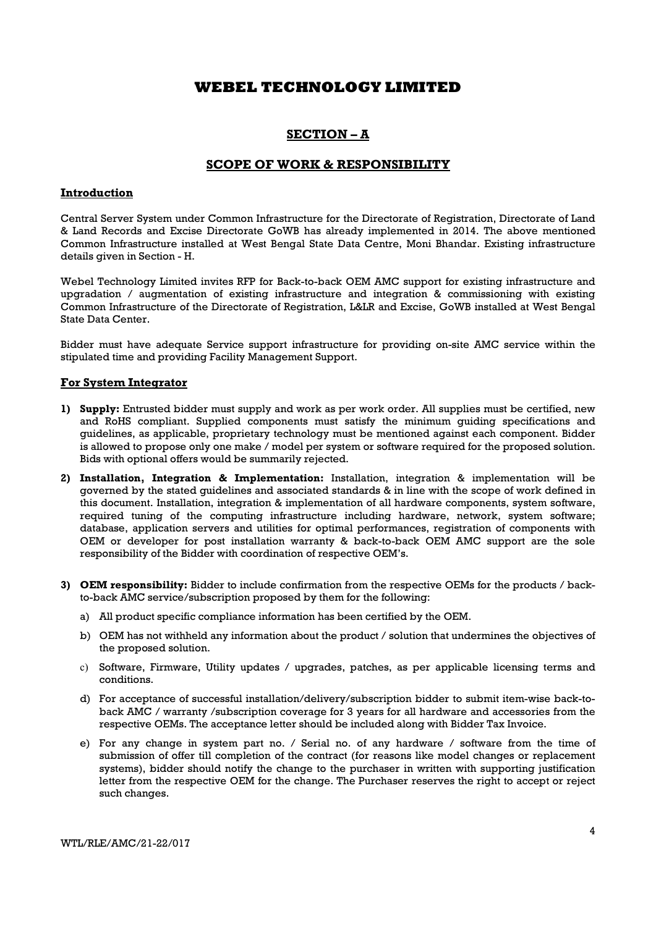## SECTION – A

## SCOPE OF WORK & RESPONSIBILITY

## Introduction

Central Server System under Common Infrastructure for the Directorate of Registration, Directorate of Land & Land Records and Excise Directorate GoWB has already implemented in 2014. The above mentioned Common Infrastructure installed at West Bengal State Data Centre, Moni Bhandar. Existing infrastructure details given in Section - H.

Webel Technology Limited invites RFP for Back-to-back OEM AMC support for existing infrastructure and upgradation / augmentation of existing infrastructure and integration & commissioning with existing Common Infrastructure of the Directorate of Registration, L&LR and Excise, GoWB installed at West Bengal State Data Center.

Bidder must have adequate Service support infrastructure for providing on-site AMC service within the stipulated time and providing Facility Management Support.

## For System Integrator

- 1) Supply: Entrusted bidder must supply and work as per work order. All supplies must be certified, new and RoHS compliant. Supplied components must satisfy the minimum guiding specifications and guidelines, as applicable, proprietary technology must be mentioned against each component. Bidder is allowed to propose only one make / model per system or software required for the proposed solution. Bids with optional offers would be summarily rejected.
- 2) Installation, Integration & Implementation: Installation, integration & implementation will be governed by the stated guidelines and associated standards & in line with the scope of work defined in this document. Installation, integration & implementation of all hardware components, system software, required tuning of the computing infrastructure including hardware, network, system software; database, application servers and utilities for optimal performances, registration of components with OEM or developer for post installation warranty & back-to-back OEM AMC support are the sole responsibility of the Bidder with coordination of respective OEM's.
- 3) OEM responsibility: Bidder to include confirmation from the respective OEMs for the products / backto-back AMC service/subscription proposed by them for the following:
	- a) All product specific compliance information has been certified by the OEM.
	- b) OEM has not withheld any information about the product / solution that undermines the objectives of the proposed solution.
	- c) Software, Firmware, Utility updates / upgrades, patches, as per applicable licensing terms and conditions.
	- d) For acceptance of successful installation/delivery/subscription bidder to submit item-wise back-toback AMC / warranty /subscription coverage for 3 years for all hardware and accessories from the respective OEMs. The acceptance letter should be included along with Bidder Tax Invoice.
	- e) For any change in system part no. / Serial no. of any hardware / software from the time of submission of offer till completion of the contract (for reasons like model changes or replacement systems), bidder should notify the change to the purchaser in written with supporting justification letter from the respective OEM for the change. The Purchaser reserves the right to accept or reject such changes.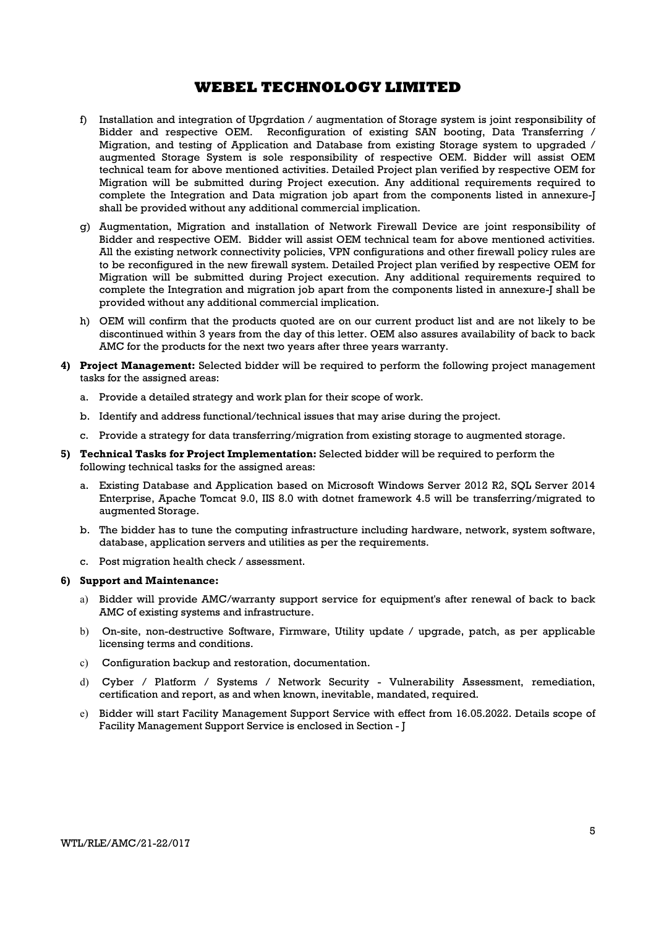- f) Installation and integration of Upgrdation / augmentation of Storage system is joint responsibility of Bidder and respective OEM. Reconfiguration of existing SAN booting, Data Transferring / Migration, and testing of Application and Database from existing Storage system to upgraded / augmented Storage System is sole responsibility of respective OEM. Bidder will assist OEM technical team for above mentioned activities. Detailed Project plan verified by respective OEM for Migration will be submitted during Project execution. Any additional requirements required to complete the Integration and Data migration job apart from the components listed in annexure-J shall be provided without any additional commercial implication.
- g) Augmentation, Migration and installation of Network Firewall Device are joint responsibility of Bidder and respective OEM. Bidder will assist OEM technical team for above mentioned activities. All the existing network connectivity policies, VPN configurations and other firewall policy rules are to be reconfigured in the new firewall system. Detailed Project plan verified by respective OEM for Migration will be submitted during Project execution. Any additional requirements required to complete the Integration and migration job apart from the components listed in annexure-J shall be provided without any additional commercial implication.
- h) OEM will confirm that the products quoted are on our current product list and are not likely to be discontinued within 3 years from the day of this letter. OEM also assures availability of back to back AMC for the products for the next two years after three years warranty.
- 4) Project Management: Selected bidder will be required to perform the following project management tasks for the assigned areas:
	- a. Provide a detailed strategy and work plan for their scope of work.
	- b. Identify and address functional/technical issues that may arise during the project.
	- c. Provide a strategy for data transferring/migration from existing storage to augmented storage.
- 5) Technical Tasks for Project Implementation: Selected bidder will be required to perform the following technical tasks for the assigned areas:
	- a. Existing Database and Application based on Microsoft Windows Server 2012 R2, SQL Server 2014 Enterprise, Apache Tomcat 9.0, IIS 8.0 with dotnet framework 4.5 will be transferring/migrated to augmented Storage.
	- b. The bidder has to tune the computing infrastructure including hardware, network, system software, database, application servers and utilities as per the requirements.
	- c. Post migration health check / assessment.

#### 6) Support and Maintenance:

- a) Bidder will provide AMC/warranty support service for equipment's after renewal of back to back AMC of existing systems and infrastructure.
- b) On-site, non-destructive Software, Firmware, Utility update / upgrade, patch, as per applicable licensing terms and conditions.
- c) Configuration backup and restoration, documentation.
- d) Cyber / Platform / Systems / Network Security Vulnerability Assessment, remediation, certification and report, as and when known, inevitable, mandated, required.
- e) Bidder will start Facility Management Support Service with effect from 16.05.2022. Details scope of Facility Management Support Service is enclosed in Section - J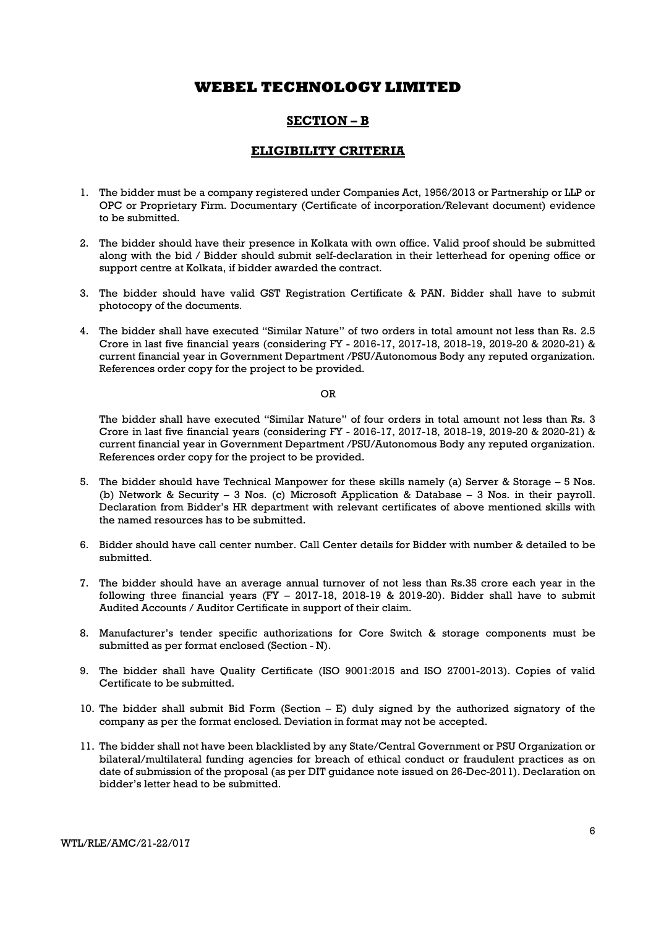## SECTION – B

## ELIGIBILITY CRITERIA

- 1. The bidder must be a company registered under Companies Act, 1956/2013 or Partnership or LLP or OPC or Proprietary Firm. Documentary (Certificate of incorporation/Relevant document) evidence to be submitted.
- 2. The bidder should have their presence in Kolkata with own office. Valid proof should be submitted along with the bid / Bidder should submit self-declaration in their letterhead for opening office or support centre at Kolkata, if bidder awarded the contract.
- 3. The bidder should have valid GST Registration Certificate & PAN. Bidder shall have to submit photocopy of the documents.
- 4. The bidder shall have executed "Similar Nature" of two orders in total amount not less than Rs. 2.5 Crore in last five financial years (considering FY - 2016-17, 2017-18, 2018-19, 2019-20 & 2020-21) & current financial year in Government Department /PSU/Autonomous Body any reputed organization. References order copy for the project to be provided.

OR

The bidder shall have executed "Similar Nature" of four orders in total amount not less than Rs. 3 Crore in last five financial years (considering FY - 2016-17, 2017-18, 2018-19, 2019-20 & 2020-21) & current financial year in Government Department /PSU/Autonomous Body any reputed organization. References order copy for the project to be provided.

- 5. The bidder should have Technical Manpower for these skills namely (a) Server & Storage 5 Nos. (b) Network & Security – 3 Nos. (c) Microsoft Application & Database – 3 Nos. in their payroll. Declaration from Bidder's HR department with relevant certificates of above mentioned skills with the named resources has to be submitted.
- 6. Bidder should have call center number. Call Center details for Bidder with number & detailed to be submitted.
- 7. The bidder should have an average annual turnover of not less than Rs.35 crore each year in the following three financial years (FY – 2017-18, 2018-19 & 2019-20). Bidder shall have to submit Audited Accounts / Auditor Certificate in support of their claim.
- 8. Manufacturer's tender specific authorizations for Core Switch & storage components must be submitted as per format enclosed (Section - N).
- 9. The bidder shall have Quality Certificate (ISO 9001:2015 and ISO 27001-2013). Copies of valid Certificate to be submitted.
- 10. The bidder shall submit Bid Form (Section E) duly signed by the authorized signatory of the company as per the format enclosed. Deviation in format may not be accepted.
- 11. The bidder shall not have been blacklisted by any State/Central Government or PSU Organization or bilateral/multilateral funding agencies for breach of ethical conduct or fraudulent practices as on date of submission of the proposal (as per DIT guidance note issued on 26-Dec-2011). Declaration on bidder's letter head to be submitted.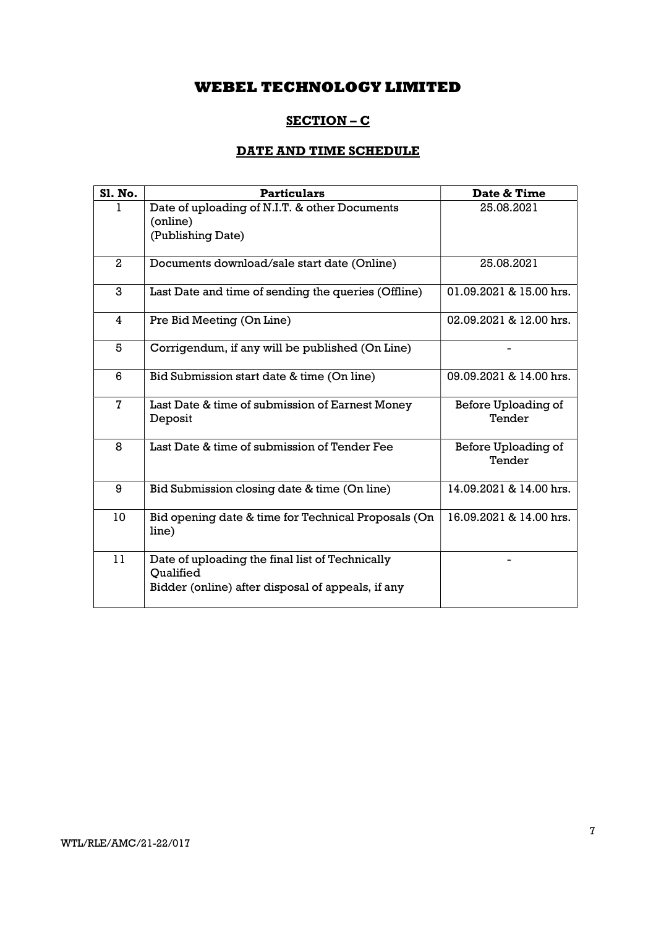# SECTION – C

# DATE AND TIME SCHEDULE

| <b>S1. No.</b> | <b>Particulars</b>                                                                                                | Date & Time                   |
|----------------|-------------------------------------------------------------------------------------------------------------------|-------------------------------|
|                | Date of uploading of N.I.T. & other Documents<br>(online)<br>(Publishing Date)                                    | 25.08.2021                    |
| $\overline{a}$ | Documents download/sale start date (Online)                                                                       | 25.08.2021                    |
| 3              | Last Date and time of sending the queries (Offline)                                                               | 01.09.2021 & 15.00 hrs.       |
| 4              | Pre Bid Meeting (On Line)                                                                                         | 02.09.2021 & 12.00 hrs.       |
| 5              | Corrigendum, if any will be published (On Line)                                                                   |                               |
| 6              | Bid Submission start date & time (On line)                                                                        | 09.09.2021 & 14.00 hrs.       |
| $\mathbf{7}$   | Last Date & time of submission of Earnest Money<br>Deposit                                                        | Before Uploading of<br>Tender |
| 8              | Last Date & time of submission of Tender Fee                                                                      | Before Uploading of<br>Tender |
| 9              | Bid Submission closing date & time (On line)                                                                      | 14.09.2021 & 14.00 hrs.       |
| 10             | Bid opening date & time for Technical Proposals (On<br>line)                                                      | 16.09.2021 & 14.00 hrs.       |
| 11             | Date of uploading the final list of Technically<br>Oualified<br>Bidder (online) after disposal of appeals, if any |                               |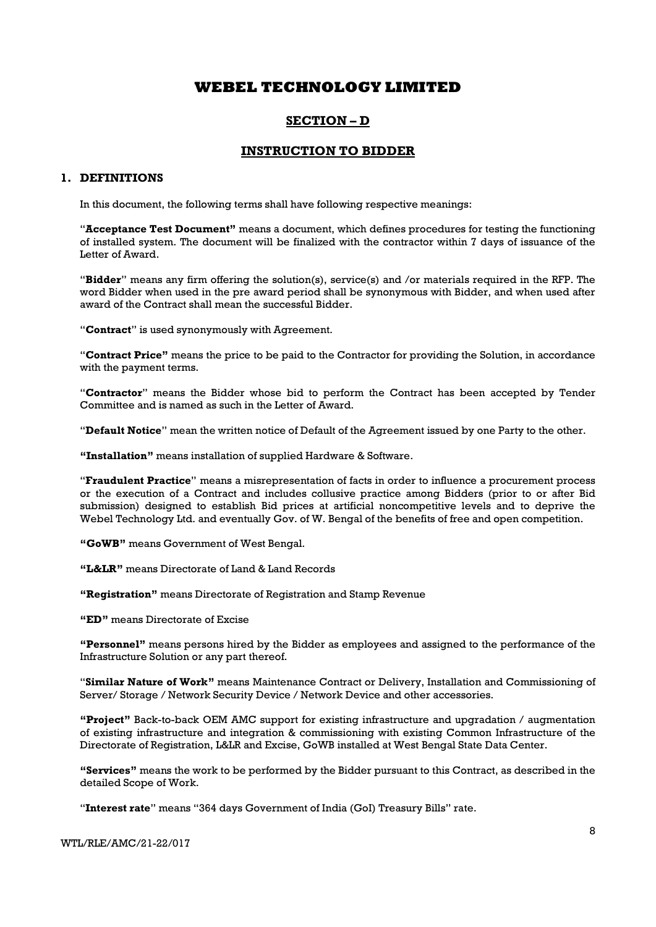## SECTION – D

## INSTRUCTION TO BIDDER

## 1. DEFINITIONS

In this document, the following terms shall have following respective meanings:

"Acceptance Test Document" means a document, which defines procedures for testing the functioning of installed system. The document will be finalized with the contractor within 7 days of issuance of the Letter of Award.

"Bidder" means any firm offering the solution(s), service(s) and /or materials required in the RFP. The word Bidder when used in the pre award period shall be synonymous with Bidder, and when used after award of the Contract shall mean the successful Bidder.

"Contract" is used synonymously with Agreement.

"Contract Price" means the price to be paid to the Contractor for providing the Solution, in accordance with the payment terms.

"Contractor" means the Bidder whose bid to perform the Contract has been accepted by Tender Committee and is named as such in the Letter of Award.

"Default Notice" mean the written notice of Default of the Agreement issued by one Party to the other.

"Installation" means installation of supplied Hardware & Software.

"Fraudulent Practice" means a misrepresentation of facts in order to influence a procurement process or the execution of a Contract and includes collusive practice among Bidders (prior to or after Bid submission) designed to establish Bid prices at artificial noncompetitive levels and to deprive the Webel Technology Ltd. and eventually Gov. of W. Bengal of the benefits of free and open competition.

"GoWB" means Government of West Bengal.

"L&LR" means Directorate of Land & Land Records

"Registration" means Directorate of Registration and Stamp Revenue

"ED" means Directorate of Excise

"Personnel" means persons hired by the Bidder as employees and assigned to the performance of the Infrastructure Solution or any part thereof.

"Similar Nature of Work" means Maintenance Contract or Delivery, Installation and Commissioning of Server/ Storage / Network Security Device / Network Device and other accessories.

"Project" Back-to-back OEM AMC support for existing infrastructure and upgradation / augmentation of existing infrastructure and integration & commissioning with existing Common Infrastructure of the Directorate of Registration, L&LR and Excise, GoWB installed at West Bengal State Data Center.

"Services" means the work to be performed by the Bidder pursuant to this Contract, as described in the detailed Scope of Work.

"Interest rate" means "364 days Government of India (GoI) Treasury Bills" rate.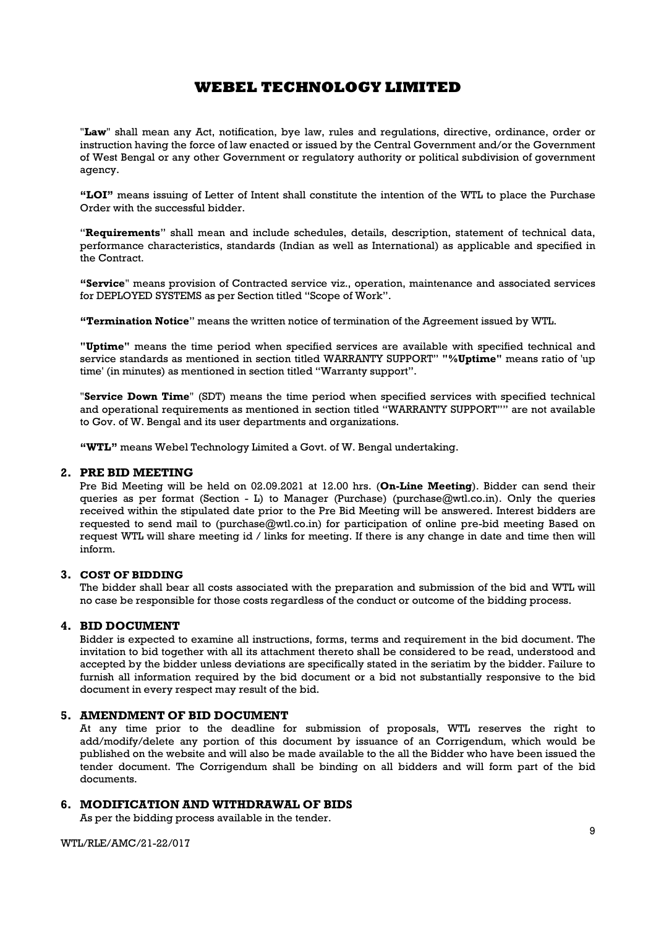"Law" shall mean any Act, notification, bye law, rules and regulations, directive, ordinance, order or instruction having the force of law enacted or issued by the Central Government and/or the Government of West Bengal or any other Government or regulatory authority or political subdivision of government agency.

"LOI" means issuing of Letter of Intent shall constitute the intention of the WTL to place the Purchase Order with the successful bidder.

"Requirements" shall mean and include schedules, details, description, statement of technical data, performance characteristics, standards (Indian as well as International) as applicable and specified in the Contract.

"Service" means provision of Contracted service viz., operation, maintenance and associated services for DEPLOYED SYSTEMS as per Section titled "Scope of Work".

"Termination Notice" means the written notice of termination of the Agreement issued by WTL.

"Uptime" means the time period when specified services are available with specified technical and service standards as mentioned in section titled WARRANTY SUPPORT" "%Uptime" means ratio of 'up time' (in minutes) as mentioned in section titled "Warranty support".

"Service Down Time" (SDT) means the time period when specified services with specified technical and operational requirements as mentioned in section titled "WARRANTY SUPPORT"" are not available to Gov. of W. Bengal and its user departments and organizations.

"WTL" means Webel Technology Limited a Govt. of W. Bengal undertaking.

## 2. PRE BID MEETING

Pre Bid Meeting will be held on 02.09.2021 at 12.00 hrs. (On-Line Meeting). Bidder can send their queries as per format (Section - L) to Manager (Purchase) (purchase@wtl.co.in). Only the queries received within the stipulated date prior to the Pre Bid Meeting will be answered. Interest bidders are requested to send mail to (purchase@wtl.co.in) for participation of online pre-bid meeting Based on request WTL will share meeting id / links for meeting. If there is any change in date and time then will inform.

## 3. COST OF BIDDING

The bidder shall bear all costs associated with the preparation and submission of the bid and WTL will no case be responsible for those costs regardless of the conduct or outcome of the bidding process.

## 4. BID DOCUMENT

Bidder is expected to examine all instructions, forms, terms and requirement in the bid document. The invitation to bid together with all its attachment thereto shall be considered to be read, understood and accepted by the bidder unless deviations are specifically stated in the seriatim by the bidder. Failure to furnish all information required by the bid document or a bid not substantially responsive to the bid document in every respect may result of the bid.

## 5. AMENDMENT OF BID DOCUMENT

At any time prior to the deadline for submission of proposals, WTL reserves the right to add/modify/delete any portion of this document by issuance of an Corrigendum, which would be published on the website and will also be made available to the all the Bidder who have been issued the tender document. The Corrigendum shall be binding on all bidders and will form part of the bid documents.

## 6. MODIFICATION AND WITHDRAWAL OF BIDS

As per the bidding process available in the tender.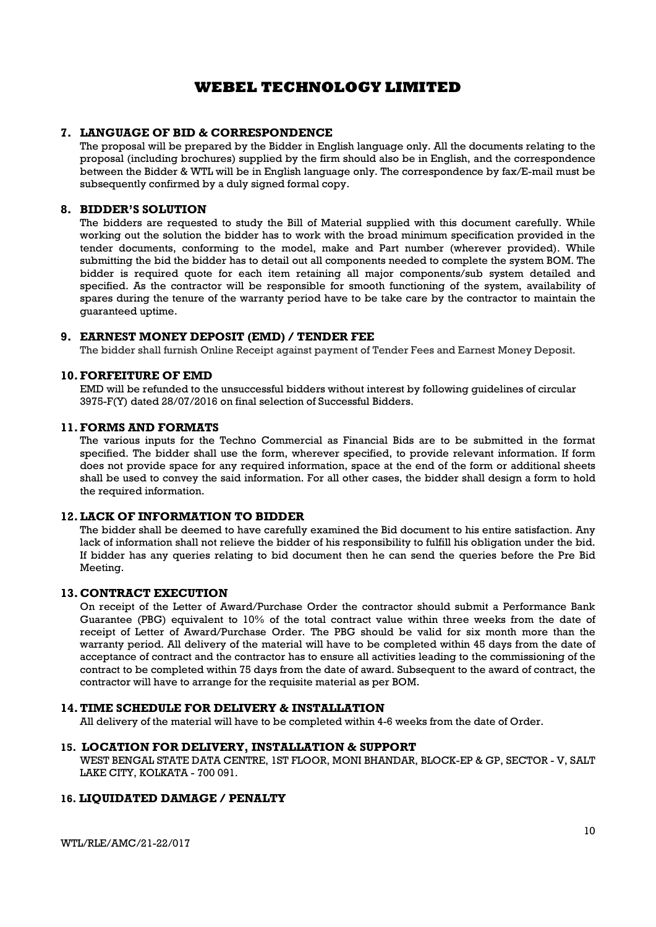## 7. LANGUAGE OF BID & CORRESPONDENCE

The proposal will be prepared by the Bidder in English language only. All the documents relating to the proposal (including brochures) supplied by the firm should also be in English, and the correspondence between the Bidder & WTL will be in English language only. The correspondence by fax/E-mail must be subsequently confirmed by a duly signed formal copy.

## 8. BIDDER'S SOLUTION

The bidders are requested to study the Bill of Material supplied with this document carefully. While working out the solution the bidder has to work with the broad minimum specification provided in the tender documents, conforming to the model, make and Part number (wherever provided). While submitting the bid the bidder has to detail out all components needed to complete the system BOM. The bidder is required quote for each item retaining all major components/sub system detailed and specified. As the contractor will be responsible for smooth functioning of the system, availability of spares during the tenure of the warranty period have to be take care by the contractor to maintain the guaranteed uptime.

## 9. EARNEST MONEY DEPOSIT (EMD) / TENDER FEE

The bidder shall furnish Online Receipt against payment of Tender Fees and Earnest Money Deposit.

## 10.FORFEITURE OF EMD

EMD will be refunded to the unsuccessful bidders without interest by following guidelines of circular 3975-F(Y) dated 28/07/2016 on final selection of Successful Bidders.

## 11.FORMS AND FORMATS

The various inputs for the Techno Commercial as Financial Bids are to be submitted in the format specified. The bidder shall use the form, wherever specified, to provide relevant information. If form does not provide space for any required information, space at the end of the form or additional sheets shall be used to convey the said information. For all other cases, the bidder shall design a form to hold the required information.

## 12.LACK OF INFORMATION TO BIDDER

The bidder shall be deemed to have carefully examined the Bid document to his entire satisfaction. Any lack of information shall not relieve the bidder of his responsibility to fulfill his obligation under the bid. If bidder has any queries relating to bid document then he can send the queries before the Pre Bid Meeting.

## 13. CONTRACT EXECUTION

On receipt of the Letter of Award/Purchase Order the contractor should submit a Performance Bank Guarantee (PBG) equivalent to 10% of the total contract value within three weeks from the date of receipt of Letter of Award/Purchase Order. The PBG should be valid for six month more than the warranty period. All delivery of the material will have to be completed within 45 days from the date of acceptance of contract and the contractor has to ensure all activities leading to the commissioning of the contract to be completed within 75 days from the date of award. Subsequent to the award of contract, the contractor will have to arrange for the requisite material as per BOM.

## 14.TIME SCHEDULE FOR DELIVERY & INSTALLATION

All delivery of the material will have to be completed within 4-6 weeks from the date of Order.

## 15. LOCATION FOR DELIVERY, INSTALLATION & SUPPORT

WEST BENGAL STATE DATA CENTRE, 1ST FLOOR, MONI BHANDAR, BLOCK-EP & GP, SECTOR - V, SALT LAKE CITY, KOLKATA - 700 091.

## 16. LIQUIDATED DAMAGE / PENALTY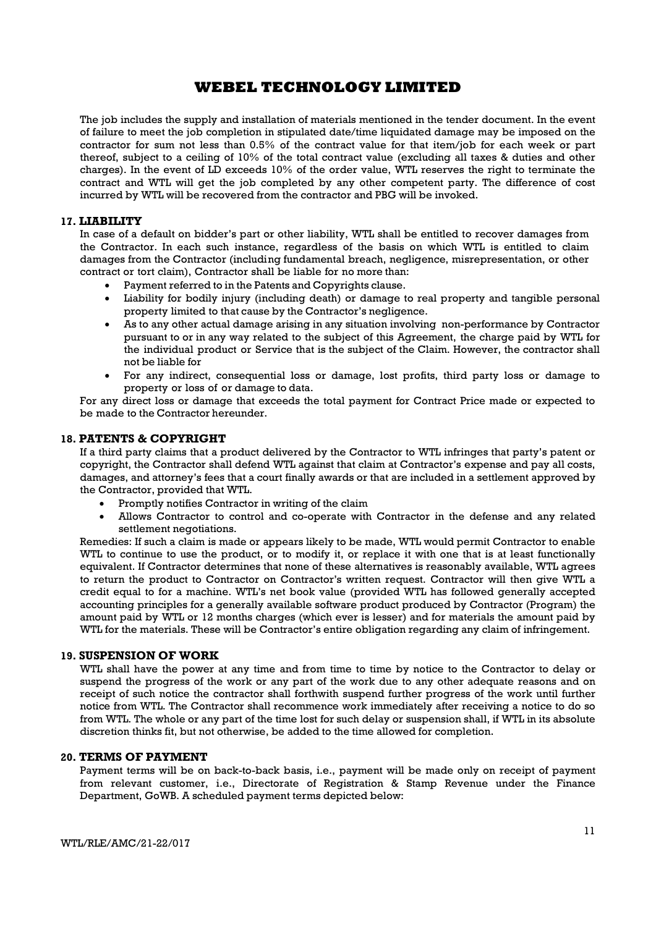The job includes the supply and installation of materials mentioned in the tender document. In the event of failure to meet the job completion in stipulated date/time liquidated damage may be imposed on the contractor for sum not less than 0.5% of the contract value for that item/job for each week or part thereof, subject to a ceiling of 10% of the total contract value (excluding all taxes & duties and other charges). In the event of LD exceeds 10% of the order value, WTL reserves the right to terminate the contract and WTL will get the job completed by any other competent party. The difference of cost incurred by WTL will be recovered from the contractor and PBG will be invoked.

## 17. LIABILITY

In case of a default on bidder's part or other liability, WTL shall be entitled to recover damages from the Contractor. In each such instance, regardless of the basis on which WTL is entitled to claim damages from the Contractor (including fundamental breach, negligence, misrepresentation, or other contract or tort claim), Contractor shall be liable for no more than:

- Payment referred to in the Patents and Copyrights clause.
- Liability for bodily injury (including death) or damage to real property and tangible personal property limited to that cause by the Contractor's negligence.
- As to any other actual damage arising in any situation involving non-performance by Contractor pursuant to or in any way related to the subject of this Agreement, the charge paid by WTL for the individual product or Service that is the subject of the Claim. However, the contractor shall not be liable for
- For any indirect, consequential loss or damage, lost profits, third party loss or damage to property or loss of or damage to data.

For any direct loss or damage that exceeds the total payment for Contract Price made or expected to be made to the Contractor hereunder.

## 18. PATENTS & COPYRIGHT

If a third party claims that a product delivered by the Contractor to WTL infringes that party's patent or copyright, the Contractor shall defend WTL against that claim at Contractor's expense and pay all costs, damages, and attorney's fees that a court finally awards or that are included in a settlement approved by the Contractor, provided that WTL.

- Promptly notifies Contractor in writing of the claim
- Allows Contractor to control and co-operate with Contractor in the defense and any related settlement negotiations.

Remedies: If such a claim is made or appears likely to be made, WTL would permit Contractor to enable WTL to continue to use the product, or to modify it, or replace it with one that is at least functionally equivalent. If Contractor determines that none of these alternatives is reasonably available, WTL agrees to return the product to Contractor on Contractor's written request. Contractor will then give WTL a credit equal to for a machine. WTL's net book value (provided WTL has followed generally accepted accounting principles for a generally available software product produced by Contractor (Program) the amount paid by WTL or 12 months charges (which ever is lesser) and for materials the amount paid by WTL for the materials. These will be Contractor's entire obligation regarding any claim of infringement.

## 19. SUSPENSION OF WORK

WTL shall have the power at any time and from time to time by notice to the Contractor to delay or suspend the progress of the work or any part of the work due to any other adequate reasons and on receipt of such notice the contractor shall forthwith suspend further progress of the work until further notice from WTL. The Contractor shall recommence work immediately after receiving a notice to do so from WTL. The whole or any part of the time lost for such delay or suspension shall, if WTL in its absolute discretion thinks fit, but not otherwise, be added to the time allowed for completion.

## 20. TERMS OF PAYMENT

Payment terms will be on back-to-back basis, i.e., payment will be made only on receipt of payment from relevant customer, i.e., Directorate of Registration & Stamp Revenue under the Finance Department, GoWB. A scheduled payment terms depicted below: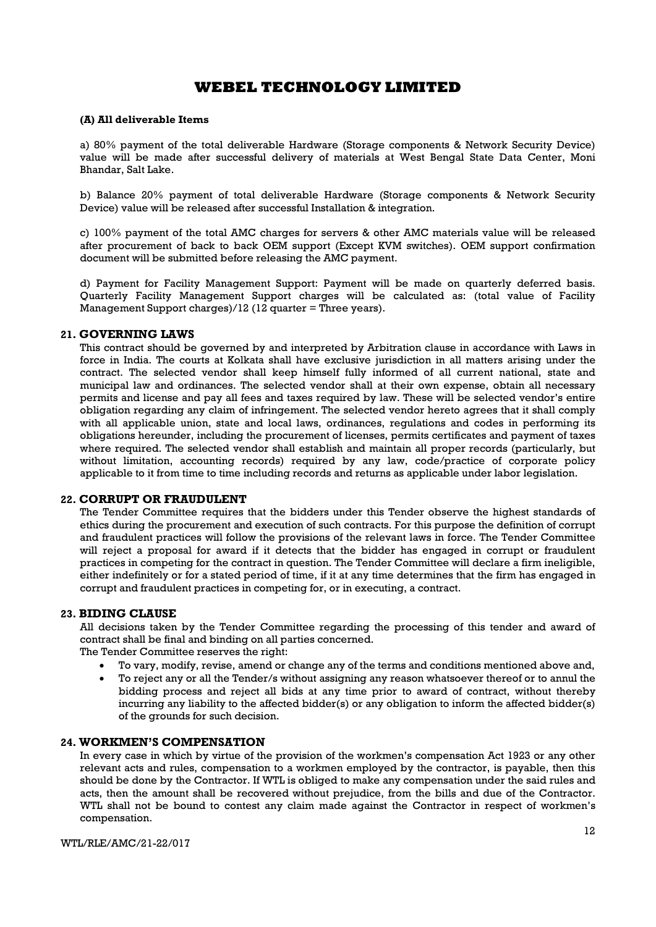#### (A) All deliverable Items

a) 80% payment of the total deliverable Hardware (Storage components & Network Security Device) value will be made after successful delivery of materials at West Bengal State Data Center, Moni Bhandar, Salt Lake.

b) Balance 20% payment of total deliverable Hardware (Storage components & Network Security Device) value will be released after successful Installation & integration.

c) 100% payment of the total AMC charges for servers & other AMC materials value will be released after procurement of back to back OEM support (Except KVM switches). OEM support confirmation document will be submitted before releasing the AMC payment.

d) Payment for Facility Management Support: Payment will be made on quarterly deferred basis. Quarterly Facility Management Support charges will be calculated as: (total value of Facility Management Support charges)/12 (12 quarter = Three years).

## 21. GOVERNING LAWS

This contract should be governed by and interpreted by Arbitration clause in accordance with Laws in force in India. The courts at Kolkata shall have exclusive jurisdiction in all matters arising under the contract. The selected vendor shall keep himself fully informed of all current national, state and municipal law and ordinances. The selected vendor shall at their own expense, obtain all necessary permits and license and pay all fees and taxes required by law. These will be selected vendor's entire obligation regarding any claim of infringement. The selected vendor hereto agrees that it shall comply with all applicable union, state and local laws, ordinances, regulations and codes in performing its obligations hereunder, including the procurement of licenses, permits certificates and payment of taxes where required. The selected vendor shall establish and maintain all proper records (particularly, but without limitation, accounting records) required by any law, code/practice of corporate policy applicable to it from time to time including records and returns as applicable under labor legislation.

#### 22. CORRUPT OR FRAUDULENT

The Tender Committee requires that the bidders under this Tender observe the highest standards of ethics during the procurement and execution of such contracts. For this purpose the definition of corrupt and fraudulent practices will follow the provisions of the relevant laws in force. The Tender Committee will reject a proposal for award if it detects that the bidder has engaged in corrupt or fraudulent practices in competing for the contract in question. The Tender Committee will declare a firm ineligible, either indefinitely or for a stated period of time, if it at any time determines that the firm has engaged in corrupt and fraudulent practices in competing for, or in executing, a contract.

## 23. BIDING CLAUSE

All decisions taken by the Tender Committee regarding the processing of this tender and award of contract shall be final and binding on all parties concerned. The Tender Committee reserves the right:

- To vary, modify, revise, amend or change any of the terms and conditions mentioned above and,
- To reject any or all the Tender/s without assigning any reason whatsoever thereof or to annul the bidding process and reject all bids at any time prior to award of contract, without thereby incurring any liability to the affected bidder(s) or any obligation to inform the affected bidder(s) of the grounds for such decision.

## 24. WORKMEN'S COMPENSATION

In every case in which by virtue of the provision of the workmen's compensation Act 1923 or any other relevant acts and rules, compensation to a workmen employed by the contractor, is payable, then this should be done by the Contractor. If WTL is obliged to make any compensation under the said rules and acts, then the amount shall be recovered without prejudice, from the bills and due of the Contractor. WTL shall not be bound to contest any claim made against the Contractor in respect of workmen's compensation.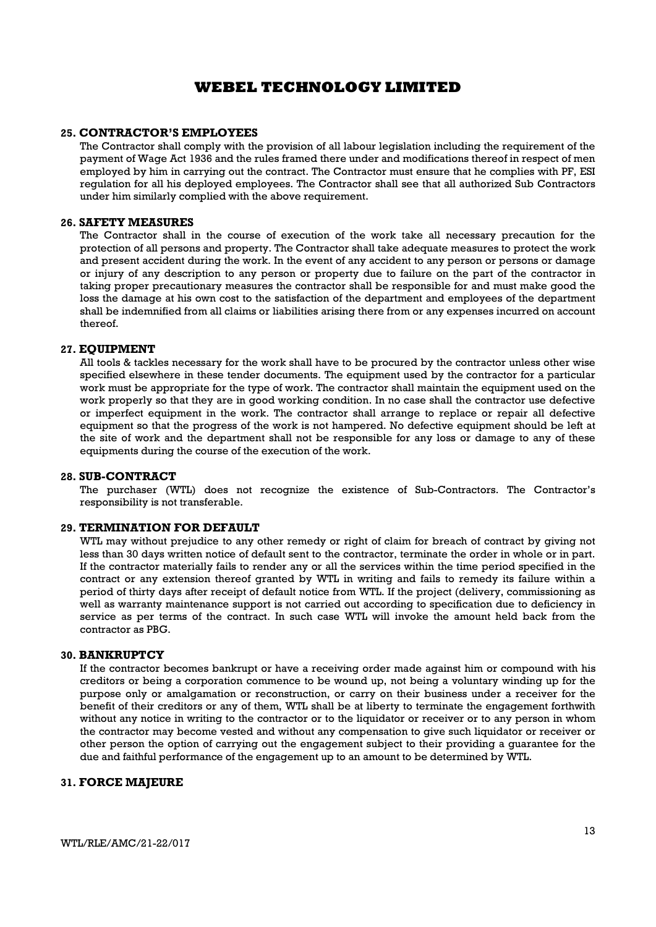#### 25. CONTRACTOR'S EMPLOYEES

The Contractor shall comply with the provision of all labour legislation including the requirement of the payment of Wage Act 1936 and the rules framed there under and modifications thereof in respect of men employed by him in carrying out the contract. The Contractor must ensure that he complies with PF, ESI regulation for all his deployed employees. The Contractor shall see that all authorized Sub Contractors under him similarly complied with the above requirement.

#### 26. SAFETY MEASURES

The Contractor shall in the course of execution of the work take all necessary precaution for the protection of all persons and property. The Contractor shall take adequate measures to protect the work and present accident during the work. In the event of any accident to any person or persons or damage or injury of any description to any person or property due to failure on the part of the contractor in taking proper precautionary measures the contractor shall be responsible for and must make good the loss the damage at his own cost to the satisfaction of the department and employees of the department shall be indemnified from all claims or liabilities arising there from or any expenses incurred on account thereof.

#### 27. EQUIPMENT

All tools & tackles necessary for the work shall have to be procured by the contractor unless other wise specified elsewhere in these tender documents. The equipment used by the contractor for a particular work must be appropriate for the type of work. The contractor shall maintain the equipment used on the work properly so that they are in good working condition. In no case shall the contractor use defective or imperfect equipment in the work. The contractor shall arrange to replace or repair all defective equipment so that the progress of the work is not hampered. No defective equipment should be left at the site of work and the department shall not be responsible for any loss or damage to any of these equipments during the course of the execution of the work.

#### 28. SUB-CONTRACT

The purchaser (WTL) does not recognize the existence of Sub-Contractors. The Contractor's responsibility is not transferable.

#### 29. TERMINATION FOR DEFAULT

WTL may without prejudice to any other remedy or right of claim for breach of contract by giving not less than 30 days written notice of default sent to the contractor, terminate the order in whole or in part. If the contractor materially fails to render any or all the services within the time period specified in the contract or any extension thereof granted by WTL in writing and fails to remedy its failure within a period of thirty days after receipt of default notice from WTL. If the project (delivery, commissioning as well as warranty maintenance support is not carried out according to specification due to deficiency in service as per terms of the contract. In such case WTL will invoke the amount held back from the contractor as PBG.

#### 30. BANKRUPTCY

If the contractor becomes bankrupt or have a receiving order made against him or compound with his creditors or being a corporation commence to be wound up, not being a voluntary winding up for the purpose only or amalgamation or reconstruction, or carry on their business under a receiver for the benefit of their creditors or any of them, WTL shall be at liberty to terminate the engagement forthwith without any notice in writing to the contractor or to the liquidator or receiver or to any person in whom the contractor may become vested and without any compensation to give such liquidator or receiver or other person the option of carrying out the engagement subject to their providing a guarantee for the due and faithful performance of the engagement up to an amount to be determined by WTL.

## 31. FORCE MAJEURE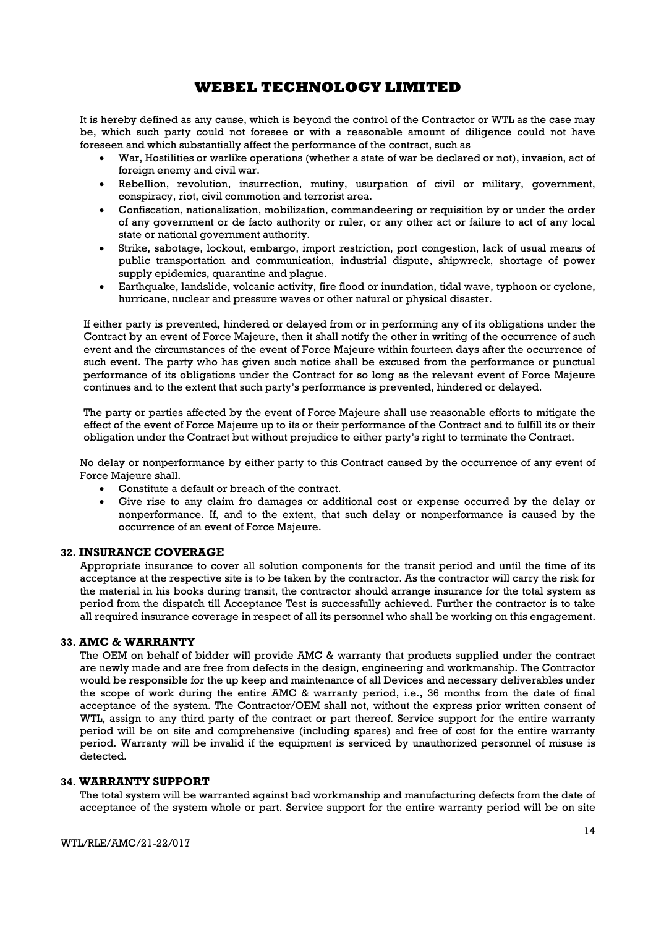It is hereby defined as any cause, which is beyond the control of the Contractor or WTL as the case may be, which such party could not foresee or with a reasonable amount of diligence could not have foreseen and which substantially affect the performance of the contract, such as

- War, Hostilities or warlike operations (whether a state of war be declared or not), invasion, act of foreign enemy and civil war.
- Rebellion, revolution, insurrection, mutiny, usurpation of civil or military, government, conspiracy, riot, civil commotion and terrorist area.
- Confiscation, nationalization, mobilization, commandeering or requisition by or under the order of any government or de facto authority or ruler, or any other act or failure to act of any local state or national government authority.
- Strike, sabotage, lockout, embargo, import restriction, port congestion, lack of usual means of public transportation and communication, industrial dispute, shipwreck, shortage of power supply epidemics, quarantine and plague.
- Earthquake, landslide, volcanic activity, fire flood or inundation, tidal wave, typhoon or cyclone, hurricane, nuclear and pressure waves or other natural or physical disaster.

If either party is prevented, hindered or delayed from or in performing any of its obligations under the Contract by an event of Force Majeure, then it shall notify the other in writing of the occurrence of such event and the circumstances of the event of Force Majeure within fourteen days after the occurrence of such event. The party who has given such notice shall be excused from the performance or punctual performance of its obligations under the Contract for so long as the relevant event of Force Majeure continues and to the extent that such party's performance is prevented, hindered or delayed.

The party or parties affected by the event of Force Majeure shall use reasonable efforts to mitigate the effect of the event of Force Majeure up to its or their performance of the Contract and to fulfill its or their obligation under the Contract but without prejudice to either party's right to terminate the Contract.

No delay or nonperformance by either party to this Contract caused by the occurrence of any event of Force Majeure shall.

- Constitute a default or breach of the contract.
- Give rise to any claim fro damages or additional cost or expense occurred by the delay or nonperformance. If, and to the extent, that such delay or nonperformance is caused by the occurrence of an event of Force Majeure.

## 32. INSURANCE COVERAGE

Appropriate insurance to cover all solution components for the transit period and until the time of its acceptance at the respective site is to be taken by the contractor. As the contractor will carry the risk for the material in his books during transit, the contractor should arrange insurance for the total system as period from the dispatch till Acceptance Test is successfully achieved. Further the contractor is to take all required insurance coverage in respect of all its personnel who shall be working on this engagement.

#### 33. AMC & WARRANTY

The OEM on behalf of bidder will provide AMC & warranty that products supplied under the contract are newly made and are free from defects in the design, engineering and workmanship. The Contractor would be responsible for the up keep and maintenance of all Devices and necessary deliverables under the scope of work during the entire AMC & warranty period, i.e., 36 months from the date of final acceptance of the system. The Contractor/OEM shall not, without the express prior written consent of WTL, assign to any third party of the contract or part thereof. Service support for the entire warranty period will be on site and comprehensive (including spares) and free of cost for the entire warranty period. Warranty will be invalid if the equipment is serviced by unauthorized personnel of misuse is detected.

#### 34. WARRANTY SUPPORT

The total system will be warranted against bad workmanship and manufacturing defects from the date of acceptance of the system whole or part. Service support for the entire warranty period will be on site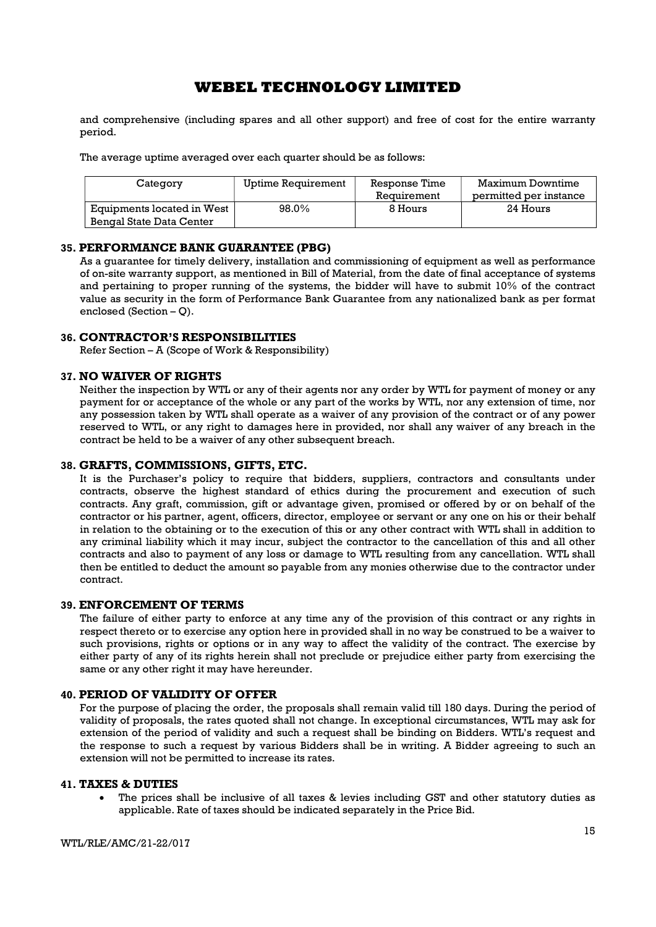and comprehensive (including spares and all other support) and free of cost for the entire warranty period.

The average uptime averaged over each quarter should be as follows:

| Category                   | Uptime Requirement | Response Time | Maximum Downtime       |  |
|----------------------------|--------------------|---------------|------------------------|--|
|                            |                    | Requirement   | permitted per instance |  |
| Equipments located in West | 98.0%              | 8 Hours       | 24 Hours               |  |
| Bengal State Data Center   |                    |               |                        |  |

## 35. PERFORMANCE BANK GUARANTEE (PBG)

As a guarantee for timely delivery, installation and commissioning of equipment as well as performance of on-site warranty support, as mentioned in Bill of Material, from the date of final acceptance of systems and pertaining to proper running of the systems, the bidder will have to submit 10% of the contract value as security in the form of Performance Bank Guarantee from any nationalized bank as per format enclosed (Section – Q).

## 36. CONTRACTOR'S RESPONSIBILITIES

Refer Section – A (Scope of Work & Responsibility)

## 37. NO WAIVER OF RIGHTS

Neither the inspection by WTL or any of their agents nor any order by WTL for payment of money or any payment for or acceptance of the whole or any part of the works by WTL, nor any extension of time, nor any possession taken by WTL shall operate as a waiver of any provision of the contract or of any power reserved to WTL, or any right to damages here in provided, nor shall any waiver of any breach in the contract be held to be a waiver of any other subsequent breach.

#### 38. GRAFTS, COMMISSIONS, GIFTS, ETC.

It is the Purchaser's policy to require that bidders, suppliers, contractors and consultants under contracts, observe the highest standard of ethics during the procurement and execution of such contracts. Any graft, commission, gift or advantage given, promised or offered by or on behalf of the contractor or his partner, agent, officers, director, employee or servant or any one on his or their behalf in relation to the obtaining or to the execution of this or any other contract with WTL shall in addition to any criminal liability which it may incur, subject the contractor to the cancellation of this and all other contracts and also to payment of any loss or damage to WTL resulting from any cancellation. WTL shall then be entitled to deduct the amount so payable from any monies otherwise due to the contractor under contract.

#### 39. ENFORCEMENT OF TERMS

The failure of either party to enforce at any time any of the provision of this contract or any rights in respect thereto or to exercise any option here in provided shall in no way be construed to be a waiver to such provisions, rights or options or in any way to affect the validity of the contract. The exercise by either party of any of its rights herein shall not preclude or prejudice either party from exercising the same or any other right it may have hereunder.

## 40. PERIOD OF VALIDITY OF OFFER

For the purpose of placing the order, the proposals shall remain valid till 180 days. During the period of validity of proposals, the rates quoted shall not change. In exceptional circumstances, WTL may ask for extension of the period of validity and such a request shall be binding on Bidders. WTL's request and the response to such a request by various Bidders shall be in writing. A Bidder agreeing to such an extension will not be permitted to increase its rates.

#### 41. TAXES & DUTIES

 The prices shall be inclusive of all taxes & levies including GST and other statutory duties as applicable. Rate of taxes should be indicated separately in the Price Bid.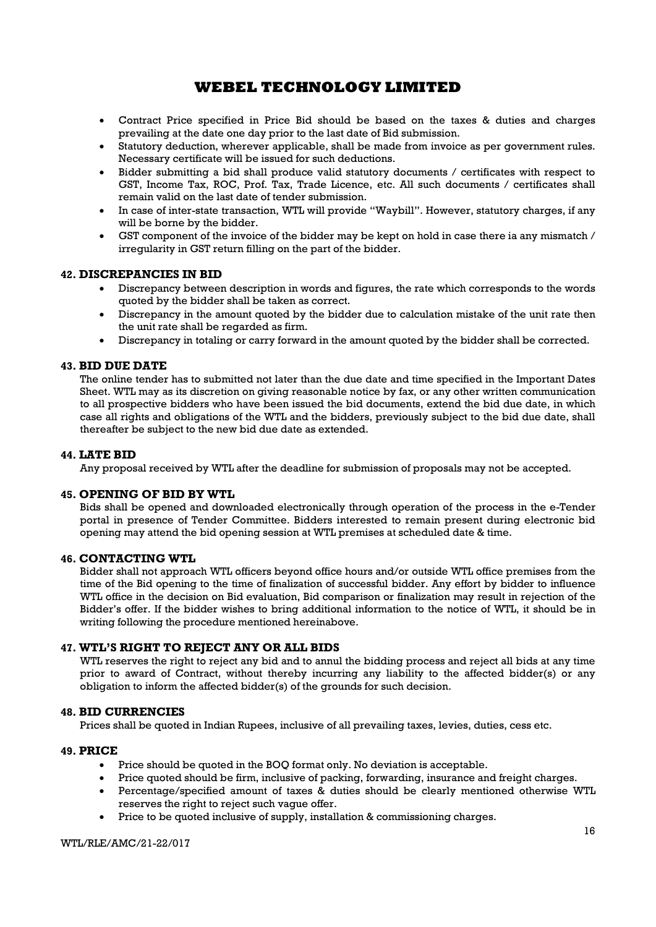- Contract Price specified in Price Bid should be based on the taxes & duties and charges prevailing at the date one day prior to the last date of Bid submission.
- Statutory deduction, wherever applicable, shall be made from invoice as per government rules. Necessary certificate will be issued for such deductions.
- Bidder submitting a bid shall produce valid statutory documents / certificates with respect to GST, Income Tax, ROC, Prof. Tax, Trade Licence, etc. All such documents / certificates shall remain valid on the last date of tender submission.
- In case of inter-state transaction, WTL will provide "Waybill". However, statutory charges, if any will be borne by the bidder.
- GST component of the invoice of the bidder may be kept on hold in case there ia any mismatch / irregularity in GST return filling on the part of the bidder.

## 42. DISCREPANCIES IN BID

- Discrepancy between description in words and figures, the rate which corresponds to the words quoted by the bidder shall be taken as correct.
- Discrepancy in the amount quoted by the bidder due to calculation mistake of the unit rate then the unit rate shall be regarded as firm.
- Discrepancy in totaling or carry forward in the amount quoted by the bidder shall be corrected.

## 43. BID DUE DATE

The online tender has to submitted not later than the due date and time specified in the Important Dates Sheet. WTL may as its discretion on giving reasonable notice by fax, or any other written communication to all prospective bidders who have been issued the bid documents, extend the bid due date, in which case all rights and obligations of the WTL and the bidders, previously subject to the bid due date, shall thereafter be subject to the new bid due date as extended.

## 44. LATE BID

Any proposal received by WTL after the deadline for submission of proposals may not be accepted.

## 45. OPENING OF BID BY WTL

Bids shall be opened and downloaded electronically through operation of the process in the e-Tender portal in presence of Tender Committee. Bidders interested to remain present during electronic bid opening may attend the bid opening session at WTL premises at scheduled date & time.

## 46. CONTACTING WTL

Bidder shall not approach WTL officers beyond office hours and/or outside WTL office premises from the time of the Bid opening to the time of finalization of successful bidder. Any effort by bidder to influence WTL office in the decision on Bid evaluation, Bid comparison or finalization may result in rejection of the Bidder's offer. If the bidder wishes to bring additional information to the notice of WTL, it should be in writing following the procedure mentioned hereinabove.

## 47. WTL'S RIGHT TO REJECT ANY OR ALL BIDS

WTL reserves the right to reject any bid and to annul the bidding process and reject all bids at any time prior to award of Contract, without thereby incurring any liability to the affected bidder(s) or any obligation to inform the affected bidder(s) of the grounds for such decision.

## 48. BID CURRENCIES

Prices shall be quoted in Indian Rupees, inclusive of all prevailing taxes, levies, duties, cess etc.

## 49. PRICE

- Price should be quoted in the BOQ format only. No deviation is acceptable.
- Price quoted should be firm, inclusive of packing, forwarding, insurance and freight charges.
- Percentage/specified amount of taxes & duties should be clearly mentioned otherwise WTL reserves the right to reject such vague offer.
- Price to be quoted inclusive of supply, installation & commissioning charges.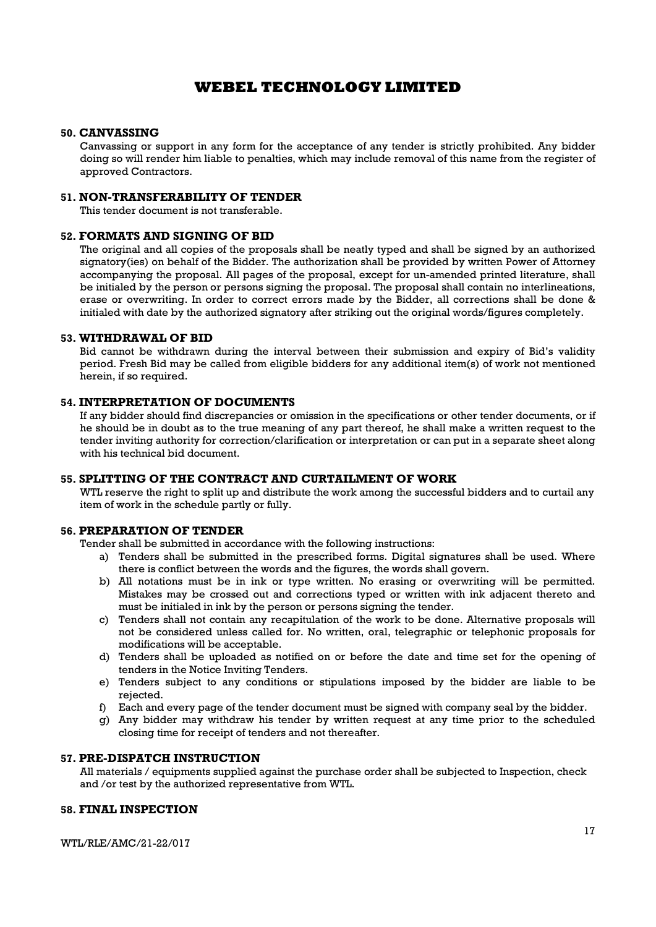#### 50. CANVASSING

Canvassing or support in any form for the acceptance of any tender is strictly prohibited. Any bidder doing so will render him liable to penalties, which may include removal of this name from the register of approved Contractors.

#### 51. NON-TRANSFERABILITY OF TENDER

This tender document is not transferable.

## 52. FORMATS AND SIGNING OF BID

The original and all copies of the proposals shall be neatly typed and shall be signed by an authorized signatory(ies) on behalf of the Bidder. The authorization shall be provided by written Power of Attorney accompanying the proposal. All pages of the proposal, except for un-amended printed literature, shall be initialed by the person or persons signing the proposal. The proposal shall contain no interlineations, erase or overwriting. In order to correct errors made by the Bidder, all corrections shall be done & initialed with date by the authorized signatory after striking out the original words/figures completely.

#### 53. WITHDRAWAL OF BID

Bid cannot be withdrawn during the interval between their submission and expiry of Bid's validity period. Fresh Bid may be called from eligible bidders for any additional item(s) of work not mentioned herein, if so required.

## 54. INTERPRETATION OF DOCUMENTS

If any bidder should find discrepancies or omission in the specifications or other tender documents, or if he should be in doubt as to the true meaning of any part thereof, he shall make a written request to the tender inviting authority for correction/clarification or interpretation or can put in a separate sheet along with his technical bid document.

## 55. SPLITTING OF THE CONTRACT AND CURTAILMENT OF WORK

WTL reserve the right to split up and distribute the work among the successful bidders and to curtail any item of work in the schedule partly or fully.

## 56. PREPARATION OF TENDER

Tender shall be submitted in accordance with the following instructions:

- a) Tenders shall be submitted in the prescribed forms. Digital signatures shall be used. Where there is conflict between the words and the figures, the words shall govern.
- b) All notations must be in ink or type written. No erasing or overwriting will be permitted. Mistakes may be crossed out and corrections typed or written with ink adjacent thereto and must be initialed in ink by the person or persons signing the tender.
- c) Tenders shall not contain any recapitulation of the work to be done. Alternative proposals will not be considered unless called for. No written, oral, telegraphic or telephonic proposals for modifications will be acceptable.
- d) Tenders shall be uploaded as notified on or before the date and time set for the opening of tenders in the Notice Inviting Tenders.
- e) Tenders subject to any conditions or stipulations imposed by the bidder are liable to be rejected.
- f) Each and every page of the tender document must be signed with company seal by the bidder.
- g) Any bidder may withdraw his tender by written request at any time prior to the scheduled closing time for receipt of tenders and not thereafter.

## 57. PRE-DISPATCH INSTRUCTION

All materials / equipments supplied against the purchase order shall be subjected to Inspection, check and /or test by the authorized representative from WTL.

## 58. FINAL INSPECTION

WTL/RLE/AMC/21-22/017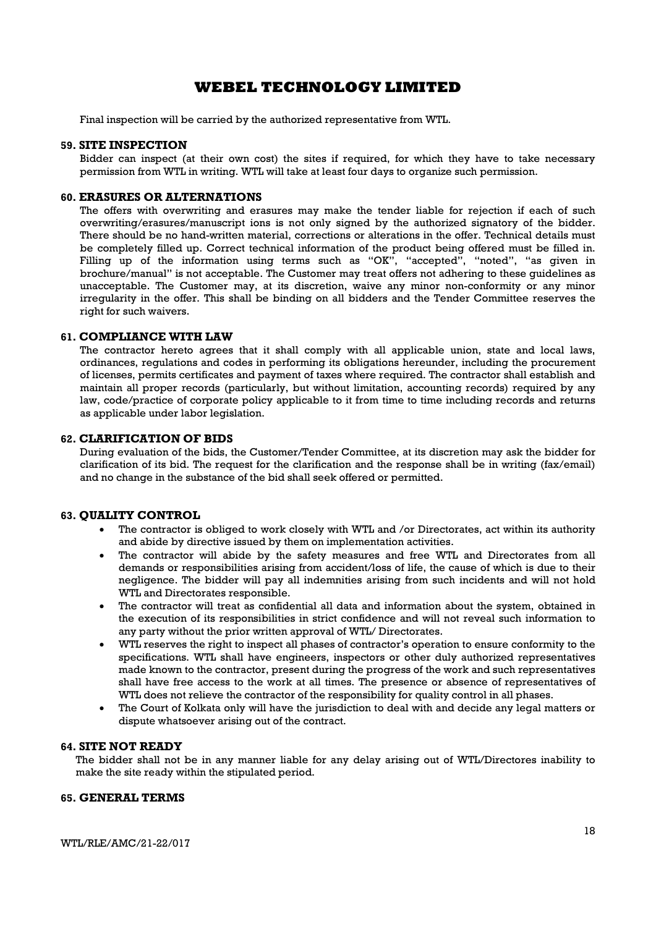Final inspection will be carried by the authorized representative from WTL.

#### 59. SITE INSPECTION

Bidder can inspect (at their own cost) the sites if required, for which they have to take necessary permission from WTL in writing. WTL will take at least four days to organize such permission.

#### 60. ERASURES OR ALTERNATIONS

The offers with overwriting and erasures may make the tender liable for rejection if each of such overwriting/erasures/manuscript ions is not only signed by the authorized signatory of the bidder. There should be no hand-written material, corrections or alterations in the offer. Technical details must be completely filled up. Correct technical information of the product being offered must be filled in. Filling up of the information using terms such as "OK", "accepted", "noted", "as given in brochure/manual" is not acceptable. The Customer may treat offers not adhering to these guidelines as unacceptable. The Customer may, at its discretion, waive any minor non-conformity or any minor irregularity in the offer. This shall be binding on all bidders and the Tender Committee reserves the right for such waivers.

#### 61. COMPLIANCE WITH LAW

The contractor hereto agrees that it shall comply with all applicable union, state and local laws, ordinances, regulations and codes in performing its obligations hereunder, including the procurement of licenses, permits certificates and payment of taxes where required. The contractor shall establish and maintain all proper records (particularly, but without limitation, accounting records) required by any law, code/practice of corporate policy applicable to it from time to time including records and returns as applicable under labor legislation.

#### 62. CLARIFICATION OF BIDS

During evaluation of the bids, the Customer/Tender Committee, at its discretion may ask the bidder for clarification of its bid. The request for the clarification and the response shall be in writing (fax/email) and no change in the substance of the bid shall seek offered or permitted.

## 63. QUALITY CONTROL

- The contractor is obliged to work closely with WTL and /or Directorates, act within its authority and abide by directive issued by them on implementation activities.
- The contractor will abide by the safety measures and free WTL and Directorates from all demands or responsibilities arising from accident/loss of life, the cause of which is due to their negligence. The bidder will pay all indemnities arising from such incidents and will not hold WTL and Directorates responsible.
- The contractor will treat as confidential all data and information about the system, obtained in the execution of its responsibilities in strict confidence and will not reveal such information to any party without the prior written approval of WTL/ Directorates.
- WTL reserves the right to inspect all phases of contractor's operation to ensure conformity to the specifications. WTL shall have engineers, inspectors or other duly authorized representatives made known to the contractor, present during the progress of the work and such representatives shall have free access to the work at all times. The presence or absence of representatives of WTL does not relieve the contractor of the responsibility for quality control in all phases.
- The Court of Kolkata only will have the jurisdiction to deal with and decide any legal matters or dispute whatsoever arising out of the contract.

## 64. SITE NOT READY

The bidder shall not be in any manner liable for any delay arising out of WTL/Directores inability to make the site ready within the stipulated period.

## 65. GENERAL TERMS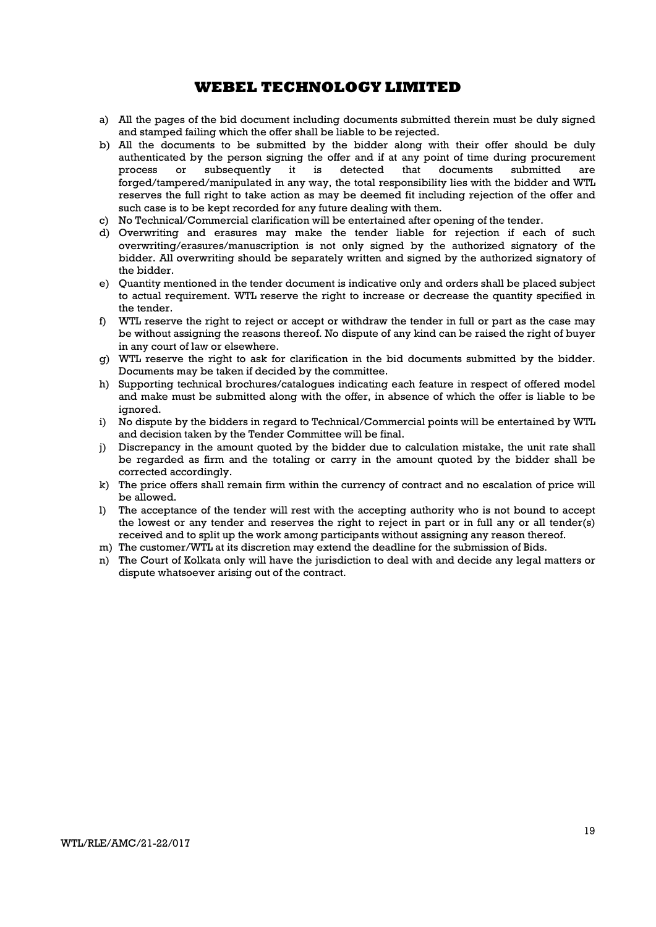- a) All the pages of the bid document including documents submitted therein must be duly signed and stamped failing which the offer shall be liable to be rejected.
- b) All the documents to be submitted by the bidder along with their offer should be duly authenticated by the person signing the offer and if at any point of time during procurement process or subsequently it is detected that documents submitted are forged/tampered/manipulated in any way, the total responsibility lies with the bidder and WTL reserves the full right to take action as may be deemed fit including rejection of the offer and such case is to be kept recorded for any future dealing with them.
- c) No Technical/Commercial clarification will be entertained after opening of the tender.
- d) Overwriting and erasures may make the tender liable for rejection if each of such overwriting/erasures/manuscription is not only signed by the authorized signatory of the bidder. All overwriting should be separately written and signed by the authorized signatory of the bidder.
- e) Quantity mentioned in the tender document is indicative only and orders shall be placed subject to actual requirement. WTL reserve the right to increase or decrease the quantity specified in the tender.
- f) WTL reserve the right to reject or accept or withdraw the tender in full or part as the case may be without assigning the reasons thereof. No dispute of any kind can be raised the right of buyer in any court of law or elsewhere.
- g) WTL reserve the right to ask for clarification in the bid documents submitted by the bidder. Documents may be taken if decided by the committee.
- h) Supporting technical brochures/catalogues indicating each feature in respect of offered model and make must be submitted along with the offer, in absence of which the offer is liable to be ignored.
- i) No dispute by the bidders in regard to Technical/Commercial points will be entertained by WTL and decision taken by the Tender Committee will be final.
- j) Discrepancy in the amount quoted by the bidder due to calculation mistake, the unit rate shall be regarded as firm and the totaling or carry in the amount quoted by the bidder shall be corrected accordingly.
- k) The price offers shall remain firm within the currency of contract and no escalation of price will be allowed.
- l) The acceptance of the tender will rest with the accepting authority who is not bound to accept the lowest or any tender and reserves the right to reject in part or in full any or all tender(s) received and to split up the work among participants without assigning any reason thereof.
- m) The customer/WTL at its discretion may extend the deadline for the submission of Bids.
- n) The Court of Kolkata only will have the jurisdiction to deal with and decide any legal matters or dispute whatsoever arising out of the contract.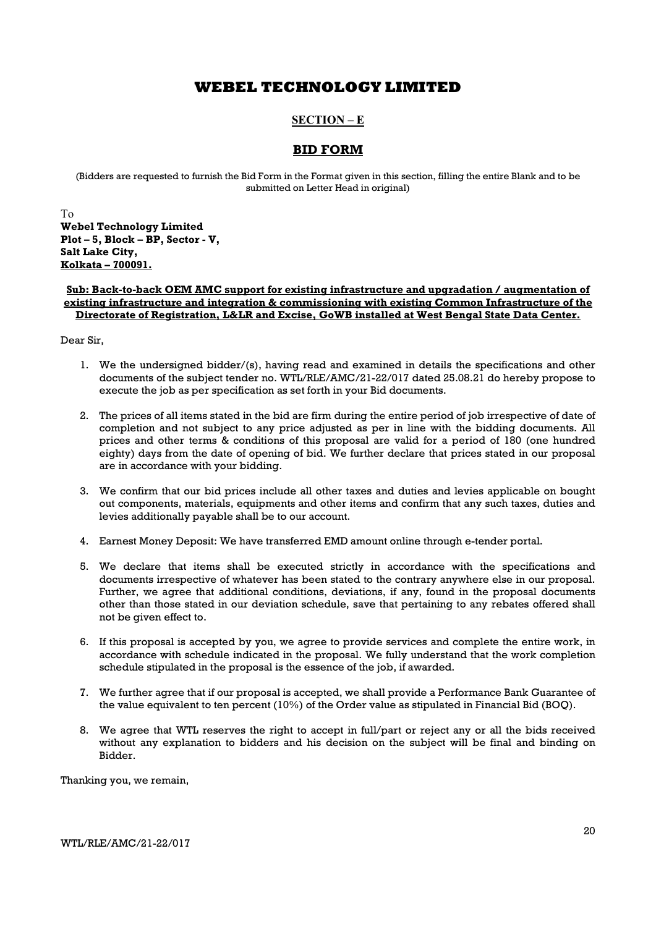## SECTION – E

## BID FORM

(Bidders are requested to furnish the Bid Form in the Format given in this section, filling the entire Blank and to be submitted on Letter Head in original)

To Webel Technology Limited Plot – 5, Block – BP, Sector - V, Salt Lake City, Kolkata – 700091.

#### Sub: Back-to-back OEM AMC support for existing infrastructure and upgradation / augmentation of existing infrastructure and integration & commissioning with existing Common Infrastructure of the Directorate of Registration, L&LR and Excise, GoWB installed at West Bengal State Data Center.

Dear Sir,

- 1. We the undersigned bidder/(s), having read and examined in details the specifications and other documents of the subject tender no. WTL/RLE/AMC/21-22/017 dated 25.08.21 do hereby propose to execute the job as per specification as set forth in your Bid documents.
- 2. The prices of all items stated in the bid are firm during the entire period of job irrespective of date of completion and not subject to any price adjusted as per in line with the bidding documents. All prices and other terms & conditions of this proposal are valid for a period of 180 (one hundred eighty) days from the date of opening of bid. We further declare that prices stated in our proposal are in accordance with your bidding.
- 3. We confirm that our bid prices include all other taxes and duties and levies applicable on bought out components, materials, equipments and other items and confirm that any such taxes, duties and levies additionally payable shall be to our account.
- 4. Earnest Money Deposit: We have transferred EMD amount online through e-tender portal.
- 5. We declare that items shall be executed strictly in accordance with the specifications and documents irrespective of whatever has been stated to the contrary anywhere else in our proposal. Further, we agree that additional conditions, deviations, if any, found in the proposal documents other than those stated in our deviation schedule, save that pertaining to any rebates offered shall not be given effect to.
- 6. If this proposal is accepted by you, we agree to provide services and complete the entire work, in accordance with schedule indicated in the proposal. We fully understand that the work completion schedule stipulated in the proposal is the essence of the job, if awarded.
- 7. We further agree that if our proposal is accepted, we shall provide a Performance Bank Guarantee of the value equivalent to ten percent (10%) of the Order value as stipulated in Financial Bid (BOQ).
- 8. We agree that WTL reserves the right to accept in full/part or reject any or all the bids received without any explanation to bidders and his decision on the subject will be final and binding on Bidder.

Thanking you, we remain,

WTL/RLE/AMC/21-22/017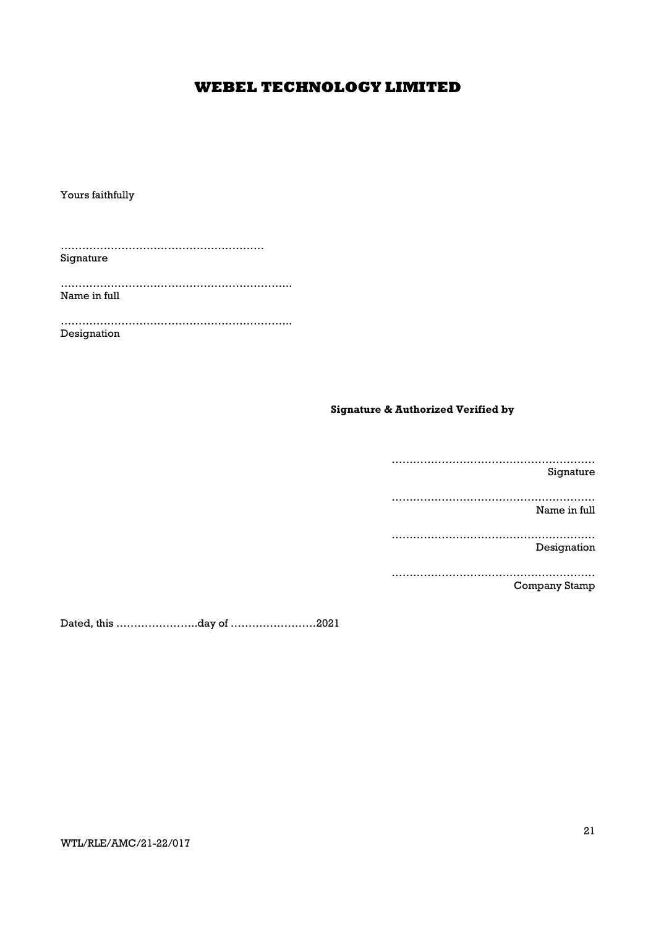Yours faithfully

………………………………………………… Signature

……………………………………………………….. Name in full

……………………………………………………….. Designation

## Signature & Authorized Verified by

………………………………………………… Signature ………………………………………………… Name in full ………………………………………………… Designation ………………………………………………… Company Stamp

Dated, this …………………..day of ……………………2021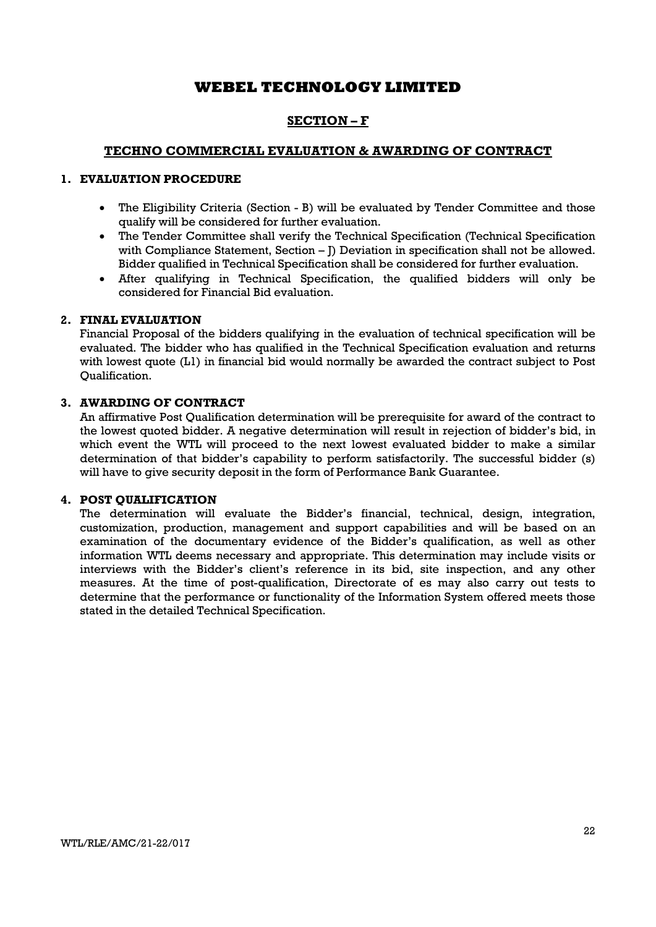## SECTION – F

## TECHNO COMMERCIAL EVALUATION & AWARDING OF CONTRACT

## 1. EVALUATION PROCEDURE

- The Eligibility Criteria (Section B) will be evaluated by Tender Committee and those qualify will be considered for further evaluation.
- The Tender Committee shall verify the Technical Specification (Technical Specification with Compliance Statement, Section – J) Deviation in specification shall not be allowed. Bidder qualified in Technical Specification shall be considered for further evaluation.
- After qualifying in Technical Specification, the qualified bidders will only be considered for Financial Bid evaluation.

## 2. FINAL EVALUATION

Financial Proposal of the bidders qualifying in the evaluation of technical specification will be evaluated. The bidder who has qualified in the Technical Specification evaluation and returns with lowest quote (L1) in financial bid would normally be awarded the contract subject to Post Qualification.

## 3. AWARDING OF CONTRACT

An affirmative Post Qualification determination will be prerequisite for award of the contract to the lowest quoted bidder. A negative determination will result in rejection of bidder's bid, in which event the WTL will proceed to the next lowest evaluated bidder to make a similar determination of that bidder's capability to perform satisfactorily. The successful bidder (s) will have to give security deposit in the form of Performance Bank Guarantee.

## 4. POST QUALIFICATION

The determination will evaluate the Bidder's financial, technical, design, integration, customization, production, management and support capabilities and will be based on an examination of the documentary evidence of the Bidder's qualification, as well as other information WTL deems necessary and appropriate. This determination may include visits or interviews with the Bidder's client's reference in its bid, site inspection, and any other measures. At the time of post-qualification, Directorate of es may also carry out tests to determine that the performance or functionality of the Information System offered meets those stated in the detailed Technical Specification.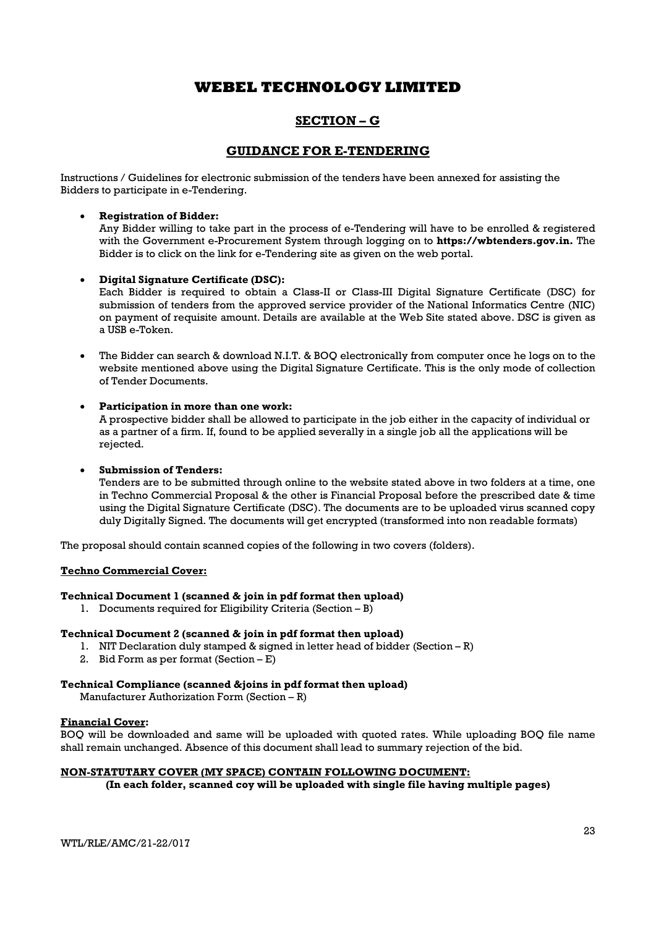## SECTION – G

## GUIDANCE FOR E-TENDERING

Instructions / Guidelines for electronic submission of the tenders have been annexed for assisting the Bidders to participate in e-Tendering.

## Registration of Bidder:

Any Bidder willing to take part in the process of e-Tendering will have to be enrolled & registered with the Government e-Procurement System through logging on to **https://wbtenders.gov.in.** The Bidder is to click on the link for e-Tendering site as given on the web portal.

#### Digital Signature Certificate (DSC):

Each Bidder is required to obtain a Class-II or Class-III Digital Signature Certificate (DSC) for submission of tenders from the approved service provider of the National Informatics Centre (NIC) on payment of requisite amount. Details are available at the Web Site stated above. DSC is given as a USB e-Token.

 The Bidder can search & download N.I.T. & BOQ electronically from computer once he logs on to the website mentioned above using the Digital Signature Certificate. This is the only mode of collection of Tender Documents.

## Participation in more than one work:

A prospective bidder shall be allowed to participate in the job either in the capacity of individual or as a partner of a firm. If, found to be applied severally in a single job all the applications will be rejected.

#### Submission of Tenders:

Tenders are to be submitted through online to the website stated above in two folders at a time, one in Techno Commercial Proposal & the other is Financial Proposal before the prescribed date & time using the Digital Signature Certificate (DSC). The documents are to be uploaded virus scanned copy duly Digitally Signed. The documents will get encrypted (transformed into non readable formats)

The proposal should contain scanned copies of the following in two covers (folders).

#### Techno Commercial Cover:

## Technical Document 1 (scanned & join in pdf format then upload)

1. Documents required for Eligibility Criteria (Section – B)

## Technical Document 2 (scanned & join in pdf format then upload)

- 1. NIT Declaration duly stamped & signed in letter head of bidder (Section R)
- 2. Bid Form as per format (Section E)

## Technical Compliance (scanned &joins in pdf format then upload)

Manufacturer Authorization Form (Section – R)

#### Financial Cover:

BOQ will be downloaded and same will be uploaded with quoted rates. While uploading BOQ file name shall remain unchanged. Absence of this document shall lead to summary rejection of the bid.

## NON-STATUTARY COVER (MY SPACE) CONTAIN FOLLOWING DOCUMENT:

(In each folder, scanned coy will be uploaded with single file having multiple pages)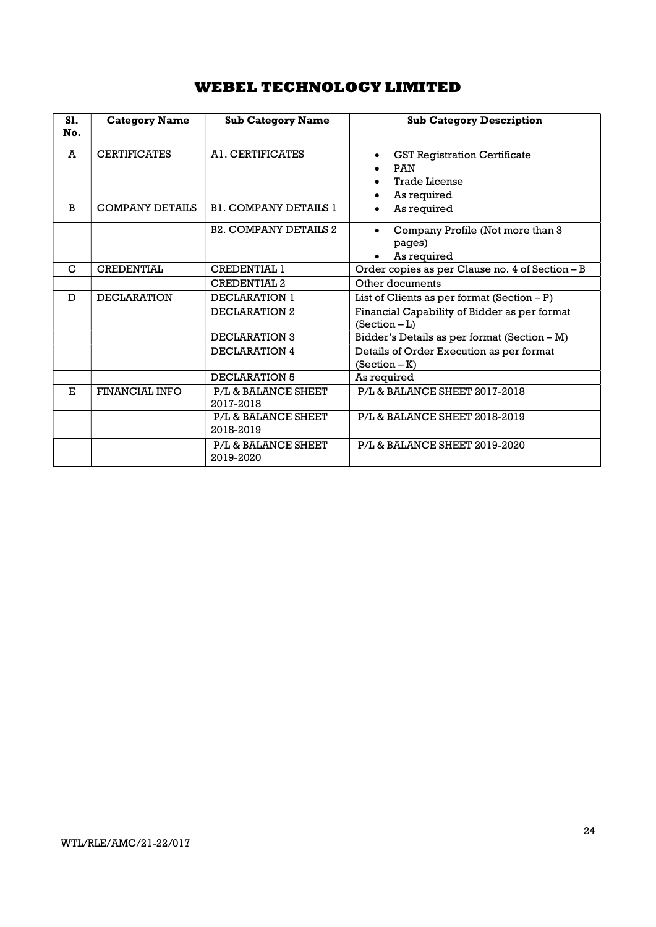| <b>S1.</b><br>No. | <b>Category Name</b>   | <b>Sub Category Name</b>         | <b>Sub Category Description</b>                                                                       |
|-------------------|------------------------|----------------------------------|-------------------------------------------------------------------------------------------------------|
| A                 | <b>CERTIFICATES</b>    | A1. CERTIFICATES                 | <b>GST Registration Certificate</b><br>$\bullet$<br><b>PAN</b><br><b>Trade License</b><br>As required |
| B                 | <b>COMPANY DETAILS</b> | <b>B1. COMPANY DETAILS 1</b>     | As required<br>$\bullet$                                                                              |
|                   |                        | <b>B2. COMPANY DETAILS 2</b>     | Company Profile (Not more than 3<br>pages)<br>As required                                             |
| $\mathbf C$       | <b>CREDENTIAL</b>      | <b>CREDENTIAL 1</b>              | Order copies as per Clause no. 4 of Section - B                                                       |
|                   |                        | CREDENTIAL <sub>2</sub>          | Other documents                                                                                       |
| D                 | <b>DECLARATION</b>     | DECLARATION 1                    | List of Clients as per format $(Section - P)$                                                         |
|                   |                        | DECLARATION 2                    | Financial Capability of Bidder as per format<br>$(Section - L)$                                       |
|                   |                        | DECLARATION 3                    | Bidder's Details as per format (Section - M)                                                          |
|                   |                        | DECLARATION 4                    | Details of Order Execution as per format<br>$(Section - K)$                                           |
|                   |                        | DECLARATION 5                    | As required                                                                                           |
| E.                | <b>FINANCIAL INFO</b>  | P/L & BALANCE SHEET<br>2017-2018 | P/L & BALANCE SHEET 2017-2018                                                                         |
|                   |                        | P/L & BALANCE SHEET<br>2018-2019 | P/L & BALANCE SHEET 2018-2019                                                                         |
|                   |                        | P/L & BALANCE SHEET<br>2019-2020 | <b>P/L&amp; BALANCE SHEET 2019-2020</b>                                                               |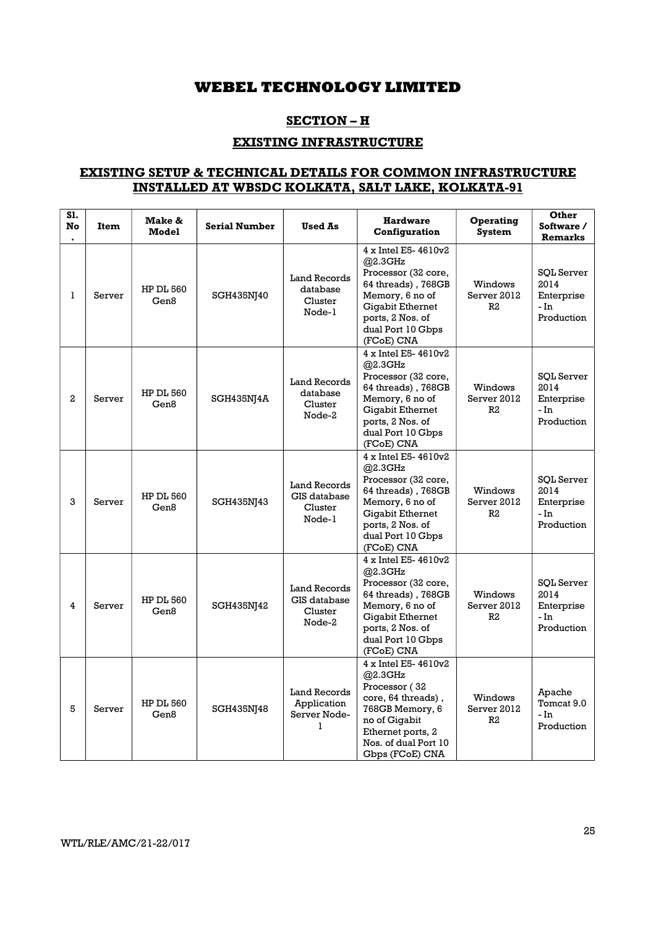## SECTION – H

## EXISTING INFRASTRUCTURE

## EXISTING SETUP & TECHNICAL DETAILS FOR COMMON INFRASTRUCTURE INSTALLED AT WBSDC KOLKATA, SALT LAKE, KOLKATA-91

| S1.<br>No | <b>Item</b> | Make &<br>Model          | <b>Serial Number</b> | <b>Used As</b>                                           | <b>Hardware</b><br>Configuration                                                                                                                                                 | Operating<br><b>System</b>   | Other<br>Software /<br>Remarks                                |
|-----------|-------------|--------------------------|----------------------|----------------------------------------------------------|----------------------------------------------------------------------------------------------------------------------------------------------------------------------------------|------------------------------|---------------------------------------------------------------|
| 1         | Server      | <b>HP DL 560</b><br>Gen8 | SGH435NJ40           | Land Records<br>database<br>Cluster<br>Node-1            | 4 x Intel E5-4610v2<br>@2.3GHz<br>Processor (32 core,<br>64 threads), 768GB<br>Memory, 6 no of<br>Gigabit Ethernet<br>ports, 2 Nos. of<br>dual Port 10 Gbps<br>(FCoE) CNA        | Windows<br>Server 2012<br>R2 | <b>SOL</b> Server<br>2014<br>Enterprise<br>- In<br>Production |
| 2         | Server      | <b>HP DL 560</b><br>Gen8 | SGH435NJ4A           | <b>Land Records</b><br>database<br>Cluster<br>Node-2     | 4 x Intel E5-4610v2<br>@2.3GHz<br>Processor (32 core,<br>64 threads), 768GB<br>Memory, 6 no of<br><b>Gigabit Ethernet</b><br>ports, 2 Nos. of<br>dual Port 10 Gbps<br>(FCoE) CNA | Windows<br>Server 2012<br>R2 | <b>SOL Server</b><br>2014<br>Enterprise<br>- In<br>Production |
| 3         | Server      | <b>HP DL 560</b><br>Gen8 | SGH435NJ43           | <b>Land Records</b><br>GIS database<br>Cluster<br>Node-1 | 4 x Intel E5-4610v2<br>@2.3GHz<br>Processor (32 core,<br>64 threads) , 768GB<br>Memory, 6 no of<br>Gigabit Ethernet<br>ports, 2 Nos. of<br>dual Port 10 Gbps<br>(FCoE) CNA       | Windows<br>Server 2012<br>R2 | <b>SOL Server</b><br>2014<br>Enterprise<br>- In<br>Production |
| 4         | Server      | <b>HP DL 560</b><br>Gen8 | SGH435NJ42           | Land Records<br>GIS database<br>Cluster<br>Node-2        | 4 x Intel E5-4610v2<br>@2.3GHz<br>Processor (32 core,<br>64 threads), 768GB<br>Memory, 6 no of<br>Gigabit Ethernet<br>ports, 2 Nos. of<br>dual Port 10 Gbps<br>(FCoE) CNA        | Windows<br>Server 2012<br>R2 | SQL Server<br>2014<br>Enterprise<br>- In<br>Production        |
| 5         | Server      | <b>HP DL 560</b><br>Gen8 | SGH435NJ48           | Land Records<br>Application<br>Server Node-<br>1         | 4 x Intel E5-4610v2<br>@2.3GHz<br>Processor (32<br>core, 64 threads),<br>768GB Memory, 6<br>no of Gigabit<br>Ethernet ports, 2<br>Nos. of dual Port 10<br>Gbps (FCoE) CNA        | Windows<br>Server 2012<br>R2 | Apache<br>Tomcat 9.0<br>- In<br>Production                    |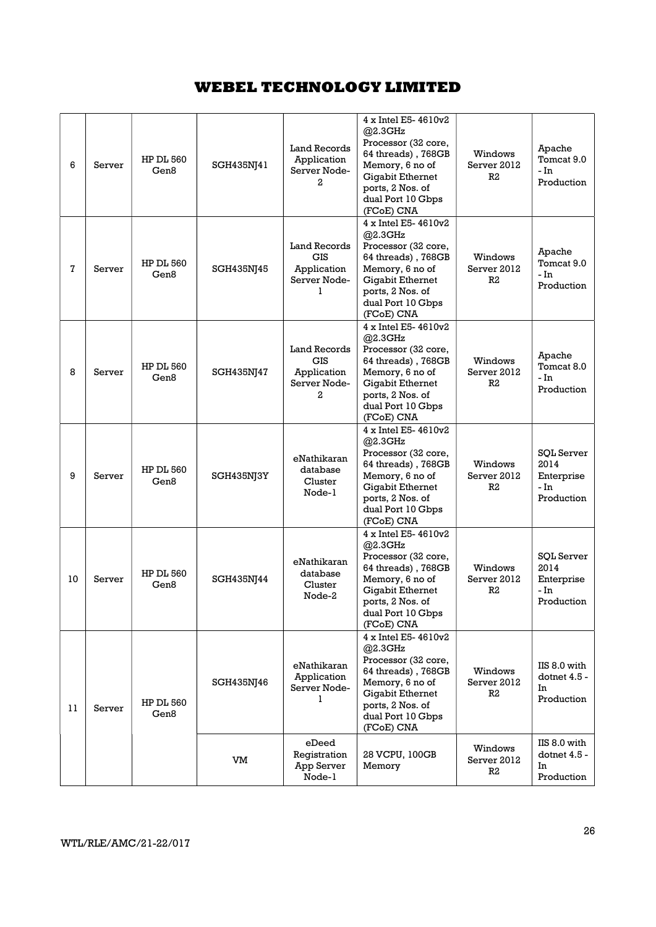| 6  | Server | <b>HP DL 560</b><br>Gen8 | SGH435NJ41 | Land Records<br>Application<br>Server Node-<br>2                      | 4 x Intel E5-4610v2<br>@2.3GHz<br>Processor (32 core,<br>64 threads), 768GB<br>Memory, 6 no of<br><b>Gigabit Ethernet</b><br>ports, 2 Nos. of<br>dual Port 10 Gbps<br>(FCoE) CNA           | Windows<br>Server 2012<br>R2 | Apache<br>Tomcat 9.0<br>- In<br>Production                    |
|----|--------|--------------------------|------------|-----------------------------------------------------------------------|--------------------------------------------------------------------------------------------------------------------------------------------------------------------------------------------|------------------------------|---------------------------------------------------------------|
| 7  | Server | <b>HP DL 560</b><br>Gen8 | SGH435NJ45 | Land Records<br><b>GIS</b><br>Application<br>Server Node-<br>1        | 4 x Intel E5-4610v2<br>@2.3GHz<br>Processor (32 core,<br>64 threads), 768GB<br>Memory, 6 no of<br>Gigabit Ethernet<br>ports, 2 Nos. of<br>dual Port 10 Gbps<br>(FCoE) CNA                  | Windows<br>Server 2012<br>R2 | Apache<br>Tomcat 9.0<br>- In<br>Production                    |
| 8  | Server | <b>HP DL 560</b><br>Gen8 | SGH435NJ47 | <b>Land Records</b><br><b>GIS</b><br>Application<br>Server Node-<br>2 | $4 \times$ Intel E5- $4610v2$<br>@2.3GHz<br>Processor (32 core,<br>64 threads), 768GB<br>Memory, 6 no of<br><b>Gigabit Ethernet</b><br>ports, 2 Nos. of<br>dual Port 10 Gbps<br>(FCoE) CNA | Windows<br>Server 2012<br>R2 | Apache<br>Tomcat 8.0<br>- In<br>Production                    |
| 9  | Server | <b>HP DL 560</b><br>Gen8 | SGH435NJ3Y | eNathikaran<br>database<br>Cluster<br>Node-1                          | 4 x Intel E5- 4610v2<br>@2.3GHz<br>Processor (32 core,<br>64 threads), 768GB<br>Memory, 6 no of<br><b>Gigabit Ethernet</b><br>ports, 2 Nos. of<br>dual Port 10 Gbps<br>(FCoE) CNA          | Windows<br>Server 2012<br>R2 | <b>SOL Server</b><br>2014<br>Enterprise<br>- In<br>Production |
| 10 | Server | <b>HP DL 560</b><br>Gen8 | SGH435NJ44 | eNathikaran<br>database<br>Cluster<br>Node-2                          | 4 x Intel E5-4610v2<br>@2.3GHz<br>Processor (32 core,<br>64 threads), 768GB<br>Memory, 6 no of<br>Gigabit Ethernet<br>ports, 2 Nos. of<br>dual Port 10 Gbps<br>(FCoE) CNA                  | Windows<br>Server 2012<br>R2 | <b>SQL Server</b><br>2014<br>Enterprise<br>- In<br>Production |
| 11 | Server | <b>HP DL 560</b><br>Gen8 | SGH435NJ46 | eNathikaran<br>Application<br>Server Node-<br>1                       | 4 x Intel E5-4610v2<br>@2.3GHz<br>Processor (32 core,<br>64 threads), 768GB<br>Memory, 6 no of<br><b>Gigabit Ethernet</b><br>ports, 2 Nos. of<br>dual Port 10 Gbps<br>(FCoE) CNA           | Windows<br>Server 2012<br>R2 | IIS 8.0 with<br>dotnet 4.5 -<br>In<br>Production              |
|    |        |                          | VM         | eDeed<br>Registration<br>App Server<br>Node-1                         | 28 VCPU, 100GB<br>Memory                                                                                                                                                                   | Windows<br>Server 2012<br>R2 | IIS 8.0 with<br>dotnet 4.5 -<br>In<br>Production              |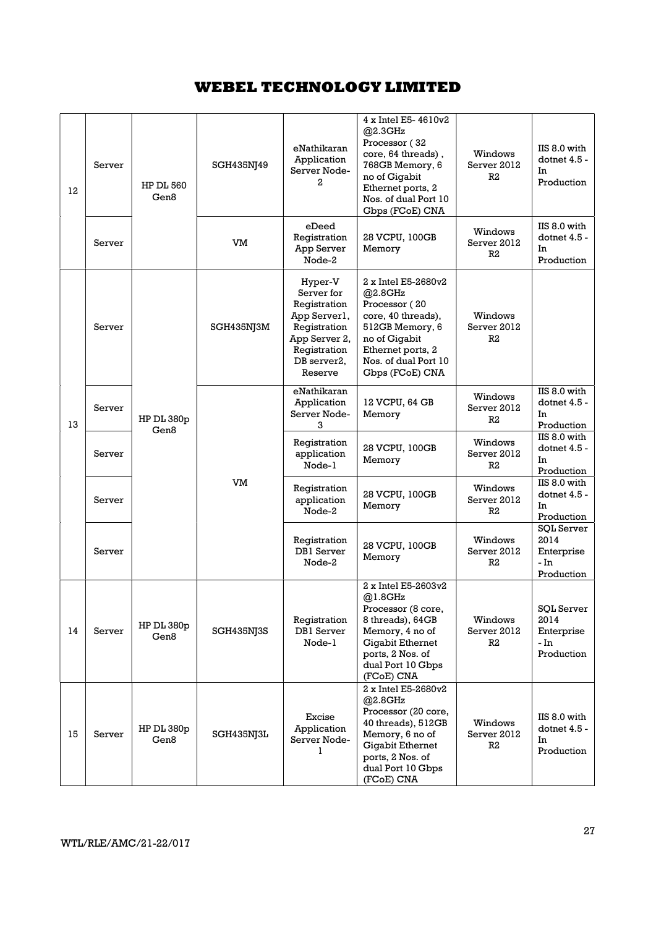| 12 | Server | <b>HP DL 560</b><br>Gen8 | SGH435NJ49 | eNathikaran<br>Application<br>Server Node-<br>2                                                                                  | 4 x Intel E5-4610v2<br>@2.3GHz<br>Processor (32<br>core, 64 threads),<br>768GB Memory, 6<br>no of Gigabit<br>Ethernet ports, 2<br>Nos. of dual Port 10<br>Gbps (FCoE) CNA        | Windows<br>Server 2012<br>R2 | IIS 8.0 with<br>dotnet 4.5 -<br>In<br>Production              |                                                  |
|----|--------|--------------------------|------------|----------------------------------------------------------------------------------------------------------------------------------|----------------------------------------------------------------------------------------------------------------------------------------------------------------------------------|------------------------------|---------------------------------------------------------------|--------------------------------------------------|
|    | Server |                          | VM         | eDeed<br>Registration<br>App Server<br>Node-2                                                                                    | 28 VCPU, 100GB<br>Memory                                                                                                                                                         | Windows<br>Server 2012<br>R2 | IIS 8.0 with<br>dotnet 4.5 -<br>In<br>Production              |                                                  |
|    | Server |                          | SGH435NJ3M | Hyper-V<br>Server for<br>Registration<br>App Server1,<br>Registration<br>App Server 2,<br>Registration<br>DB server2,<br>Reserve | 2 x Intel E5-2680v2<br>@2.8GHz<br>Processor (20<br>core, 40 threads),<br>512GB Memory, 6<br>no of Gigabit<br>Ethernet ports, 2<br>Nos. of dual Port 10<br>Gbps (FCoE) CNA        | Windows<br>Server 2012<br>R2 |                                                               |                                                  |
| 13 | Server | HP DL 380p<br>Gen8       |            |                                                                                                                                  | eNathikaran<br>Application<br>Server Node-<br>3                                                                                                                                  | 12 VCPU, 64 GB<br>Memory     | Windows<br>Server 2012<br>R2                                  | IIS 8.0 with<br>dotnet 4.5 -<br>In<br>Production |
|    | Server |                          | VM         | Registration<br>application<br>Node-1                                                                                            | 28 VCPU, 100GB<br>Memory                                                                                                                                                         | Windows<br>Server 2012<br>R2 | IIS 8.0 with<br>dotnet 4.5 -<br>In<br>Production              |                                                  |
|    | Server |                          |            | Registration<br>application<br>Node-2                                                                                            | 28 VCPU, 100GB<br>Memory                                                                                                                                                         | Windows<br>Server 2012<br>R2 | IIS 8.0 with<br>dotnet 4.5 -<br>In<br>Production              |                                                  |
|    | Server |                          |            | Registration<br><b>DB1</b> Server<br>Node-2                                                                                      | 28 VCPU, 100GB<br>Memory                                                                                                                                                         | Windows<br>Server 2012<br>R2 | SOL Server<br>2014<br>Enterprise<br>- In<br>Production        |                                                  |
| 14 | Server | HP DL 380p<br>Gen8       | SGH435NJ3S | Registration<br>DB1 Server<br>Node-1                                                                                             | 2 x Intel E5-2603v2<br>@1.8GHz<br>Processor (8 core,<br>8 threads), 64GB<br>Memory, 4 no of<br>Gigabit Ethernet<br>ports, 2 Nos. of<br>dual Port 10 Gbps<br>(FCoE) CNA           | Windows<br>Server 2012<br>R2 | <b>SQL Server</b><br>2014<br>Enterprise<br>- In<br>Production |                                                  |
| 15 | Server | HP DL 380p<br>Gen8       | SGH435NJ3L | Excise<br>Application<br>Server Node-<br>1                                                                                       | 2 x Intel E5-2680v2<br>@2.8GHz<br>Processor (20 core,<br>40 threads), 512GB<br>Memory, 6 no of<br><b>Gigabit Ethernet</b><br>ports, 2 Nos. of<br>dual Port 10 Gbps<br>(FCoE) CNA | Windows<br>Server 2012<br>R2 | IIS 8.0 with<br>dotnet 4.5 -<br>In<br>Production              |                                                  |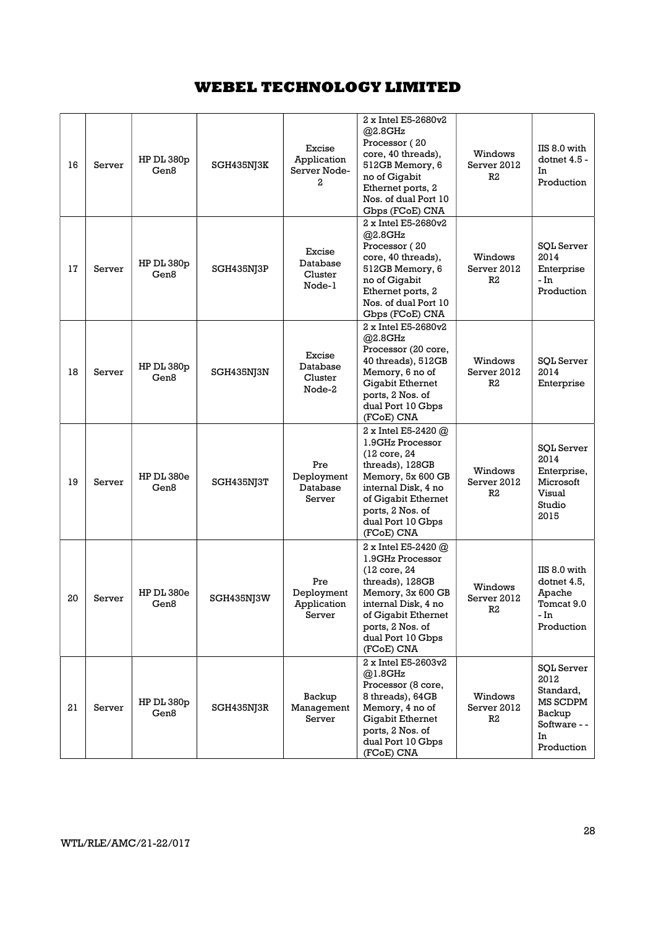| 16 | Server | $HP$ DL 380 $p$<br>Gen8 | SGH435NJ3K | Excise<br>Application<br>Server Node-<br>2 | 2 x Intel E5-2680v2<br>@2.8GHz<br>Processor (20<br>core, 40 threads),<br>512GB Memory, 6<br>no of Gigabit<br>Ethernet ports, 2<br>Nos. of dual Port 10<br>Gbps (FCoE) CNA                              | Windows<br>Server 2012<br>R2             | IIS 8.0 with<br>dotnet 4.5 -<br>In<br>Production                                                 |
|----|--------|-------------------------|------------|--------------------------------------------|--------------------------------------------------------------------------------------------------------------------------------------------------------------------------------------------------------|------------------------------------------|--------------------------------------------------------------------------------------------------|
| 17 | Server | HP DL 380p<br>Gen8      | SGH435NJ3P | Excise<br>Database<br>Cluster<br>Node-1    | 2 x Intel E5-2680v2<br>@2.8GHz<br>Processor (20<br>core, 40 threads),<br>512GB Memory, 6<br>no of Gigabit<br>Ethernet ports, 2<br>Nos. of dual Port 10<br>Gbps (FCoE) CNA                              | Windows<br>Server 2012<br>R <sub>2</sub> | <b>SQL Server</b><br>2014<br>Enterprise<br>- In<br>Production                                    |
| 18 | Server | HP DL 380p<br>Gen8      | SGH435NJ3N | Excise<br>Database<br>Cluster<br>Node-2    | 2 x Intel E5-2680v2<br>@2.8GHz<br>Processor (20 core,<br>40 threads), 512GB<br>Memory, 6 no of<br>Gigabit Ethernet<br>ports, 2 Nos. of<br>dual Port 10 Gbps<br>(FCoE) CNA                              | Windows<br>Server 2012<br>R2             | <b>SOL Server</b><br>2014<br>Enterprise                                                          |
| 19 | Server | HP DL 380e<br>Gen8      | SGH435NJ3T | Pre<br>Deployment<br>Database<br>Server    | 2 x Intel E5-2420 $@$<br>1.9GHz Processor<br>(12 core, 24<br>threads), 128GB<br>Memory, 5x 600 GB<br>internal Disk, 4 no<br>of Gigabit Ethernet<br>ports, 2 Nos. of<br>dual Port 10 Gbps<br>(FCoE) CNA | Windows<br>Server 2012<br>R2             | <b>SQL Server</b><br>2014<br>Enterprise,<br>Microsoft<br>Visual<br>Studio<br>2015                |
| 20 | Server | HP DL 380e<br>Gen8      | SGH435NJ3W | Pre<br>Deployment<br>Application<br>Server | 2 x Intel E5-2420 $@$<br>1.9GHz Processor<br>(12 core, 24<br>threads), 128GB<br>Memory, 3x 600 GB<br>internal Disk. 4 no<br>of Gigabit Ethernet<br>ports, 2 Nos. of<br>dual Port 10 Gbps<br>(FCoE) CNA | Windows<br>Server 2012<br>R2             | IIS 8.0 with<br>dotnet 4.5,<br>Apache<br>Tomcat 9.0<br>- In<br>Production                        |
| 21 | Server | HP DL 380p<br>Gen8      | SGH435NJ3R | Backup<br>Management<br>Server             | 2 x Intel E5-2603v2<br>@1.8GHz<br>Processor (8 core,<br>8 threads), 64GB<br>Memory, 4 no of<br>Gigabit Ethernet<br>ports, 2 Nos. of<br>dual Port 10 Gbps<br>(FCoE) CNA                                 | Windows<br>Server 2012<br>R2             | <b>SQL Server</b><br>2012<br>Standard,<br>MS SCDPM<br>Backup<br>Software - -<br>In<br>Production |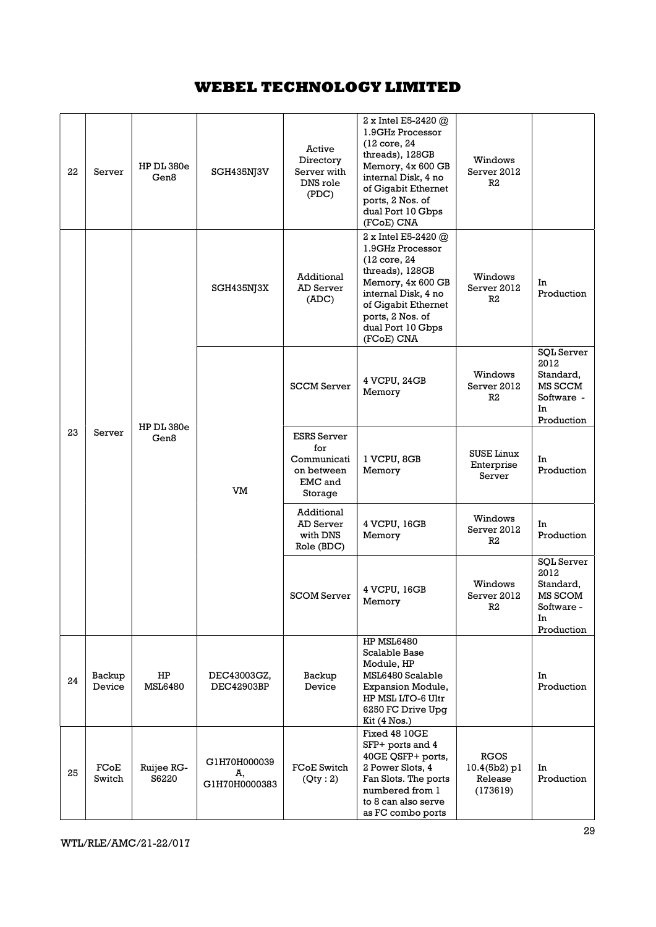| 22 | Server           | HP DL 380e<br>Gen8   | SGH435NJ3V                          | Active<br>Directory<br>Server with<br>DNS role<br>(PDC)                      | 2 x Intel E5-2420 $@$<br>1.9GHz Processor<br>(12 core, 24<br>threads), 128GB<br>Memory, 4x 600 GB<br>internal Disk, 4 no<br>of Gigabit Ethernet<br>ports, 2 Nos. of<br>dual Port 10 Gbps<br>(FCoE) CNA | Windows<br>Server 2012<br>R2                         |                                                                                     |
|----|------------------|----------------------|-------------------------------------|------------------------------------------------------------------------------|--------------------------------------------------------------------------------------------------------------------------------------------------------------------------------------------------------|------------------------------------------------------|-------------------------------------------------------------------------------------|
|    |                  |                      | SGH435NJ3X                          | Additional<br>AD Server<br>(ADC)                                             | 2 x Intel E5-2420 $@$<br>1.9GHz Processor<br>(12 core, 24<br>threads), 128GB<br>Memory, 4x 600 GB<br>internal Disk, 4 no<br>of Gigabit Ethernet<br>ports, 2 Nos. of<br>dual Port 10 Gbps<br>(FCoE) CNA | Windows<br>Server 2012<br>R2                         | In<br>Production                                                                    |
|    |                  | HP DL 380e<br>Gen8   | VM                                  | <b>SCCM</b> Server                                                           | 4 VCPU, 24GB<br>Memory                                                                                                                                                                                 | Windows<br>Server 2012<br>R2                         | <b>SQL Server</b><br>2012<br>Standard,<br>MS SCCM<br>Software -<br>In<br>Production |
| 23 | Server           |                      |                                     | <b>ESRS</b> Server<br>for<br>Communicati<br>on between<br>EMC and<br>Storage | 1 VCPU, 8GB<br>Memory                                                                                                                                                                                  | <b>SUSE Linux</b><br>Enterprise<br>Server            | In<br>Production                                                                    |
|    |                  |                      |                                     | Additional<br>AD Server<br>with DNS<br>Role (BDC)                            | 4 VCPU, 16GB<br>Memory                                                                                                                                                                                 | Windows<br>Server 2012<br>R <sub>2</sub>             | In<br>Production                                                                    |
|    |                  |                      |                                     | <b>SCOM Server</b>                                                           | 4 VCPU, 16GB<br>Memory                                                                                                                                                                                 | Windows<br>Server 2012<br>R2                         | <b>SQL Server</b><br>2012<br>Standard,<br>MS SCOM<br>Software -<br>In<br>Production |
| 24 | Backup<br>Device | HP<br><b>MSL6480</b> | DEC43003GZ,<br>DEC42903BP           | Backup<br>Device                                                             | <b>HP MSL6480</b><br>Scalable Base<br>Module, HP<br>MSL6480 Scalable<br>Expansion Module,<br>HP MSL LTO-6 Ultr<br>6250 FC Drive Upg<br>Kit(4 Nos.)<br>Fixed 48 10GE                                    |                                                      | In<br>Production                                                                    |
| 25 | FCoE<br>Switch   | Ruijee RG-<br>S6220  | G1H70H000039<br>A,<br>G1H70H0000383 | FCoE Switch<br>(Qty:2)                                                       | SFP+ ports and 4<br>40GE QSFP+ ports,<br>2 Power Slots, 4<br>Fan Slots. The ports<br>numbered from 1<br>to 8 can also serve<br>as FC combo ports                                                       | <b>RGOS</b><br>$10.4(5b2)$ pl<br>Release<br>(173619) | In<br>Production                                                                    |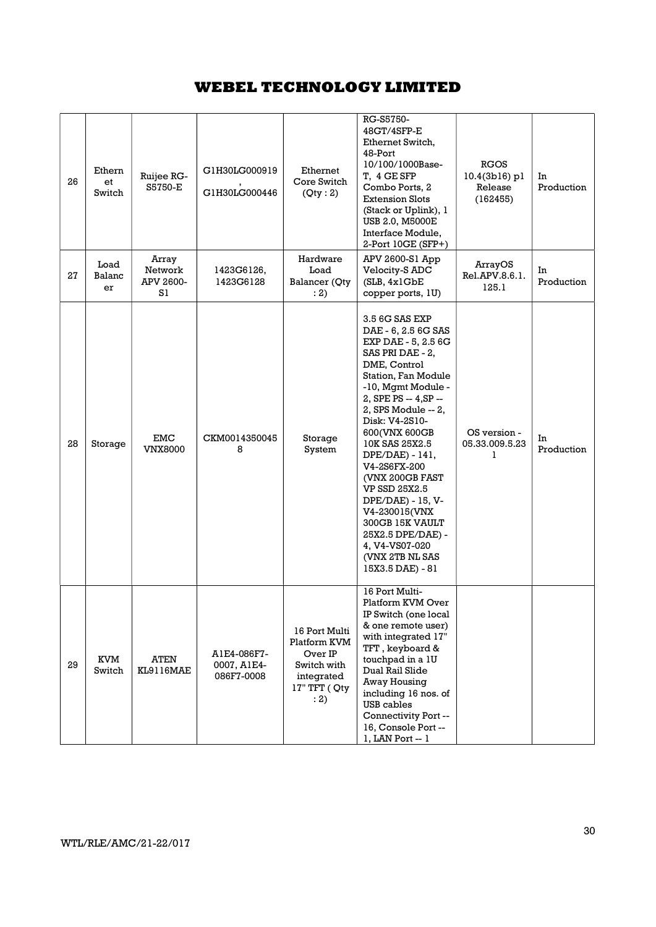| 26 | Ethern<br>et<br>Switch | Ruijee RG-<br>S5750-E               | G1H30LG000919<br>G1H30LG000446           | Ethernet<br>Core Switch<br>(Qty:2)                                                             | RG-S5750-<br>48GT/4SFP-E<br>Ethernet Switch,<br>48-Port<br>10/100/1000Base-<br>T, 4 GE SFP<br>Combo Ports, 2<br><b>Extension Slots</b><br>(Stack or Uplink), 1<br><b>USB 2.0, M5000E</b><br>Interface Module,<br>2-Port 10GE (SFP+)                                                                                                                                                                                                                              | <b>RGOS</b><br>10.4(3b16) pl<br>Release<br>(162455) | In<br>Production |
|----|------------------------|-------------------------------------|------------------------------------------|------------------------------------------------------------------------------------------------|------------------------------------------------------------------------------------------------------------------------------------------------------------------------------------------------------------------------------------------------------------------------------------------------------------------------------------------------------------------------------------------------------------------------------------------------------------------|-----------------------------------------------------|------------------|
| 27 | Load<br>Balanc<br>er   | Array<br>Network<br>APV 2600-<br>S1 | 1423G6126,<br>1423G6128                  | Hardware<br>Load<br>Balancer (Qty<br>: 2)                                                      | APV 2600-S1 App<br>Velocity-S ADC<br>(SLB, 4x1GbE)<br>copper ports, 1U)                                                                                                                                                                                                                                                                                                                                                                                          | ArrayOS<br>Rel.APV.8.6.1.<br>125.1                  | In<br>Production |
| 28 | Storage                | EMC<br><b>VNX8000</b>               | CKM0014350045<br>8                       | Storage<br>System                                                                              | 3.5 6G SAS EXP<br>DAE - 6, 2.5 6G SAS<br>EXP DAE - 5, 2.5 6G<br>SAS PRI DAE - 2,<br>DME, Control<br>Station, Fan Module<br>-10, Mgmt Module -<br>2, SPE PS -- 4, SP --<br>2, SPS Module -- 2,<br>Disk: V4-2S10-<br>600(VNX 600GB<br>10K SAS 25X2.5<br>DPE/DAE) - 141,<br>V4-2S6FX-200<br>(VNX 200GB FAST<br>VP SSD 25X2.5<br>DPE/DAE) - 15, V-<br>V4-230015(VNX<br>300GB 15K VAULT<br>25X2.5 DPE/DAE) -<br>4, V4-VS07-020<br>(VNX 2TB NL SAS<br>15X3.5 DAE) - 81 | OS version -<br>05.33.009.5.23<br>1                 | In<br>Production |
| 29 | KVM<br>Switch          | ATEN<br>KL9116MAE                   | A1E4-086F7-<br>0007, A1E4-<br>086F7-0008 | 16 Port Multi<br>Platform KVM<br>Over IP<br>Switch with<br>integrated<br>17" TFT ( Qty<br>: 2) | 16 Port Multi-<br>Platform KVM Over<br>IP Switch (one local<br>& one remote user)<br>with integrated 17"<br>TFT, keyboard &<br>touchpad in a 1U<br>Dual Rail Slide<br>Away Housing<br>including 16 nos. of<br>USB cables<br>Connectivity Port --<br>16, Console Port --<br>1, LAN Port -- 1                                                                                                                                                                      |                                                     |                  |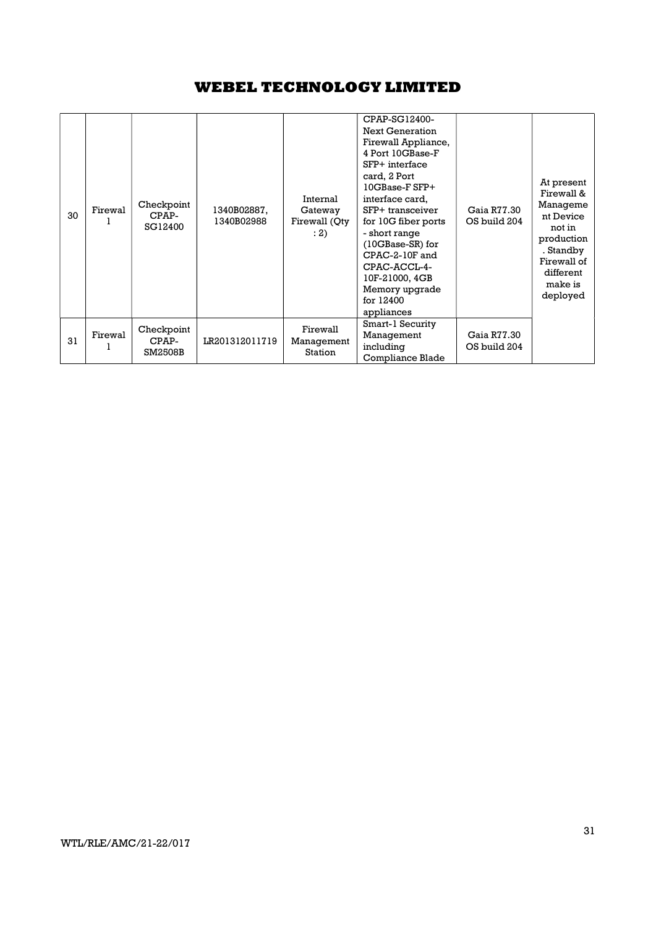| 30 | Firewal | Checkpoint<br>CPAP-<br>SG12400 | 1340B02887,<br>1340B02988 | Internal<br>Gateway<br>Firewall (Qty<br>: 2) | CPAP-SG12400-<br><b>Next Generation</b><br>Firewall Appliance,<br>4 Port 10GBase-F<br>SFP+ interface<br>card, 2 Port<br>$10GB$ ase- $F$ SFP+<br>interface card,<br>SFP+ transceiver<br>for 10G fiber ports<br>- short range<br>$(10GBase-SR)$ for<br>CPAC-2-10F and<br>CPAC-ACCL-4-<br>10F-21000, 4GB<br>Memory upgrade<br>for 12400<br>appliances | Gaia R77.30<br>OS build 204 | At present<br>Firewall &<br>Manageme<br>nt Device<br>not in<br>production<br>. Standby<br>Firewall of<br>different<br>make is<br>deployed |
|----|---------|--------------------------------|---------------------------|----------------------------------------------|----------------------------------------------------------------------------------------------------------------------------------------------------------------------------------------------------------------------------------------------------------------------------------------------------------------------------------------------------|-----------------------------|-------------------------------------------------------------------------------------------------------------------------------------------|
| 31 | Firewal | Checkpoint<br>CPAP-<br>SM2508B | LR201312011719            | Firewall<br>Management<br>Station            | Smart-1 Security<br>Management<br>including<br>Compliance Blade                                                                                                                                                                                                                                                                                    | Gaia R77.30<br>OS build 204 |                                                                                                                                           |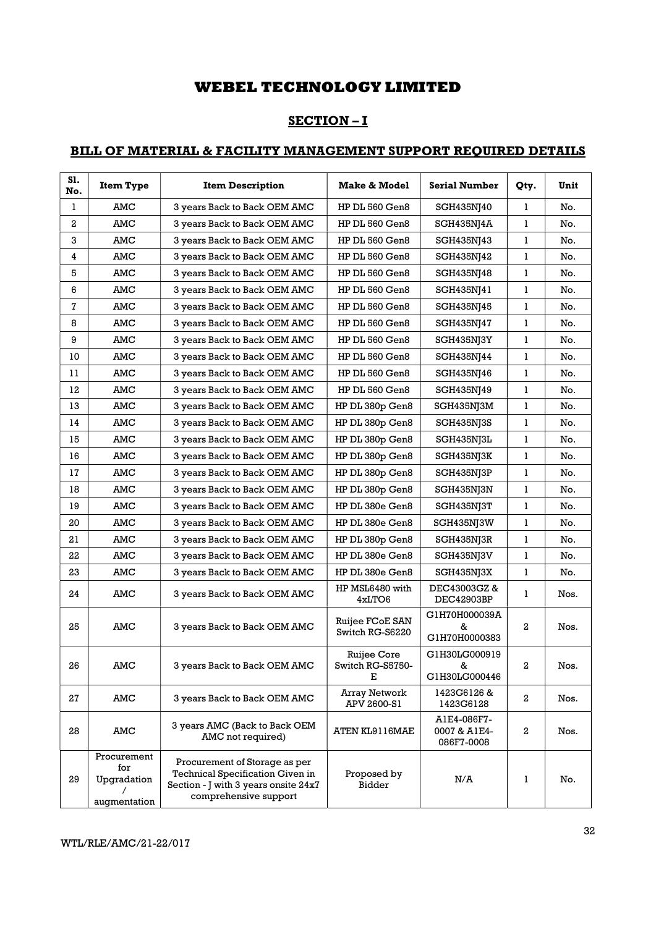## SECTION – I

## BILL OF MATERIAL & FACILITY MANAGEMENT SUPPORT REQUIRED DETAILS

| S1.<br>No.       | <b>Item Type</b>                                  | <b>Item Description</b>                                                                                                                   | Make & Model                         | <b>Serial Number</b>                      | Qty.         | Unit |
|------------------|---------------------------------------------------|-------------------------------------------------------------------------------------------------------------------------------------------|--------------------------------------|-------------------------------------------|--------------|------|
| 1                | AMC                                               | 3 years Back to Back OEM AMC                                                                                                              | HP DL 560 Gen8                       | SGH435NJ40                                | 1            | No.  |
| $\boldsymbol{2}$ | AMC                                               | 3 years Back to Back OEM AMC                                                                                                              | HP DL 560 Gen8                       | SGH435NJ4A                                | 1            | No.  |
| 3                | AMC                                               | 3 years Back to Back OEM AMC                                                                                                              | HP DL 560 Gen8                       | SGH435NJ43                                | 1            | No.  |
| 4                | AMC                                               | 3 years Back to Back OEM AMC                                                                                                              | HP DL 560 Gen8                       | SGH435NJ42                                | 1            | No.  |
| 5                | AMC                                               | 3 years Back to Back OEM AMC                                                                                                              | HP DL 560 Gen8                       | SGH435NJ48                                | 1            | No.  |
| 6                | AMC                                               | 3 years Back to Back OEM AMC                                                                                                              | HP DL 560 Gen8                       | SGH435NJ41                                | 1            | No.  |
| 7                | AMC                                               | 3 years Back to Back OEM AMC                                                                                                              | HP DL 560 Gen8                       | SGH435NJ45                                | 1            | No.  |
| 8                | AMC                                               | 3 years Back to Back OEM AMC                                                                                                              | HP DL 560 Gen8                       | SGH435NJ47                                | 1            | No.  |
| 9                | AMC                                               | 3 years Back to Back OEM AMC                                                                                                              | HP DL 560 Gen8                       | SGH435NJ3Y                                | 1            | No.  |
| 10               | AMC                                               | 3 years Back to Back OEM AMC                                                                                                              | HP DL 560 Gen8                       | SGH435NJ44                                | 1            | No.  |
| 11               | AMC                                               | 3 years Back to Back OEM AMC                                                                                                              | HP DL 560 Gen8                       | SGH435NJ46                                | 1            | No.  |
| 12               | AMC                                               | 3 years Back to Back OEM AMC                                                                                                              | HP DL 560 Gen8                       | SGH435NJ49                                | 1            | No.  |
| 13               | AMC                                               | 3 years Back to Back OEM AMC                                                                                                              | HP DL 380p Gen8                      | SGH435NJ3M                                | 1            | No.  |
| 14               | AMC                                               | 3 years Back to Back OEM AMC                                                                                                              | HP DL 380p Gen8                      | SGH435NJ3S                                | 1            | No.  |
| 15               | AMC                                               | 3 years Back to Back OEM AMC                                                                                                              | HP DL 380p Gen8                      | SGH435NJ3L                                | $\mathbf{1}$ | No.  |
| 16               | AMC                                               | 3 years Back to Back OEM AMC                                                                                                              | HP DL 380p Gen8                      | SGH435NJ3K                                | 1            | No.  |
| 17               | AMC                                               | 3 years Back to Back OEM AMC                                                                                                              | HP DL 380p Gen8                      | SGH435NJ3P                                | 1            | No.  |
| 18               | AMC                                               | 3 years Back to Back OEM AMC                                                                                                              | HP DL 380p Gen8                      | SGH435NJ3N                                | 1            | No.  |
| 19               | AMC                                               | 3 years Back to Back OEM AMC                                                                                                              | HP DL 380e Gen8                      | SGH435NJ3T                                | 1            | No.  |
| 20               | AMC                                               | 3 years Back to Back OEM AMC                                                                                                              | HP DL 380e Gen8                      | SGH435NJ3W                                | 1            | No.  |
| 21               | AMC                                               | 3 years Back to Back OEM AMC                                                                                                              | HP DL 380p Gen8                      | SGH435NJ3R                                | 1            | No.  |
| 22               | AMC                                               | 3 years Back to Back OEM AMC                                                                                                              | HP DL 380e Gen8                      | SGH435NJ3V                                | 1            | No.  |
| 23               | AMC                                               | 3 years Back to Back OEM AMC                                                                                                              | HP DL 380e Gen8                      | SGH435NJ3X                                | 1            | No.  |
| 24               | AMC                                               | 3 years Back to Back OEM AMC                                                                                                              | HP MSL6480 with<br>4xLTO6            | DEC43003GZ&<br>DEC42903BP                 | 1            | Nos. |
| 25               | AMC                                               | 3 years Back to Back OEM AMC                                                                                                              | Ruijee FCoE SAN<br>Switch RG-S6220   | G1H70H000039A<br>&<br>G1H70H0000383       | 2            | Nos. |
| 26               | AMC                                               | 3 years Back to Back OEM AMC                                                                                                              | Ruijee Core<br>Switch RG-S5750-<br>Е | G1H30LG000919<br>&<br>G1H30LG000446       | 2            | Nos. |
| 27               | AMC                                               | 3 years Back to Back OEM AMC                                                                                                              | Array Network<br>APV 2600-S1         | 1423G6126 &<br>1423G6128                  | $^{2}$       | Nos. |
| 28               | AMC                                               | 3 years AMC (Back to Back OEM<br>AMC not required)                                                                                        | ATEN KL9116MAE                       | A1E4-086F7-<br>0007 & A1E4-<br>086F7-0008 | 2            | Nos. |
| 29               | Procurement<br>for<br>Upgradation<br>augmentation | Procurement of Storage as per<br><b>Technical Specification Given in</b><br>Section - J with 3 years onsite 24x7<br>comprehensive support | Proposed by<br>Bidder                | N/A                                       | 1            | No.  |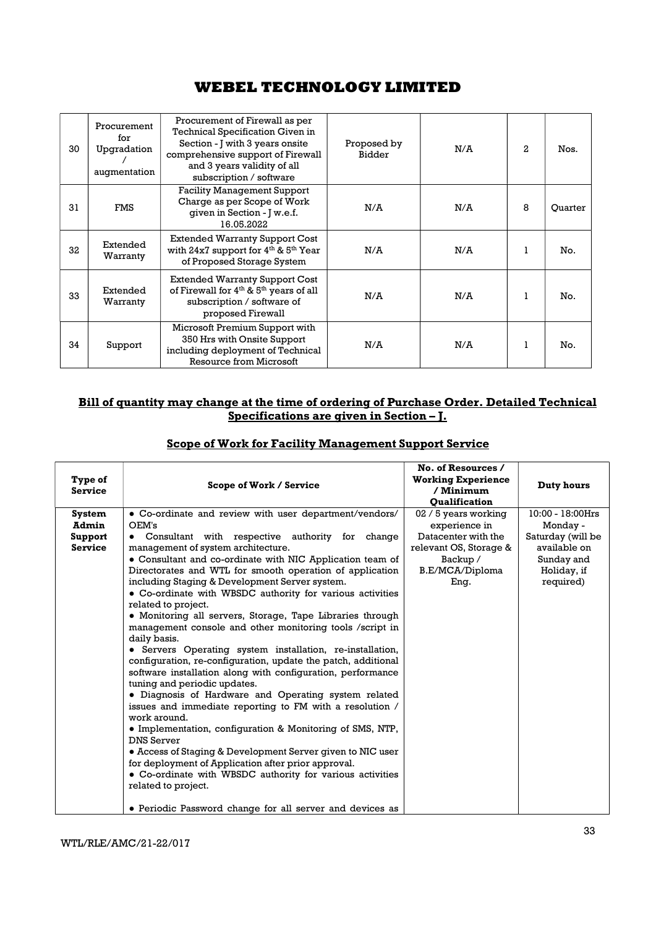| 30 | Procurement<br>for<br>Upgradation<br>augmentation | Procurement of Firewall as per<br><b>Technical Specification Given in</b><br>Section - J with 3 years onsite<br>comprehensive support of Firewall<br>and 3 years validity of all<br>subscription / software | Proposed by<br>Bidder | N/A | $\mathbf{2}$ | Nos.    |
|----|---------------------------------------------------|-------------------------------------------------------------------------------------------------------------------------------------------------------------------------------------------------------------|-----------------------|-----|--------------|---------|
| 31 | <b>FMS</b>                                        | <b>Facility Management Support</b><br>Charge as per Scope of Work<br>given in Section - J w.e.f.<br>16.05.2022                                                                                              | N/A                   | N/A | 8            | Ouarter |
| 32 | Extended<br>Warranty                              | <b>Extended Warranty Support Cost</b><br>with $24x7$ support for $4th$ & $5th$ Year<br>of Proposed Storage System                                                                                           | N/A                   | N/A | 1            | No.     |
| 33 | Extended<br>Warranty                              | <b>Extended Warranty Support Cost</b><br>of Firewall for 4 <sup>th</sup> & 5 <sup>th</sup> years of all<br>subscription / software of<br>proposed Firewall                                                  | N/A                   | N/A | 1            | No.     |
| 34 | Support                                           | Microsoft Premium Support with<br>350 Hrs with Onsite Support<br>including deployment of Technical<br>Resource from Microsoft                                                                               | N/A                   | N/A | 1            | No.     |

## Bill of quantity may change at the time of ordering of Purchase Order. Detailed Technical Specifications are given in Section – J.

| Scope of Work for Facility Management Support Service |  |  |
|-------------------------------------------------------|--|--|
|                                                       |  |  |

| Type of<br><b>Service</b>                           | Scope of Work / Service                                                                                                                                                                                                                                                                                                                                                                                                                                                                                                                                                                                                                                                                                                                                                                                                                                                                                                                                                                                                                                                                                                                                                                                                                                                                    | No. of Resources /<br><b>Working Experience</b><br>/ Minimum<br><b>Oualification</b>                                          | Duty hours                                                                                                  |
|-----------------------------------------------------|--------------------------------------------------------------------------------------------------------------------------------------------------------------------------------------------------------------------------------------------------------------------------------------------------------------------------------------------------------------------------------------------------------------------------------------------------------------------------------------------------------------------------------------------------------------------------------------------------------------------------------------------------------------------------------------------------------------------------------------------------------------------------------------------------------------------------------------------------------------------------------------------------------------------------------------------------------------------------------------------------------------------------------------------------------------------------------------------------------------------------------------------------------------------------------------------------------------------------------------------------------------------------------------------|-------------------------------------------------------------------------------------------------------------------------------|-------------------------------------------------------------------------------------------------------------|
| <b>System</b><br>Admin<br>Support<br><b>Service</b> | • Co-ordinate and review with user department/vendors/<br>OEM's<br>• Consultant with respective authority for change<br>management of system architecture.<br>• Consultant and co-ordinate with NIC Application team of<br>Directorates and WTL for smooth operation of application<br>including Staging & Development Server system.<br>• Co-ordinate with WBSDC authority for various activities<br>related to project.<br>• Monitoring all servers, Storage, Tape Libraries through<br>management console and other monitoring tools /script in<br>daily basis.<br>• Servers Operating system installation, re-installation,<br>configuration, re-configuration, update the patch, additional<br>software installation along with configuration, performance<br>tuning and periodic updates.<br>• Diagnosis of Hardware and Operating system related<br>issues and immediate reporting to FM with a resolution /<br>work around.<br>• Implementation, configuration & Monitoring of SMS, NTP,<br><b>DNS Server</b><br>• Access of Staging & Development Server given to NIC user<br>for deployment of Application after prior approval.<br>• Co-ordinate with WBSDC authority for various activities<br>related to project.<br>• Periodic Password change for all server and devices as | 02 / 5 years working<br>experience in<br>Datacenter with the<br>relevant OS, Storage &<br>Backup /<br>B.E/MCA/Diploma<br>Eng. | 10:00 - 18:00Hrs<br>Monday -<br>Saturday (will be<br>available on<br>Sunday and<br>Holiday, if<br>required) |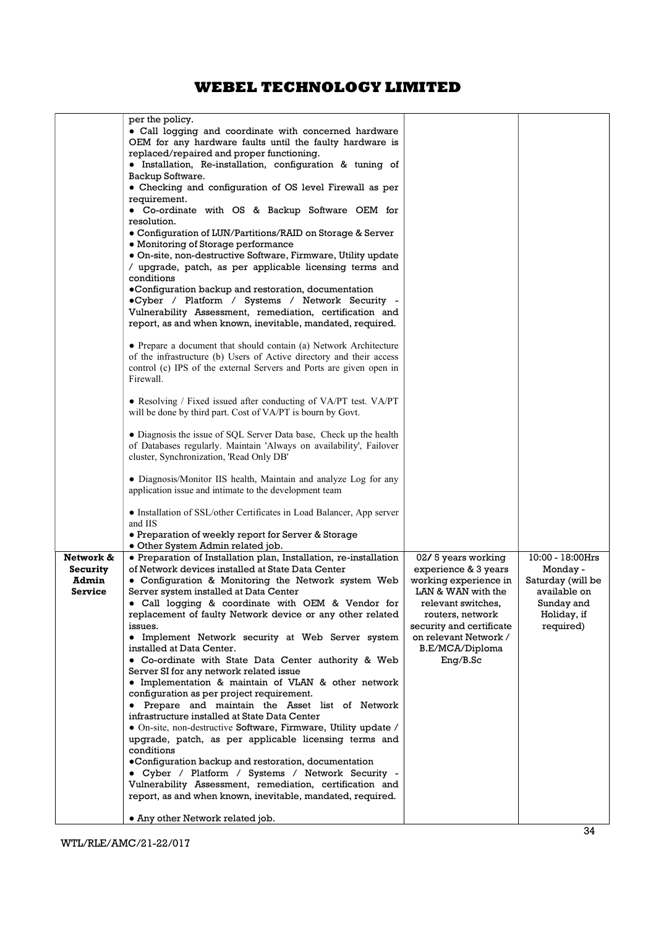|                | per the policy.<br>• Call logging and coordinate with concerned hardware<br>OEM for any hardware faults until the faulty hardware is<br>replaced/repaired and proper functioning.<br>· Installation, Re-installation, configuration & tuning of<br>Backup Software.<br>• Checking and configuration of OS level Firewall as per<br>requirement.<br>• Co-ordinate with OS & Backup Software OEM for<br>resolution.<br>• Configuration of LUN/Partitions/RAID on Storage & Server<br>• Monitoring of Storage performance<br>· On-site, non-destructive Software, Firmware, Utility update<br>/ upgrade, patch, as per applicable licensing terms and<br>conditions<br>·Configuration backup and restoration, documentation<br>.Cyber / Platform / Systems / Network Security -<br>Vulnerability Assessment, remediation, certification and<br>report, as and when known, inevitable, mandated, required.<br>• Prepare a document that should contain (a) Network Architecture<br>of the infrastructure (b) Users of Active directory and their access<br>control (c) IPS of the external Servers and Ports are given open in<br>Firewall.<br>• Resolving / Fixed issued after conducting of VA/PT test. VA/PT<br>will be done by third part. Cost of VA/PT is bourn by Govt.<br>• Diagnosis the issue of SQL Server Data base, Check up the health<br>of Databases regularly. Maintain 'Always on availability', Failover<br>cluster, Synchronization, 'Read Only DB'<br>• Diagnosis/Monitor IIS health, Maintain and analyze Log for any<br>application issue and intimate to the development team<br>• Installation of SSL/other Certificates in Load Balancer, App server<br>and IIS<br>• Preparation of weekly report for Server & Storage |                                                                                                                                      |                                                        |
|----------------|----------------------------------------------------------------------------------------------------------------------------------------------------------------------------------------------------------------------------------------------------------------------------------------------------------------------------------------------------------------------------------------------------------------------------------------------------------------------------------------------------------------------------------------------------------------------------------------------------------------------------------------------------------------------------------------------------------------------------------------------------------------------------------------------------------------------------------------------------------------------------------------------------------------------------------------------------------------------------------------------------------------------------------------------------------------------------------------------------------------------------------------------------------------------------------------------------------------------------------------------------------------------------------------------------------------------------------------------------------------------------------------------------------------------------------------------------------------------------------------------------------------------------------------------------------------------------------------------------------------------------------------------------------------------------------------------------------------------------------------------|--------------------------------------------------------------------------------------------------------------------------------------|--------------------------------------------------------|
|                | · Other System Admin related job.                                                                                                                                                                                                                                                                                                                                                                                                                                                                                                                                                                                                                                                                                                                                                                                                                                                                                                                                                                                                                                                                                                                                                                                                                                                                                                                                                                                                                                                                                                                                                                                                                                                                                                            |                                                                                                                                      |                                                        |
| Network &      | • Preparation of Installation plan, Installation, re-installation                                                                                                                                                                                                                                                                                                                                                                                                                                                                                                                                                                                                                                                                                                                                                                                                                                                                                                                                                                                                                                                                                                                                                                                                                                                                                                                                                                                                                                                                                                                                                                                                                                                                            | 02/5 years working                                                                                                                   | 10:00 - 18:00Hrs                                       |
| Security       | of Network devices installed at State Data Center                                                                                                                                                                                                                                                                                                                                                                                                                                                                                                                                                                                                                                                                                                                                                                                                                                                                                                                                                                                                                                                                                                                                                                                                                                                                                                                                                                                                                                                                                                                                                                                                                                                                                            | experience & 3 years                                                                                                                 | Monday -                                               |
| Admin          | • Configuration & Monitoring the Network system Web                                                                                                                                                                                                                                                                                                                                                                                                                                                                                                                                                                                                                                                                                                                                                                                                                                                                                                                                                                                                                                                                                                                                                                                                                                                                                                                                                                                                                                                                                                                                                                                                                                                                                          | working experience in                                                                                                                | Saturday (will be                                      |
| <b>Service</b> | Server system installed at Data Center<br>· Call logging & coordinate with OEM & Vendor for<br>replacement of faulty Network device or any other related<br>issues.<br>• Implement Network security at Web Server system<br>installed at Data Center.                                                                                                                                                                                                                                                                                                                                                                                                                                                                                                                                                                                                                                                                                                                                                                                                                                                                                                                                                                                                                                                                                                                                                                                                                                                                                                                                                                                                                                                                                        | LAN & WAN with the<br>relevant switches,<br>routers, network<br>security and certificate<br>on relevant Network /<br>B.E/MCA/Diploma | available on<br>Sunday and<br>Holiday, if<br>required) |
|                | • Co-ordinate with State Data Center authority & Web                                                                                                                                                                                                                                                                                                                                                                                                                                                                                                                                                                                                                                                                                                                                                                                                                                                                                                                                                                                                                                                                                                                                                                                                                                                                                                                                                                                                                                                                                                                                                                                                                                                                                         | $Eng/B.$ Sc                                                                                                                          |                                                        |
|                | Server SI for any network related issue                                                                                                                                                                                                                                                                                                                                                                                                                                                                                                                                                                                                                                                                                                                                                                                                                                                                                                                                                                                                                                                                                                                                                                                                                                                                                                                                                                                                                                                                                                                                                                                                                                                                                                      |                                                                                                                                      |                                                        |
|                | • Implementation & maintain of VLAN & other network                                                                                                                                                                                                                                                                                                                                                                                                                                                                                                                                                                                                                                                                                                                                                                                                                                                                                                                                                                                                                                                                                                                                                                                                                                                                                                                                                                                                                                                                                                                                                                                                                                                                                          |                                                                                                                                      |                                                        |
|                | configuration as per project requirement.                                                                                                                                                                                                                                                                                                                                                                                                                                                                                                                                                                                                                                                                                                                                                                                                                                                                                                                                                                                                                                                                                                                                                                                                                                                                                                                                                                                                                                                                                                                                                                                                                                                                                                    |                                                                                                                                      |                                                        |
|                | • Prepare and maintain the Asset list of Network                                                                                                                                                                                                                                                                                                                                                                                                                                                                                                                                                                                                                                                                                                                                                                                                                                                                                                                                                                                                                                                                                                                                                                                                                                                                                                                                                                                                                                                                                                                                                                                                                                                                                             |                                                                                                                                      |                                                        |
|                | infrastructure installed at State Data Center                                                                                                                                                                                                                                                                                                                                                                                                                                                                                                                                                                                                                                                                                                                                                                                                                                                                                                                                                                                                                                                                                                                                                                                                                                                                                                                                                                                                                                                                                                                                                                                                                                                                                                |                                                                                                                                      |                                                        |
|                | • On-site, non-destructive Software, Firmware, Utility update /<br>upgrade, patch, as per applicable licensing terms and                                                                                                                                                                                                                                                                                                                                                                                                                                                                                                                                                                                                                                                                                                                                                                                                                                                                                                                                                                                                                                                                                                                                                                                                                                                                                                                                                                                                                                                                                                                                                                                                                     |                                                                                                                                      |                                                        |
|                | conditions                                                                                                                                                                                                                                                                                                                                                                                                                                                                                                                                                                                                                                                                                                                                                                                                                                                                                                                                                                                                                                                                                                                                                                                                                                                                                                                                                                                                                                                                                                                                                                                                                                                                                                                                   |                                                                                                                                      |                                                        |
|                | •Configuration backup and restoration, documentation                                                                                                                                                                                                                                                                                                                                                                                                                                                                                                                                                                                                                                                                                                                                                                                                                                                                                                                                                                                                                                                                                                                                                                                                                                                                                                                                                                                                                                                                                                                                                                                                                                                                                         |                                                                                                                                      |                                                        |
|                | • Cyber / Platform / Systems / Network Security -                                                                                                                                                                                                                                                                                                                                                                                                                                                                                                                                                                                                                                                                                                                                                                                                                                                                                                                                                                                                                                                                                                                                                                                                                                                                                                                                                                                                                                                                                                                                                                                                                                                                                            |                                                                                                                                      |                                                        |
|                | Vulnerability Assessment, remediation, certification and                                                                                                                                                                                                                                                                                                                                                                                                                                                                                                                                                                                                                                                                                                                                                                                                                                                                                                                                                                                                                                                                                                                                                                                                                                                                                                                                                                                                                                                                                                                                                                                                                                                                                     |                                                                                                                                      |                                                        |
|                | report, as and when known, inevitable, mandated, required.                                                                                                                                                                                                                                                                                                                                                                                                                                                                                                                                                                                                                                                                                                                                                                                                                                                                                                                                                                                                                                                                                                                                                                                                                                                                                                                                                                                                                                                                                                                                                                                                                                                                                   |                                                                                                                                      |                                                        |
|                | • Any other Network related job.                                                                                                                                                                                                                                                                                                                                                                                                                                                                                                                                                                                                                                                                                                                                                                                                                                                                                                                                                                                                                                                                                                                                                                                                                                                                                                                                                                                                                                                                                                                                                                                                                                                                                                             |                                                                                                                                      |                                                        |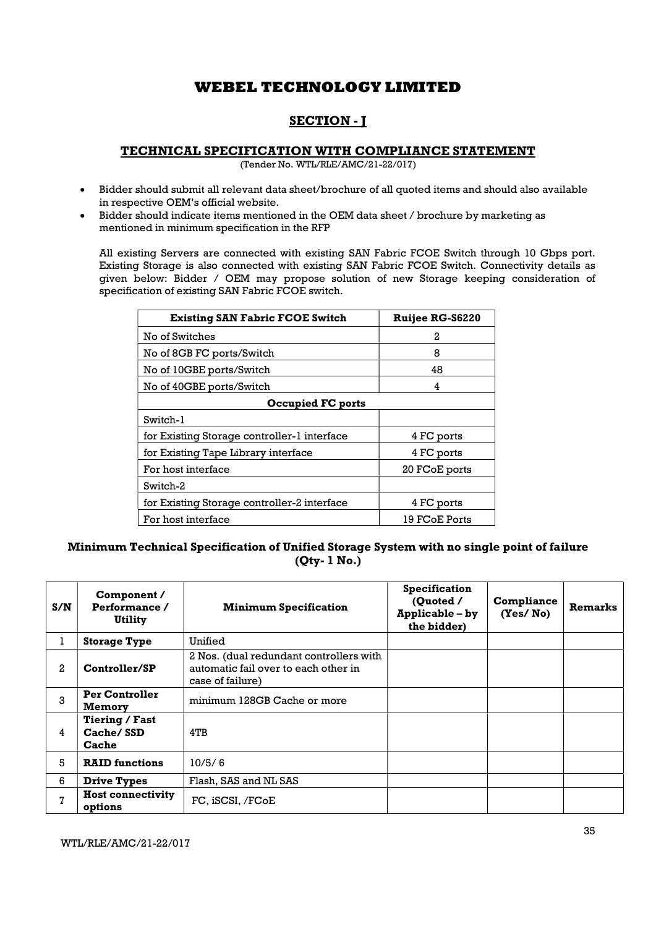# SECTION - J

## TECHNICAL SPECIFICATION WITH COMPLIANCE STATEMENT

(Tender No. WTL/RLE/AMC/21-22/017)

- Bidder should submit all relevant data sheet/brochure of all quoted items and should also available in respective OEM's official website.
- Bidder should indicate items mentioned in the OEM data sheet / brochure by marketing as mentioned in minimum specification in the RFP

All existing Servers are connected with existing SAN Fabric FCOE Switch through 10 Gbps port. Existing Storage is also connected with existing SAN Fabric FCOE Switch. Connectivity details as given below: Bidder / OEM may propose solution of new Storage keeping consideration of specification of existing SAN Fabric FCOE switch.

| <b>Existing SAN Fabric FCOE Switch</b>      | <b>Ruijee RG-S6220</b> |  |  |  |  |
|---------------------------------------------|------------------------|--|--|--|--|
| No of Switches                              | 2                      |  |  |  |  |
| No of 8GB FC ports/Switch                   | 8                      |  |  |  |  |
| No of 10GBE ports/Switch                    | 48                     |  |  |  |  |
| No of 40GBE ports/Switch                    | 4                      |  |  |  |  |
| <b>Occupied FC ports</b>                    |                        |  |  |  |  |
| Switch-1                                    |                        |  |  |  |  |
| for Existing Storage controller-1 interface | 4 FC ports             |  |  |  |  |
| for Existing Tape Library interface         | 4 FC ports             |  |  |  |  |
| For host interface                          | 20 FCoE ports          |  |  |  |  |
| Switch-2                                    |                        |  |  |  |  |
| for Existing Storage controller-2 interface | 4 FC ports             |  |  |  |  |
| For host interface                          | 19 FCoE Ports          |  |  |  |  |

## Minimum Technical Specification of Unified Storage System with no single point of failure (Qty- 1 No.)

| S/N | Component /<br>Performance /<br>Utility | <b>Minimum Specification</b>                                                                        | <b>Specification</b><br>(Quoted /<br>Applicable - by<br>the bidder) | Compliance<br>(Yes/No) | <b>Remarks</b> |
|-----|-----------------------------------------|-----------------------------------------------------------------------------------------------------|---------------------------------------------------------------------|------------------------|----------------|
| ı   | <b>Storage Type</b>                     | Unified                                                                                             |                                                                     |                        |                |
| 2   | Controller/SP                           | 2 Nos. (dual redundant controllers with<br>automatic fail over to each other in<br>case of failure) |                                                                     |                        |                |
| 3   | <b>Per Controller</b><br>Memory         | minimum 128GB Cache or more                                                                         |                                                                     |                        |                |
| 4   | Tiering / Fast<br>Cache/SSD<br>Cache    | 4TB                                                                                                 |                                                                     |                        |                |
| 5   | <b>RAID</b> functions                   | 10/5/6                                                                                              |                                                                     |                        |                |
| 6   | <b>Drive Types</b>                      | Flash, SAS and NL SAS                                                                               |                                                                     |                        |                |
| 7   | <b>Host connectivity</b><br>options     | FC, iSCSI, /FCoE                                                                                    |                                                                     |                        |                |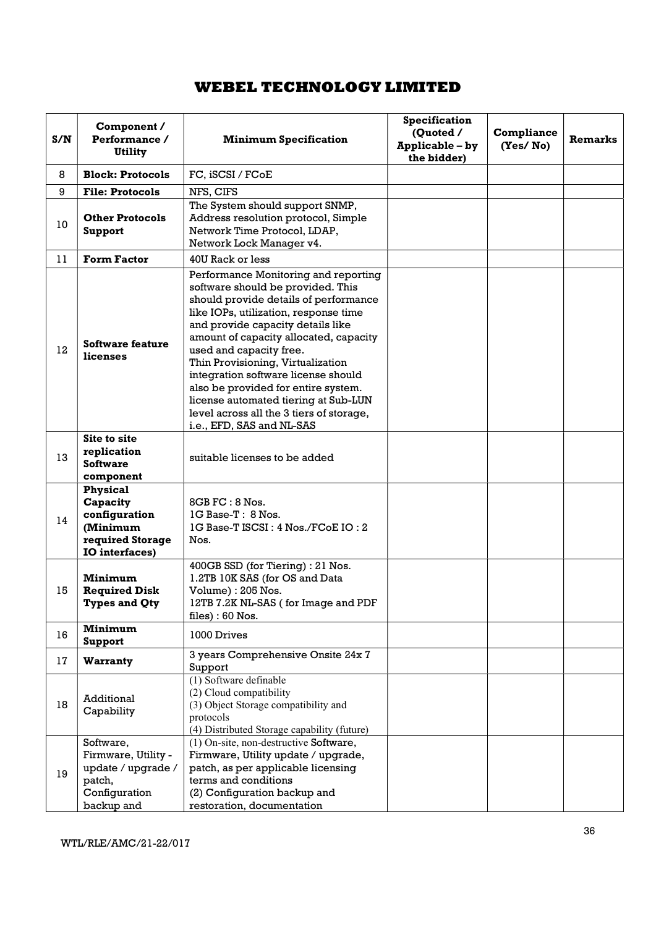| S/N                                                           | Component /<br>Performance /<br><b>Utility</b>                                                                                                                                                  | <b>Minimum Specification</b>                                                                                                                                                                                                                                                                                                                                                                                                                                                                              | Specification<br>(Quoted /<br>Applicable - by<br>the bidder) | <b>Compliance</b><br>(Yes/No) | Remarks |
|---------------------------------------------------------------|-------------------------------------------------------------------------------------------------------------------------------------------------------------------------------------------------|-----------------------------------------------------------------------------------------------------------------------------------------------------------------------------------------------------------------------------------------------------------------------------------------------------------------------------------------------------------------------------------------------------------------------------------------------------------------------------------------------------------|--------------------------------------------------------------|-------------------------------|---------|
| 8                                                             | <b>Block: Protocols</b>                                                                                                                                                                         | FC, iSCSI / FCoE                                                                                                                                                                                                                                                                                                                                                                                                                                                                                          |                                                              |                               |         |
| 9                                                             | <b>File: Protocols</b>                                                                                                                                                                          | NFS, CIFS                                                                                                                                                                                                                                                                                                                                                                                                                                                                                                 |                                                              |                               |         |
| 10                                                            | <b>Other Protocols</b><br>Support                                                                                                                                                               | The System should support SNMP,<br>Address resolution protocol, Simple<br>Network Time Protocol, LDAP,<br>Network Lock Manager v4.                                                                                                                                                                                                                                                                                                                                                                        |                                                              |                               |         |
| 11                                                            | <b>Form Factor</b>                                                                                                                                                                              | 40U Rack or less                                                                                                                                                                                                                                                                                                                                                                                                                                                                                          |                                                              |                               |         |
| 12                                                            | Software feature<br>licenses                                                                                                                                                                    | Performance Monitoring and reporting<br>software should be provided. This<br>should provide details of performance<br>like IOPs, utilization, response time<br>and provide capacity details like<br>amount of capacity allocated, capacity<br>used and capacity free.<br>Thin Provisioning, Virtualization<br>integration software license should<br>also be provided for entire system.<br>license automated tiering at Sub-LUN<br>level across all the 3 tiers of storage,<br>i.e., EFD, SAS and NL-SAS |                                                              |                               |         |
| 13                                                            | <b>Site to site</b><br>replication<br>suitable licenses to be added<br><b>Software</b><br>component                                                                                             |                                                                                                                                                                                                                                                                                                                                                                                                                                                                                                           |                                                              |                               |         |
| 14                                                            | <b>Physical</b><br>Capacity<br>$8GB$ FC : $8$ Nos.<br>configuration<br>1G Base-T: 8 Nos.<br>(Minimum<br>1G Base-T ISCSI: 4 Nos./FCoE IO: 2<br>required Storage<br>Nos.<br><b>IO</b> interfaces) |                                                                                                                                                                                                                                                                                                                                                                                                                                                                                                           |                                                              |                               |         |
| Minimum<br>15<br><b>Required Disk</b><br><b>Types and Qty</b> |                                                                                                                                                                                                 | 400GB SSD (for Tiering) : 21 Nos.<br>1.2TB 10K SAS (for OS and Data<br>Volume): 205 Nos.<br>12TB 7.2K NL-SAS (for Image and PDF<br>$files) : 60$ Nos.                                                                                                                                                                                                                                                                                                                                                     |                                                              |                               |         |
| 16                                                            | Minimum<br>Support                                                                                                                                                                              | 1000 Drives                                                                                                                                                                                                                                                                                                                                                                                                                                                                                               |                                                              |                               |         |
| 17                                                            | Warranty                                                                                                                                                                                        | 3 years Comprehensive Onsite 24x 7<br>Support                                                                                                                                                                                                                                                                                                                                                                                                                                                             |                                                              |                               |         |
| Additional<br>18<br>Capability                                |                                                                                                                                                                                                 | (1) Software definable<br>(2) Cloud compatibility<br>(3) Object Storage compatibility and<br>protocols<br>(4) Distributed Storage capability (future)                                                                                                                                                                                                                                                                                                                                                     |                                                              |                               |         |
| 19                                                            | Software,<br>Firmware, Utility -<br>update / upgrade /<br>patch,<br>Configuration<br>backup and                                                                                                 | (1) On-site, non-destructive Software,<br>Firmware, Utility update / upgrade,<br>patch, as per applicable licensing<br>terms and conditions<br>(2) Configuration backup and<br>restoration, documentation                                                                                                                                                                                                                                                                                                 |                                                              |                               |         |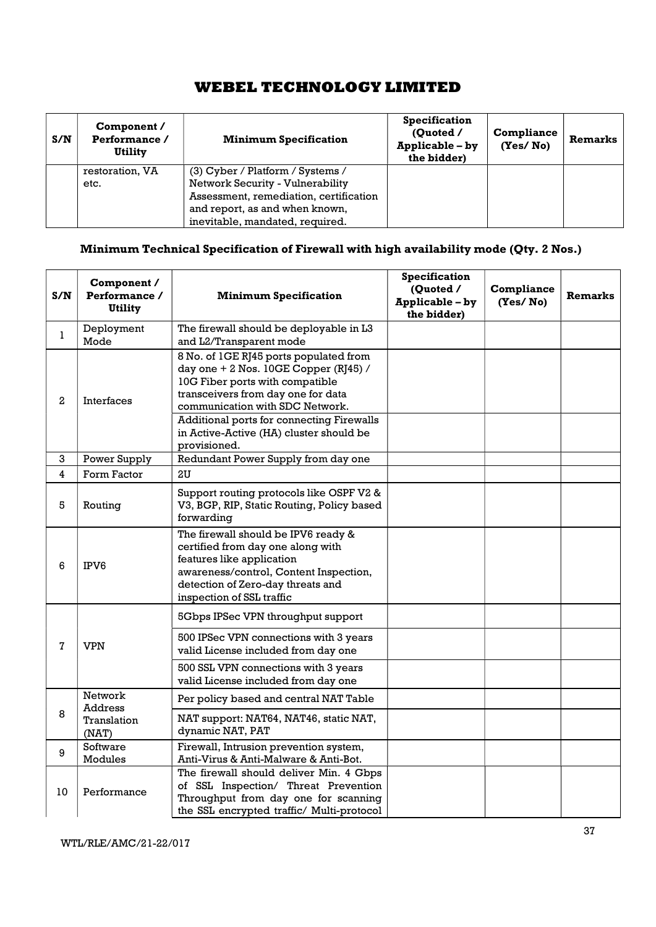| S/N | Component /<br>Performance /<br>Utility | <b>Minimum Specification</b>           | <b>Specification</b><br>(Ouoted /<br>Applicable - by<br>the bidder) | <b>Compliance</b><br>(Yes/No) | <b>Remarks</b> |
|-----|-----------------------------------------|----------------------------------------|---------------------------------------------------------------------|-------------------------------|----------------|
|     | restoration, VA                         | (3) Cyber / Platform / Systems /       |                                                                     |                               |                |
|     | etc.                                    | Network Security - Vulnerability       |                                                                     |                               |                |
|     |                                         | Assessment, remediation, certification |                                                                     |                               |                |
|     |                                         | and report, as and when known,         |                                                                     |                               |                |
|     |                                         | inevitable, mandated, required.        |                                                                     |                               |                |

# Minimum Technical Specification of Firewall with high availability mode (Qty. 2 Nos.)

| S/N               | Component /<br>Performance /<br><b>Utility</b>                                                                                                                                                                                                                                                                             | <b>Minimum Specification</b>                                                                                                                                                                                      | <b>Specification</b><br>(Quoted /<br>Applicable - by<br>the bidder) | Compliance<br>(Yes/No) | <b>Remarks</b> |
|-------------------|----------------------------------------------------------------------------------------------------------------------------------------------------------------------------------------------------------------------------------------------------------------------------------------------------------------------------|-------------------------------------------------------------------------------------------------------------------------------------------------------------------------------------------------------------------|---------------------------------------------------------------------|------------------------|----------------|
| $\mathbf{1}$      | Deployment<br>Mode                                                                                                                                                                                                                                                                                                         | The firewall should be deployable in L3<br>and L2/Transparent mode                                                                                                                                                |                                                                     |                        |                |
| 2                 | 8 No. of 1GE RJ45 ports populated from<br>day one $+ 2$ Nos. 10GE Copper (RJ45) /<br>10G Fiber ports with compatible<br>transceivers from day one for data<br>Interfaces<br>communication with SDC Network.<br><b>Additional ports for connecting Firewalls</b><br>in Active-Active (HA) cluster should be<br>provisioned. |                                                                                                                                                                                                                   |                                                                     |                        |                |
| 3                 | Power Supply                                                                                                                                                                                                                                                                                                               | Redundant Power Supply from day one                                                                                                                                                                               |                                                                     |                        |                |
| $\overline{4}$    | Form Factor                                                                                                                                                                                                                                                                                                                | 2U                                                                                                                                                                                                                |                                                                     |                        |                |
| 5                 | Routing                                                                                                                                                                                                                                                                                                                    | Support routing protocols like OSPF V2 &<br>V3, BGP, RIP, Static Routing, Policy based<br>forwarding                                                                                                              |                                                                     |                        |                |
| 6<br>IPV6         |                                                                                                                                                                                                                                                                                                                            | The firewall should be IPV6 ready &<br>certified from day one along with<br>features like application<br>awareness/control, Content Inspection,<br>detection of Zero-day threats and<br>inspection of SSL traffic |                                                                     |                        |                |
|                   |                                                                                                                                                                                                                                                                                                                            | 5Gbps IPSec VPN throughput support                                                                                                                                                                                |                                                                     |                        |                |
| $\bf 7$           | <b>VPN</b>                                                                                                                                                                                                                                                                                                                 | 500 IPSec VPN connections with 3 years<br>valid License included from day one                                                                                                                                     |                                                                     |                        |                |
|                   |                                                                                                                                                                                                                                                                                                                            | 500 SSL VPN connections with 3 years<br>valid License included from day one                                                                                                                                       |                                                                     |                        |                |
|                   | Network                                                                                                                                                                                                                                                                                                                    | Per policy based and central NAT Table                                                                                                                                                                            |                                                                     |                        |                |
| 8                 | <b>Address</b><br>Translation<br>(NAT)                                                                                                                                                                                                                                                                                     | NAT support: NAT64, NAT46, static NAT,<br>dynamic NAT, PAT                                                                                                                                                        |                                                                     |                        |                |
| 9                 | Software<br>Modules                                                                                                                                                                                                                                                                                                        | Firewall, Intrusion prevention system,<br>Anti-Virus & Anti-Malware & Anti-Bot.                                                                                                                                   |                                                                     |                        |                |
| 10<br>Performance |                                                                                                                                                                                                                                                                                                                            | The firewall should deliver Min. 4 Gbps<br>of SSL Inspection/ Threat Prevention<br>Throughput from day one for scanning<br>the SSL encrypted traffic/ Multi-protocol                                              |                                                                     |                        |                |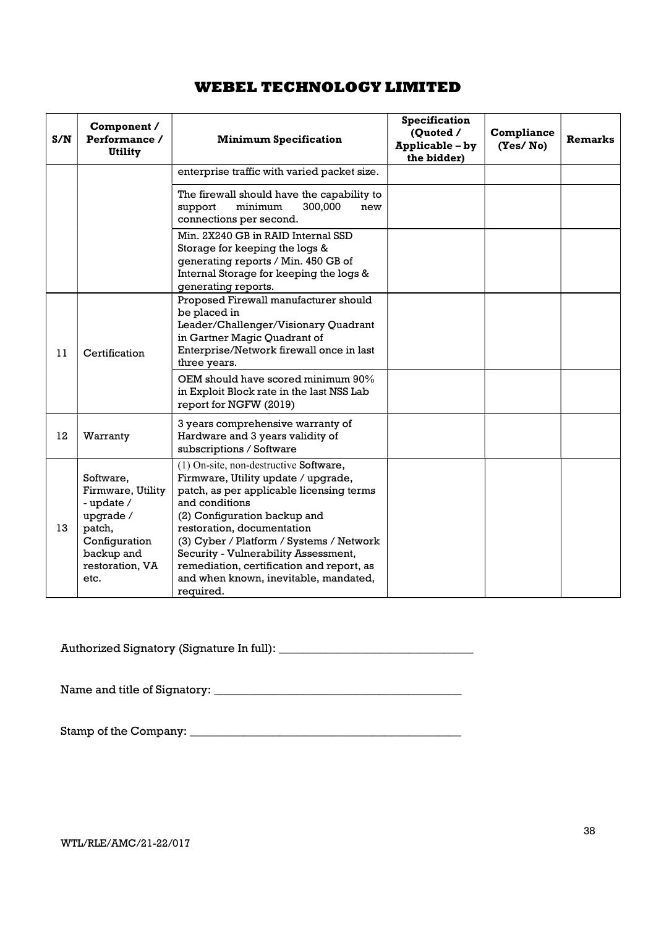| S/N | Component /<br>Performance /<br><b>Utility</b>                                                                                | <b>Minimum Specification</b>                                                                                                                                                                                                                                                                                                                                                                     |  | Compliance<br>(Yes/No) | <b>Remarks</b> |
|-----|-------------------------------------------------------------------------------------------------------------------------------|--------------------------------------------------------------------------------------------------------------------------------------------------------------------------------------------------------------------------------------------------------------------------------------------------------------------------------------------------------------------------------------------------|--|------------------------|----------------|
|     |                                                                                                                               | enterprise traffic with varied packet size.                                                                                                                                                                                                                                                                                                                                                      |  |                        |                |
|     |                                                                                                                               | The firewall should have the capability to<br>support<br>minimum<br>300,000<br>new<br>connections per second.                                                                                                                                                                                                                                                                                    |  |                        |                |
|     |                                                                                                                               | Min. 2X240 GB in RAID Internal SSD<br>Storage for keeping the logs &<br>generating reports / Min. 450 GB of<br>Internal Storage for keeping the logs &<br>generating reports.                                                                                                                                                                                                                    |  |                        |                |
| 11  | Certification                                                                                                                 | Proposed Firewall manufacturer should<br>be placed in<br>Leader/Challenger/Visionary Quadrant<br>in Gartner Magic Quadrant of<br>Enterprise/Network firewall once in last<br>three years.                                                                                                                                                                                                        |  |                        |                |
|     |                                                                                                                               | OEM should have scored minimum 90%<br>in Exploit Block rate in the last NSS Lab<br>report for NGFW (2019)                                                                                                                                                                                                                                                                                        |  |                        |                |
| 12  | Warranty                                                                                                                      | 3 years comprehensive warranty of<br>Hardware and 3 years validity of<br>subscriptions / Software                                                                                                                                                                                                                                                                                                |  |                        |                |
| 13  | Software,<br>Firmware, Utility<br>- update /<br>upgrade /<br>patch,<br>Configuration<br>backup and<br>restoration, VA<br>etc. | (1) On-site, non-destructive Software,<br>Firmware, Utility update / upgrade,<br>patch, as per applicable licensing terms<br>and conditions<br>(2) Configuration backup and<br>restoration, documentation<br>(3) Cyber / Platform / Systems / Network<br>Security - Vulnerability Assessment,<br>remediation, certification and report, as<br>and when known, inevitable, mandated,<br>required. |  |                        |                |

Authorized Signatory (Signature In full): \_\_\_\_\_\_\_\_\_\_\_\_\_\_\_\_\_\_\_\_\_\_\_\_\_\_\_\_\_\_\_\_\_

Name and title of Signatory: \_\_\_\_\_\_\_\_\_\_\_\_\_\_\_\_\_\_\_\_\_\_\_\_\_\_\_\_\_\_\_\_\_\_\_\_\_\_\_\_\_\_

Stamp of the Company: \_\_\_\_\_\_\_\_\_\_\_\_\_\_\_\_\_\_\_\_\_\_\_\_\_\_\_\_\_\_\_\_\_\_\_\_\_\_\_\_\_\_\_\_\_\_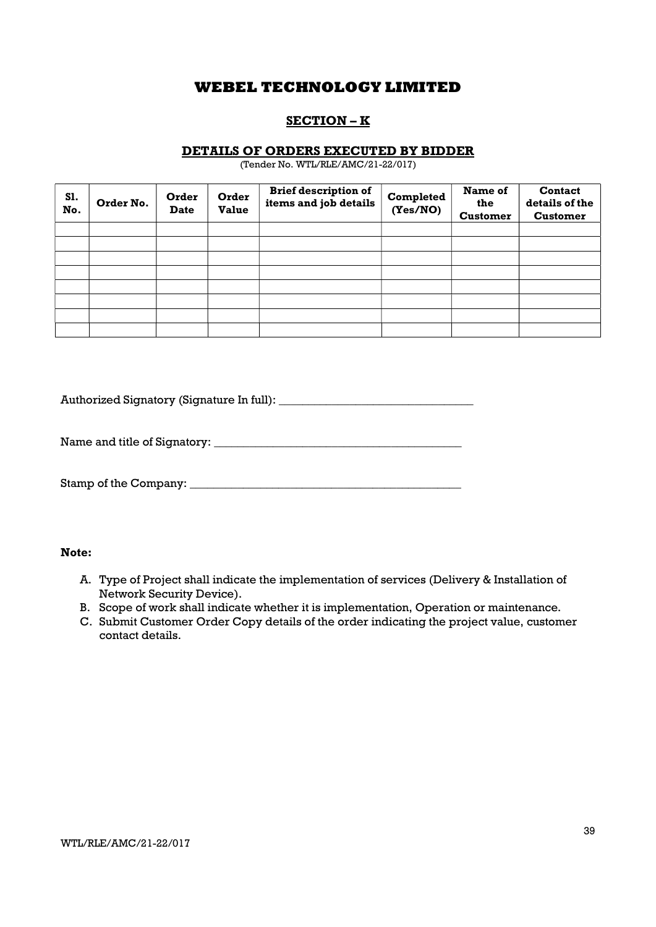## SECTION – K

## DETAILS OF ORDERS EXECUTED BY BIDDER

(Tender No. WTL/RLE/AMC/21-22/017)

| S1.<br>No. | Order No. | Order<br><b>Date</b> | Order<br><b>Value</b> | <b>Brief description of</b><br>items and job details | Completed<br>(Yes/NO) | Name of<br>the<br><b>Customer</b> | <b>Contact</b><br>details of the<br><b>Customer</b> |
|------------|-----------|----------------------|-----------------------|------------------------------------------------------|-----------------------|-----------------------------------|-----------------------------------------------------|
|            |           |                      |                       |                                                      |                       |                                   |                                                     |
|            |           |                      |                       |                                                      |                       |                                   |                                                     |
|            |           |                      |                       |                                                      |                       |                                   |                                                     |
|            |           |                      |                       |                                                      |                       |                                   |                                                     |
|            |           |                      |                       |                                                      |                       |                                   |                                                     |
|            |           |                      |                       |                                                      |                       |                                   |                                                     |
|            |           |                      |                       |                                                      |                       |                                   |                                                     |
|            |           |                      |                       |                                                      |                       |                                   |                                                     |

Authorized Signatory (Signature In full): \_\_\_\_\_\_\_\_\_\_\_\_\_\_\_\_\_\_\_\_\_\_\_\_\_\_\_\_\_\_\_\_\_

Name and title of Signatory: \_\_\_\_\_\_\_\_\_\_\_\_\_\_\_\_\_\_\_\_\_\_\_\_\_\_\_\_\_\_\_\_\_\_\_\_\_\_\_\_\_\_

Stamp of the Company: \_\_\_\_\_\_\_\_\_\_\_\_\_\_\_\_\_\_\_\_\_\_\_\_\_\_\_\_\_\_\_\_\_\_\_\_\_\_\_\_\_\_\_\_\_\_

## Note:

- A. Type of Project shall indicate the implementation of services (Delivery & Installation of Network Security Device).
- B. Scope of work shall indicate whether it is implementation, Operation or maintenance.
- C. Submit Customer Order Copy details of the order indicating the project value, customer contact details.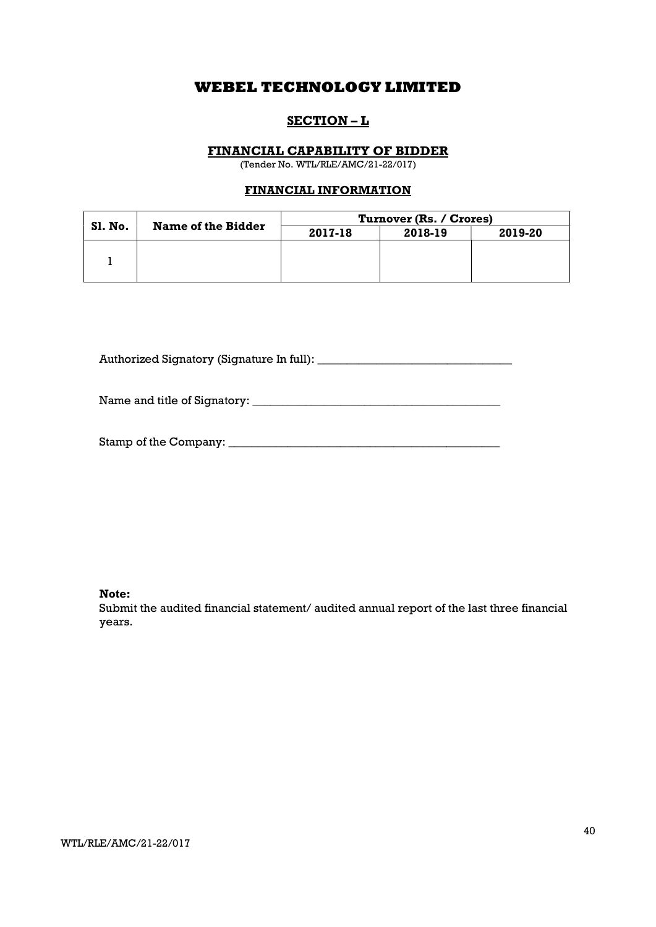## SECTION – L

## FINANCIAL CAPABILITY OF BIDDER

(Tender No. WTL/RLE/AMC/21-22/017)

## FINANCIAL INFORMATION

|         | <b>Name of the Bidder</b> | Turnover (Rs. / Crores) |         |         |  |
|---------|---------------------------|-------------------------|---------|---------|--|
| SI. No. |                           | 2017-18                 | 2018-19 | 2019-20 |  |
|         |                           |                         |         |         |  |
|         |                           |                         |         |         |  |
|         |                           |                         |         |         |  |

Authorized Signatory (Signature In full): \_\_\_\_\_\_\_\_\_\_\_\_\_\_\_\_\_\_\_\_\_\_\_\_\_\_\_\_\_\_\_\_\_

Name and title of Signatory: \_\_\_\_\_\_\_\_\_\_\_\_\_\_\_\_\_\_\_\_\_\_\_\_\_\_\_\_\_\_\_\_\_\_\_\_\_\_\_\_\_\_

| Stamp of the Company: |  |
|-----------------------|--|
|-----------------------|--|

Note:

Submit the audited financial statement/ audited annual report of the last three financial years.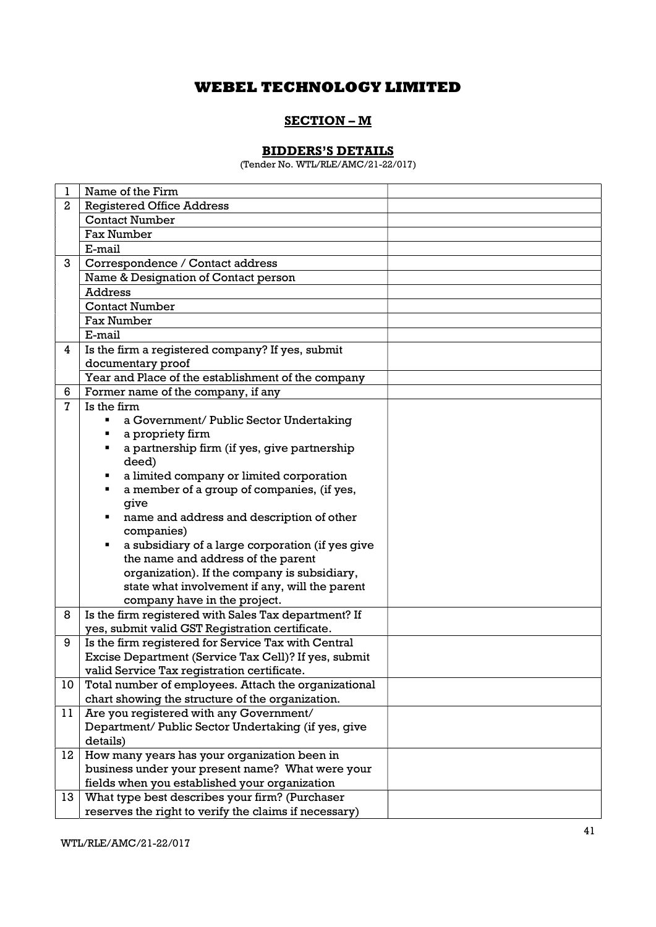## SECTION – M

## BIDDERS'S DETAILS

(Tender No. WTL/RLE/AMC/21-22/017)

| 1  | Name of the Firm                                                                                         |  |
|----|----------------------------------------------------------------------------------------------------------|--|
| 2  | <b>Registered Office Address</b>                                                                         |  |
|    | <b>Contact Number</b>                                                                                    |  |
|    | <b>Fax Number</b>                                                                                        |  |
|    | E-mail                                                                                                   |  |
| 3  | Correspondence / Contact address                                                                         |  |
|    | Name & Designation of Contact person                                                                     |  |
|    | <b>Address</b>                                                                                           |  |
|    | <b>Contact Number</b>                                                                                    |  |
|    | <b>Fax Number</b>                                                                                        |  |
|    | E-mail                                                                                                   |  |
| 4  | Is the firm a registered company? If yes, submit                                                         |  |
|    | documentary proof                                                                                        |  |
|    | Year and Place of the establishment of the company                                                       |  |
| 6  | Former name of the company, if any                                                                       |  |
| 7  | Is the firm                                                                                              |  |
|    | a Government/ Public Sector Undertaking<br>٠                                                             |  |
|    | a propriety firm<br>٠                                                                                    |  |
|    | a partnership firm (if yes, give partnership<br>٠                                                        |  |
|    | deed)                                                                                                    |  |
|    | a limited company or limited corporation<br>٠                                                            |  |
|    | a member of a group of companies, (if yes,<br>٠                                                          |  |
|    | give                                                                                                     |  |
|    | name and address and description of other                                                                |  |
|    | companies)                                                                                               |  |
|    | a subsidiary of a large corporation (if yes give<br>٠                                                    |  |
|    | the name and address of the parent                                                                       |  |
|    | organization). If the company is subsidiary,                                                             |  |
|    | state what involvement if any, will the parent                                                           |  |
|    | company have in the project.                                                                             |  |
| 8  | Is the firm registered with Sales Tax department? If                                                     |  |
|    | yes, submit valid GST Registration certificate.                                                          |  |
| 9  | Is the firm registered for Service Tax with Central                                                      |  |
|    | Excise Department (Service Tax Cell)? If yes, submit                                                     |  |
|    | valid Service Tax registration certificate.                                                              |  |
| 10 | Total number of employees. Attach the organizational<br>chart showing the structure of the organization. |  |
| 11 |                                                                                                          |  |
|    | Are you registered with any Government/<br>Department/ Public Sector Undertaking (if yes, give           |  |
|    | details)                                                                                                 |  |
| 12 | How many years has your organization been in                                                             |  |
|    | business under your present name? What were your                                                         |  |
|    | fields when you established your organization                                                            |  |
| 13 | What type best describes your firm? (Purchaser                                                           |  |
|    | reserves the right to verify the claims if necessary)                                                    |  |
|    |                                                                                                          |  |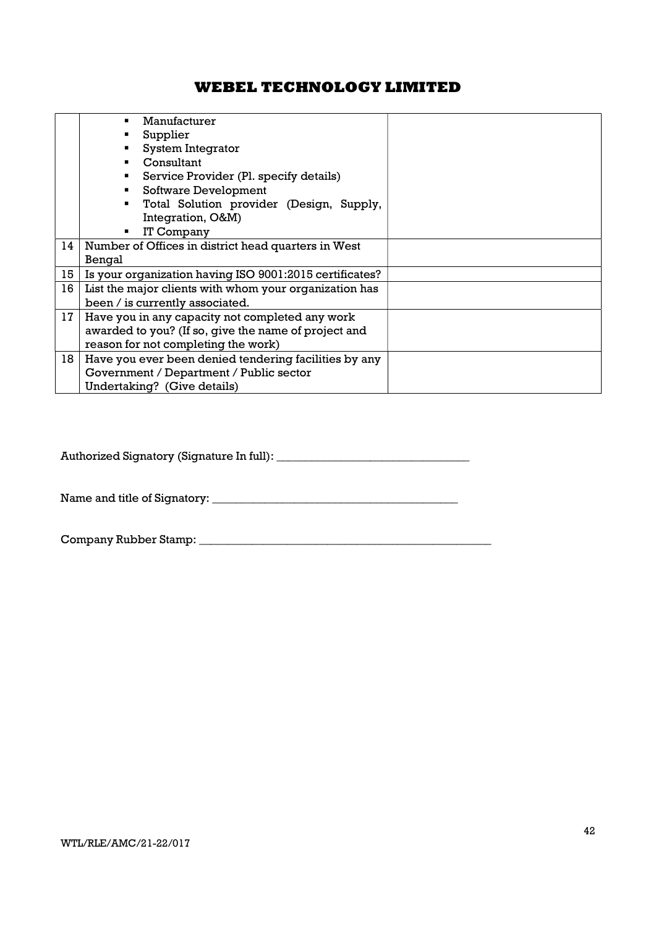|    | Manufacturer                                            |
|----|---------------------------------------------------------|
|    | Supplier                                                |
|    | System Integrator                                       |
|    | Consultant                                              |
|    | Service Provider (Pl. specify details)                  |
|    | Software Development                                    |
|    | Total Solution provider (Design, Supply,<br>٠           |
|    | Integration, O&M)                                       |
|    | IT Company                                              |
| 14 | Number of Offices in district head quarters in West     |
|    | Bengal                                                  |
| 15 | Is your organization having ISO 9001:2015 certificates? |
| 16 | List the major clients with whom your organization has  |
|    | been / is currently associated.                         |
| 17 | Have you in any capacity not completed any work         |
|    | awarded to you? (If so, give the name of project and    |
|    | reason for not completing the work)                     |
| 18 | Have you ever been denied tendering facilities by any   |
|    | Government / Department / Public sector                 |
|    | Undertaking? (Give details)                             |

Authorized Signatory (Signature In full): \_\_\_\_\_\_\_\_\_\_\_\_\_\_\_\_\_\_\_\_\_\_\_\_\_\_\_\_\_\_\_\_\_

Name and title of Signatory: \_\_\_\_\_\_\_\_\_\_\_\_\_\_\_\_\_\_\_\_\_\_\_\_\_\_\_\_\_\_\_\_\_\_\_\_\_\_\_\_\_\_

Company Rubber Stamp: \_\_\_\_\_\_\_\_\_\_\_\_\_\_\_\_\_\_\_\_\_\_\_\_\_\_\_\_\_\_\_\_\_\_\_\_\_\_\_\_\_\_\_\_\_\_\_\_\_\_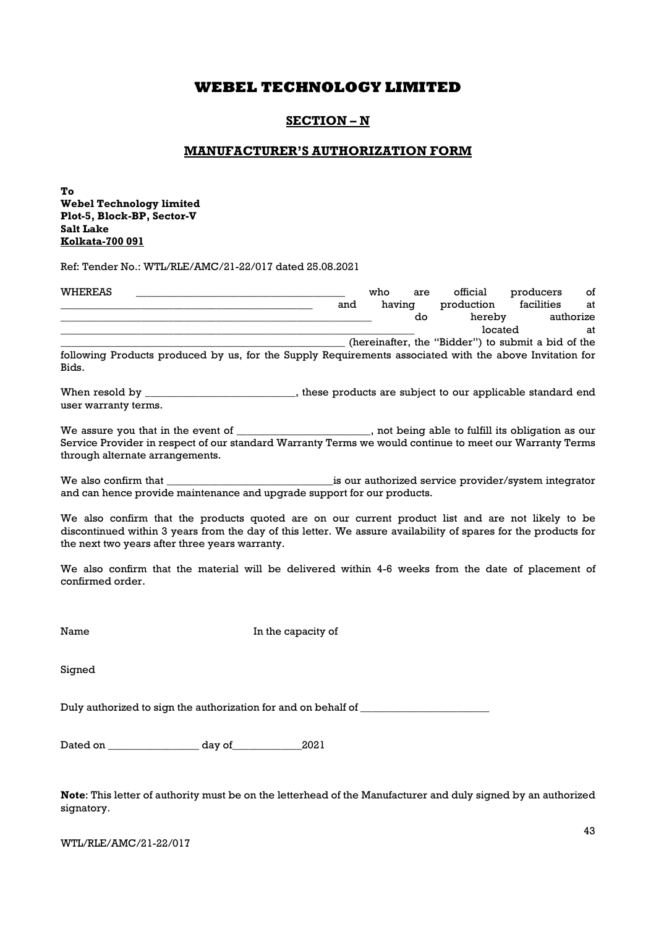## SECTION – N

## MANUFACTURER'S AUTHORIZATION FORM

To Webel Technology limited Plot-5, Block-BP, Sector-V Salt Lake Kolkata-700 091

Ref: Tender No.: WTL/RLE/AMC/21-22/017 dated 25.08.2021

| WHEREAS |                                                                                                         |  |     | who    | are | official                                           | producers  | οf        |
|---------|---------------------------------------------------------------------------------------------------------|--|-----|--------|-----|----------------------------------------------------|------------|-----------|
|         |                                                                                                         |  | and | having |     | production                                         | facilities | at        |
|         |                                                                                                         |  |     |        | do  | hereby                                             |            | authorize |
|         |                                                                                                         |  |     |        |     | located                                            |            | at        |
|         |                                                                                                         |  |     |        |     | (hereinafter, the "Bidder") to submit a bid of the |            |           |
|         | following Products produced by us, for the Supply Requirements associated with the above Invitation for |  |     |        |     |                                                    |            |           |
| Bids.   |                                                                                                         |  |     |        |     |                                                    |            |           |

When resold by \_\_\_\_\_\_\_\_\_\_\_\_\_\_\_\_\_\_\_\_\_\_\_\_\_, these products are subject to our applicable standard end user warranty terms.

We assure you that in the event of \_\_\_\_\_\_\_\_\_\_\_\_\_\_\_\_\_\_\_\_\_\_, not being able to fulfill its obligation as our Service Provider in respect of our standard Warranty Terms we would continue to meet our Warranty Terms through alternate arrangements.

We also confirm that \_\_\_\_\_\_\_\_\_\_\_\_\_\_\_\_\_\_\_\_\_\_\_\_\_\_\_\_\_\_\_is our authorized service provider/system integrator and can hence provide maintenance and upgrade support for our products.

We also confirm that the products quoted are on our current product list and are not likely to be discontinued within 3 years from the day of this letter. We assure availability of spares for the products for the next two years after three years warranty.

We also confirm that the material will be delivered within 4-6 weeks from the date of placement of confirmed order.

Name In the capacity of

Signed

Duly authorized to sign the authorization for and on behalf of

Dated on \_\_\_\_\_\_\_\_\_\_\_\_\_\_\_\_\_ day of\_\_\_\_\_\_\_\_\_\_\_\_\_2021

Note: This letter of authority must be on the letterhead of the Manufacturer and duly signed by an authorized signatory.

WTL/RLE/AMC/21-22/017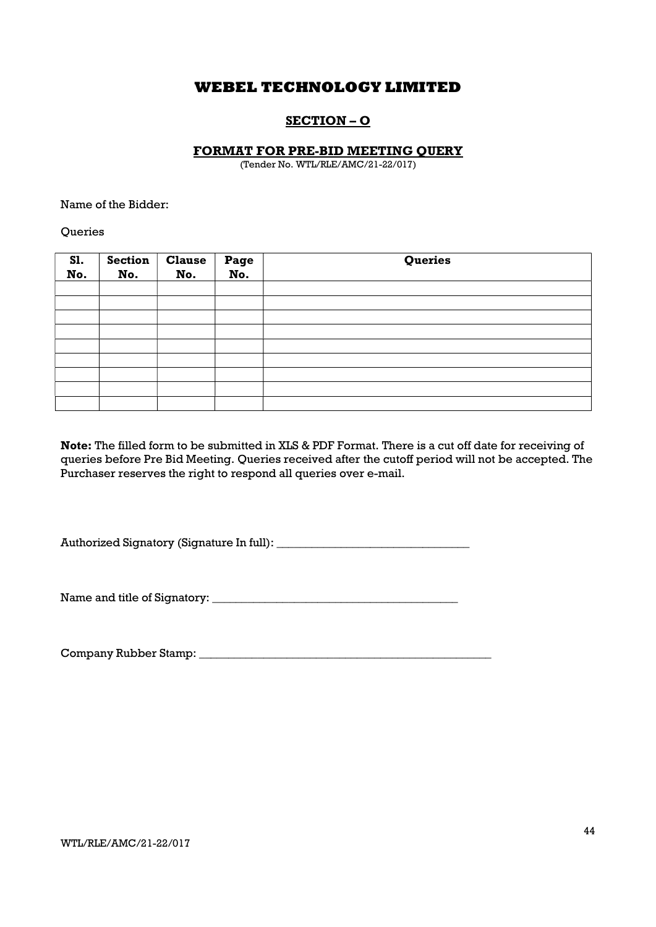## SECTION – O

## FORMAT FOR PRE-BID MEETING QUERY

(Tender No. WTL/RLE/AMC/21-22/017)

Name of the Bidder:

**Oueries** 

| S1.<br>No. | <b>Section</b><br>No. | <b>Clause</b><br>No. | Page<br>No. | Queries |
|------------|-----------------------|----------------------|-------------|---------|
|            |                       |                      |             |         |
|            |                       |                      |             |         |
|            |                       |                      |             |         |
|            |                       |                      |             |         |
|            |                       |                      |             |         |
|            |                       |                      |             |         |
|            |                       |                      |             |         |
|            |                       |                      |             |         |
|            |                       |                      |             |         |

Note: The filled form to be submitted in XLS & PDF Format. There is a cut off date for receiving of queries before Pre Bid Meeting. Queries received after the cutoff period will not be accepted. The Purchaser reserves the right to respond all queries over e-mail.

Authorized Signatory (Signature In full): \_\_\_\_\_\_\_\_\_\_\_\_\_\_\_\_\_\_\_\_\_\_\_\_\_\_\_\_\_\_\_\_\_

Name and title of Signatory: \_\_\_\_\_\_\_\_\_\_\_\_\_\_\_\_\_\_\_\_\_\_\_\_\_\_\_\_\_\_\_\_\_\_\_\_\_\_\_\_\_\_

Company Rubber Stamp: \_\_\_\_\_\_\_\_\_\_\_\_\_\_\_\_\_\_\_\_\_\_\_\_\_\_\_\_\_\_\_\_\_\_\_\_\_\_\_\_\_\_\_\_\_\_\_\_\_\_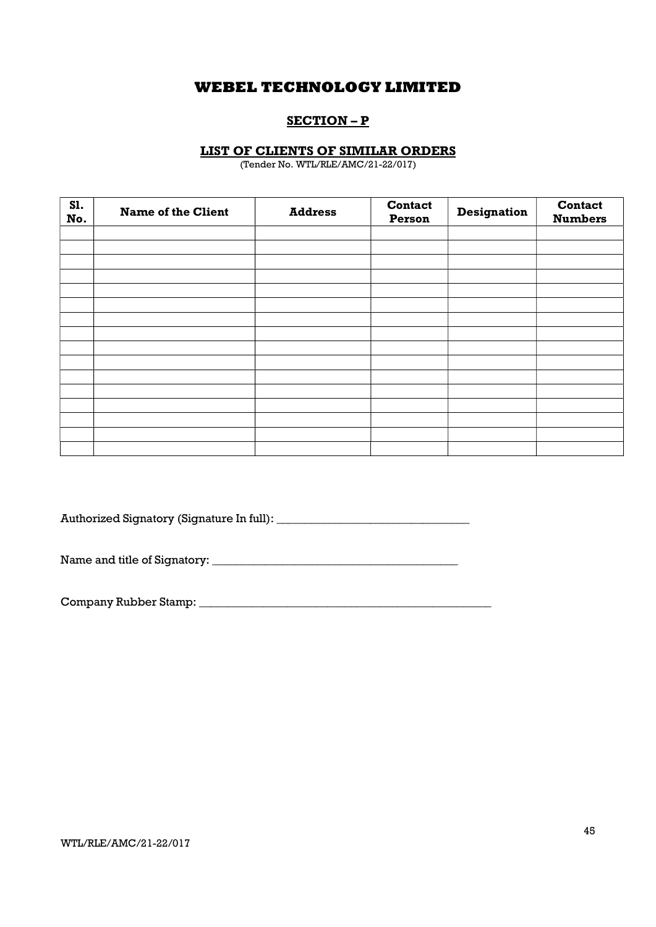## SECTION – P

## LIST OF CLIENTS OF SIMILAR ORDERS

(Tender No. WTL/RLE/AMC/21-22/017)

| <b>S1.</b><br>No. | <b>Name of the Client</b> | <b>Address</b> | <b>Contact</b><br>Person | <b>Designation</b> | <b>Contact</b><br><b>Numbers</b> |
|-------------------|---------------------------|----------------|--------------------------|--------------------|----------------------------------|
|                   |                           |                |                          |                    |                                  |
|                   |                           |                |                          |                    |                                  |
|                   |                           |                |                          |                    |                                  |
|                   |                           |                |                          |                    |                                  |
|                   |                           |                |                          |                    |                                  |
|                   |                           |                |                          |                    |                                  |
|                   |                           |                |                          |                    |                                  |
|                   |                           |                |                          |                    |                                  |
|                   |                           |                |                          |                    |                                  |
|                   |                           |                |                          |                    |                                  |
|                   |                           |                |                          |                    |                                  |
|                   |                           |                |                          |                    |                                  |
|                   |                           |                |                          |                    |                                  |
|                   |                           |                |                          |                    |                                  |
|                   |                           |                |                          |                    |                                  |
|                   |                           |                |                          |                    |                                  |

Authorized Signatory (Signature In full): \_\_\_\_\_\_\_\_\_\_\_\_\_\_\_\_\_\_\_\_\_\_\_\_\_\_\_\_\_\_\_\_\_

Name and title of Signatory: \_\_\_\_\_\_\_\_\_\_\_\_\_\_\_\_\_\_\_\_\_\_\_\_\_\_\_\_\_\_\_\_\_\_\_\_\_\_\_\_\_\_

Company Rubber Stamp: \_\_\_\_\_\_\_\_\_\_\_\_\_\_\_\_\_\_\_\_\_\_\_\_\_\_\_\_\_\_\_\_\_\_\_\_\_\_\_\_\_\_\_\_\_\_\_\_\_\_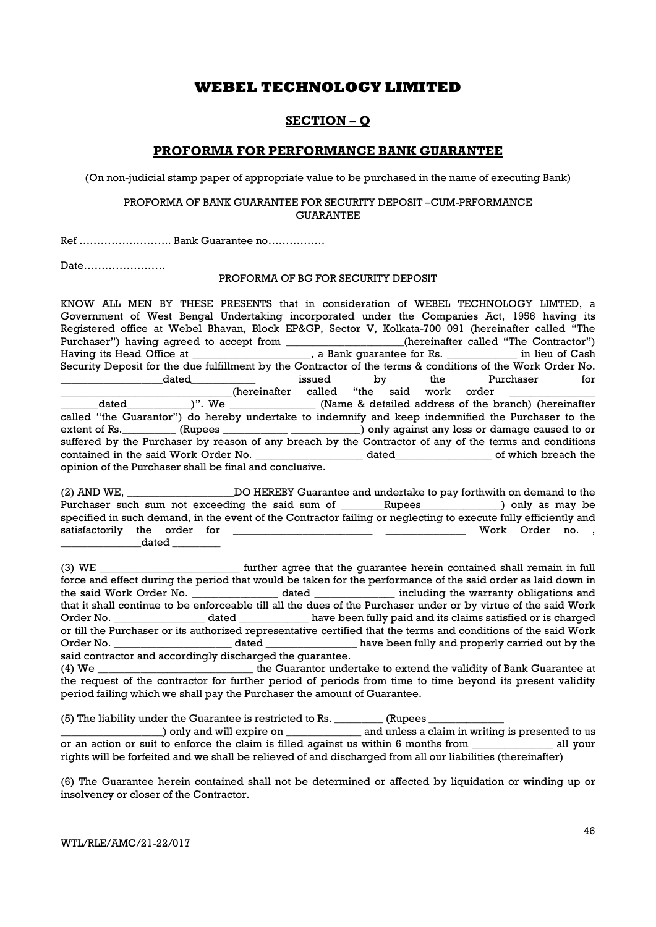## SECTION – Q

## PROFORMA FOR PERFORMANCE BANK GUARANTEE

(On non-judicial stamp paper of appropriate value to be purchased in the name of executing Bank)

#### PROFORMA OF BANK GUARANTEE FOR SECURITY DEPOSIT –CUM-PRFORMANCE **GUARANTEE**

Ref …………………….. Bank Guarantee no…………….

Date…………………..

#### PROFORMA OF BG FOR SECURITY DEPOSIT

KNOW ALL MEN BY THESE PRESENTS that in consideration of WEBEL TECHNOLOGY LIMTED, a Government of West Bengal Undertaking incorporated under the Companies Act, 1956 having its Registered office at Webel Bhavan, Block EP&GP, Sector V, Kolkata-700 091 (hereinafter called "The Purchaser") having agreed to accept from \_\_\_\_\_\_\_\_\_\_\_\_\_\_\_\_(hereinafter called "The Contractor") Having its Head Office at \_\_\_\_\_\_\_\_\_\_\_\_\_\_\_\_\_\_, a Bank guarantee for Rs. \_\_\_\_\_\_\_\_\_\_\_\_\_\_ in lieu of Cash Security Deposit for the due fulfillment by the Contractor of the terms & conditions of the Work Order No. \_\_\_\_\_\_\_\_\_\_\_\_\_\_\_\_\_\_\_dated\_\_\_\_\_\_\_\_\_\_\_\_ issued by the Purchaser for (hereinafter called "the said work order<br>
)". We (Name & detailed address of the b dated  $)$ ". We  $\qquad$  (Name & detailed address of the branch) (hereinafter called "the Guarantor") do hereby undertake to indemnify and keep indemnified the Purchaser to the extent of Rs. \_\_\_\_\_\_\_\_ (Rupees \_\_\_\_\_\_\_\_\_\_\_\_\_\_\_\_\_\_\_\_\_\_\_\_\_) only against any loss or damage caused to or suffered by the Purchaser by reason of any breach by the Contractor of any of the terms and conditions contained in the said Work Order No. \_\_\_\_\_\_\_\_\_\_\_\_\_\_\_\_\_\_\_\_ dated\_\_\_\_\_\_\_\_\_\_\_\_\_\_\_\_\_\_ of which breach the opinion of the Purchaser shall be final and conclusive.

(2) AND WE, \_\_\_\_\_\_\_\_\_\_\_\_\_\_\_\_\_\_\_\_DO HEREBY Guarantee and undertake to pay forthwith on demand to the Purchaser such sum not exceeding the said sum of \_\_\_\_\_\_Rupees\_\_\_\_\_\_\_\_\_\_\_) only as may be specified in such demand, in the event of the Contractor failing or neglecting to execute fully efficiently and satisfactorily the order for **the satisfactorily** the order for **a structure of the satisfactorily** the order for  ${\tt dated}$ 

(3) WE \_\_\_\_\_\_\_\_\_\_\_\_\_\_\_\_\_\_\_\_\_\_\_\_\_\_ further agree that the guarantee herein contained shall remain in full force and effect during the period that would be taken for the performance of the said order as laid down in the said Work Order No. \_\_\_\_\_\_\_\_\_\_\_\_\_\_\_\_ dated \_\_\_\_\_\_\_\_\_\_\_\_\_\_\_ including the warranty obligations and that it shall continue to be enforceable till all the dues of the Purchaser under or by virtue of the said Work Order No. \_\_\_\_\_\_\_\_\_\_\_\_\_\_\_\_\_\_\_ dated \_\_\_\_\_\_\_\_\_\_\_\_\_\_ have been fully paid and its claims satisfied or is charged or till the Purchaser or its authorized representative certified that the terms and conditions of the said Work Order No. \_\_\_\_\_\_\_\_\_\_\_\_\_\_\_\_\_\_\_\_\_\_ dated \_\_\_\_\_\_\_\_\_\_\_\_\_\_\_\_\_ have been fully and properly carried out by the said contractor and accordingly discharged the guarantee.

(4) We \_\_\_\_\_\_\_\_\_\_\_\_\_\_\_\_\_\_\_\_\_\_\_\_\_\_\_\_\_ the Guarantor undertake to extend the validity of Bank Guarantee at the request of the contractor for further period of periods from time to time beyond its present validity period failing which we shall pay the Purchaser the amount of Guarantee.

(5) The liability under the Guarantee is restricted to Rs. \_\_\_\_\_\_\_\_\_ (Rupees \_\_\_\_\_\_\_\_\_\_\_\_\_\_

) only and will expire on  $\qquad \qquad$  and unless a claim in writing is presented to us or an action or suit to enforce the claim is filled against us within 6 months from all your rights will be forfeited and we shall be relieved of and discharged from all our liabilities (thereinafter)

(6) The Guarantee herein contained shall not be determined or affected by liquidation or winding up or insolvency or closer of the Contractor.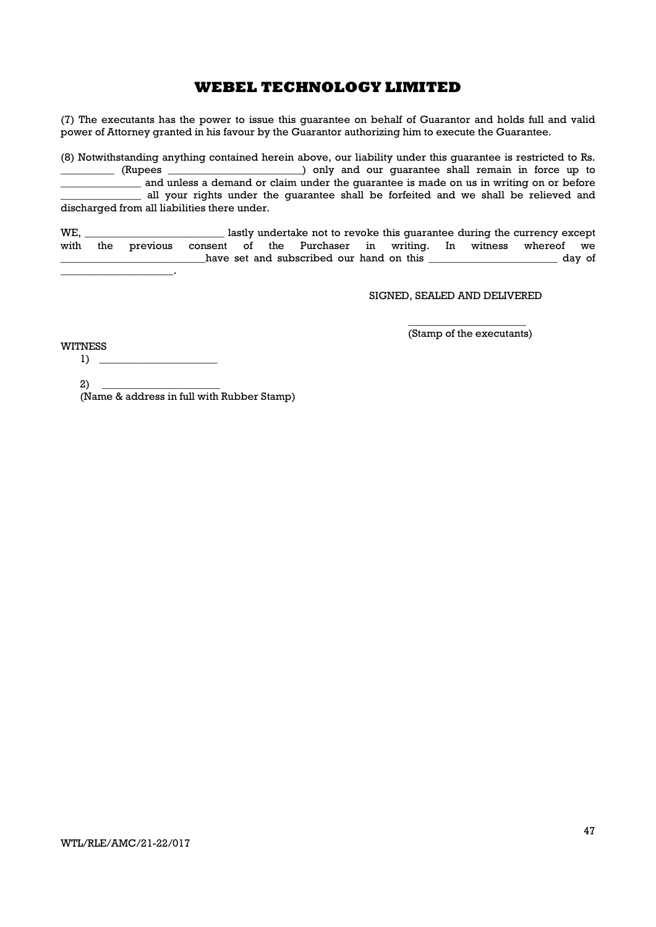(7) The executants has the power to issue this guarantee on behalf of Guarantor and holds full and valid power of Attorney granted in his favour by the Guarantor authorizing him to execute the Guarantee.

(8) Notwithstanding anything contained herein above, our liability under this guarantee is restricted to Rs. ) only and our quarantee shall remain in force up to and unless a demand or claim under the guarantee is made on us in writing on or before all your rights under the guarantee shall be forfeited and we shall be relieved and discharged from all liabilities there under.

WE, \_\_\_\_\_\_\_\_\_\_\_\_\_\_\_\_\_\_\_\_\_\_\_\_\_\_ lastly undertake not to revoke this guarantee during the currency except with the previous consent of the Purchaser in writing. In witness whereof we all the set and subscribed our hand on this and subscribed our hand on this day of  $\mathbb{Z}^2$ 

SIGNED, SEALED AND DELIVERED

 $\overline{\phantom{a}}$  , we can consider the constant of  $\overline{\phantom{a}}$ (Stamp of the executants)

WITNESS

 $1) \tightharpoonup$  $2)$  \_

(Name & address in full with Rubber Stamp)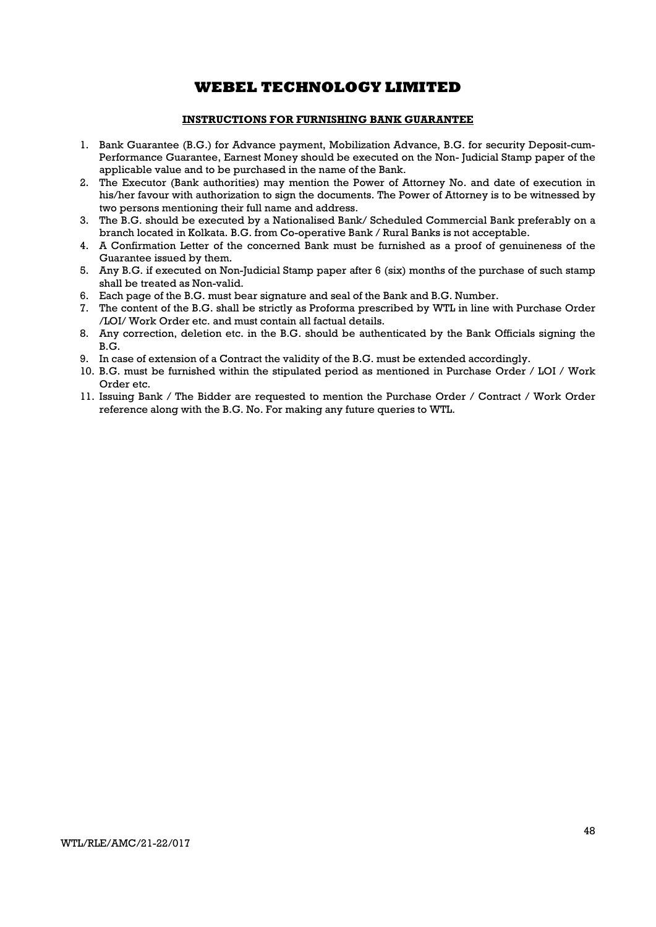## INSTRUCTIONS FOR FURNISHING BANK GUARANTEE

- 1. Bank Guarantee (B.G.) for Advance payment, Mobilization Advance, B.G. for security Deposit-cum-Performance Guarantee, Earnest Money should be executed on the Non- Judicial Stamp paper of the applicable value and to be purchased in the name of the Bank.
- 2. The Executor (Bank authorities) may mention the Power of Attorney No. and date of execution in his/her favour with authorization to sign the documents. The Power of Attorney is to be witnessed by two persons mentioning their full name and address.
- 3. The B.G. should be executed by a Nationalised Bank/ Scheduled Commercial Bank preferably on a branch located in Kolkata. B.G. from Co-operative Bank / Rural Banks is not acceptable.
- 4. A Confirmation Letter of the concerned Bank must be furnished as a proof of genuineness of the Guarantee issued by them.
- 5. Any B.G. if executed on Non-Judicial Stamp paper after 6 (six) months of the purchase of such stamp shall be treated as Non-valid.
- 6. Each page of the B.G. must bear signature and seal of the Bank and B.G. Number.
- 7. The content of the B.G. shall be strictly as Proforma prescribed by WTL in line with Purchase Order /LOI/ Work Order etc. and must contain all factual details.
- 8. Any correction, deletion etc. in the B.G. should be authenticated by the Bank Officials signing the B.G.
- 9. In case of extension of a Contract the validity of the B.G. must be extended accordingly.
- 10. B.G. must be furnished within the stipulated period as mentioned in Purchase Order / LOI / Work Order etc.
- 11. Issuing Bank / The Bidder are requested to mention the Purchase Order / Contract / Work Order reference along with the B.G. No. For making any future queries to WTL.